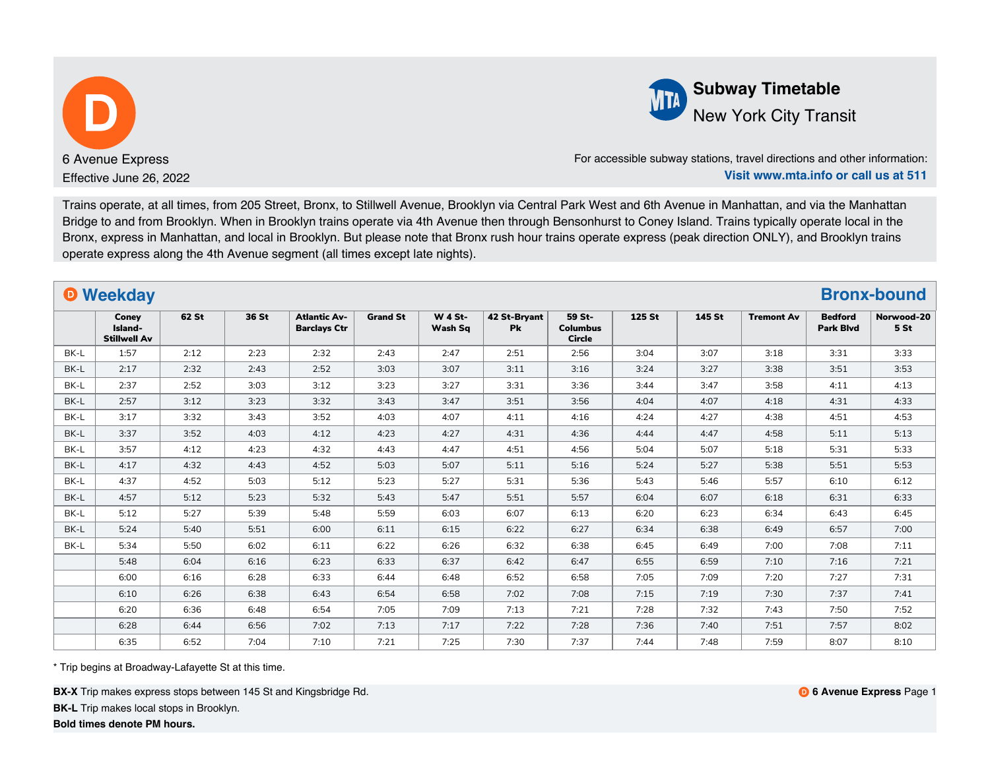

**Subway Timetable** New York City Transit

For accessible subway stations, travel directions and other information: **Visit www.mta.info or call us at 511**

Trains operate, at all times, from 205 Street, Bronx, to Stillwell Avenue, Brooklyn via Central Park West and 6th Avenue in Manhattan, and via the Manhattan Bridge to and from Brooklyn. When in Brooklyn trains operate via 4th Avenue then through Bensonhurst to Coney Island. Trains typically operate local in the Bronx, express in Manhattan, and local in Brooklyn. But please note that Bronx rush hour trains operate express (peak direction ONLY), and Brooklyn trains operate express along the 4th Avenue segment (all times except late nights).

|      | <b>O</b> Weekday                        |       |       |                                            |                 |                           |                           |                                            |        |        |                   |                                    | <b>Bronx-bound</b>            |
|------|-----------------------------------------|-------|-------|--------------------------------------------|-----------------|---------------------------|---------------------------|--------------------------------------------|--------|--------|-------------------|------------------------------------|-------------------------------|
|      | Coney<br>Island-<br><b>Stillwell Av</b> | 62 St | 36 St | <b>Atlantic Av-</b><br><b>Barclays Ctr</b> | <b>Grand St</b> | <b>W 4 St-</b><br>Wash Sq | 42 St-Brvant<br><b>Pk</b> | 59 St-<br><b>Columbus</b><br><b>Circle</b> | 125 St | 145 St | <b>Tremont Av</b> | <b>Bedford</b><br><b>Park Blvd</b> | Norwood-20<br>5 <sub>st</sub> |
| BK-L | 1:57                                    | 2:12  | 2:23  | 2:32                                       | 2:43            | 2:47                      | 2:51                      | 2:56                                       | 3:04   | 3:07   | 3:18              | 3:31                               | 3:33                          |
| BK-L | 2:17                                    | 2:32  | 2:43  | 2:52                                       | 3:03            | 3:07                      | 3:11                      | 3:16                                       | 3:24   | 3:27   | 3:38              | 3:51                               | 3:53                          |
| BK-L | 2:37                                    | 2:52  | 3:03  | 3:12                                       | 3:23            | 3:27                      | 3:31                      | 3:36                                       | 3:44   | 3:47   | 3:58              | 4:11                               | 4:13                          |
| BK-L | 2:57                                    | 3:12  | 3:23  | 3:32                                       | 3:43            | 3:47                      | 3:51                      | 3:56                                       | 4:04   | 4:07   | 4:18              | 4:31                               | 4:33                          |
| BK-L | 3:17                                    | 3:32  | 3:43  | 3:52                                       | 4:03            | 4:07                      | 4:11                      | 4:16                                       | 4:24   | 4:27   | 4:38              | 4:51                               | 4:53                          |
| BK-L | 3:37                                    | 3:52  | 4:03  | 4:12                                       | 4:23            | 4:27                      | 4:31                      | 4:36                                       | 4:44   | 4:47   | 4:58              | 5:11                               | 5:13                          |
| BK-L | 3:57                                    | 4:12  | 4:23  | 4:32                                       | 4:43            | 4:47                      | 4:51                      | 4:56                                       | 5:04   | 5:07   | 5:18              | 5:31                               | 5:33                          |
| BK-L | 4:17                                    | 4:32  | 4:43  | 4:52                                       | 5:03            | 5:07                      | 5:11                      | 5:16                                       | 5:24   | 5:27   | 5:38              | 5:51                               | 5:53                          |
| BK-L | 4:37                                    | 4:52  | 5:03  | 5:12                                       | 5:23            | 5:27                      | 5:31                      | 5:36                                       | 5:43   | 5:46   | 5:57              | 6:10                               | 6:12                          |
| BK-L | 4:57                                    | 5:12  | 5:23  | 5:32                                       | 5:43            | 5:47                      | 5:51                      | 5:57                                       | 6:04   | 6:07   | 6:18              | 6:31                               | 6:33                          |
| BK-L | 5:12                                    | 5:27  | 5:39  | 5:48                                       | 5:59            | 6:03                      | 6:07                      | 6:13                                       | 6:20   | 6:23   | 6:34              | 6:43                               | 6:45                          |
| BK-L | 5:24                                    | 5:40  | 5:51  | 6:00                                       | 6:11            | 6:15                      | 6:22                      | 6:27                                       | 6:34   | 6:38   | 6:49              | 6:57                               | 7:00                          |
| BK-L | 5:34                                    | 5:50  | 6:02  | 6:11                                       | 6:22            | 6:26                      | 6:32                      | 6:38                                       | 6:45   | 6:49   | 7:00              | 7:08                               | 7:11                          |
|      | 5:48                                    | 6:04  | 6:16  | 6:23                                       | 6:33            | 6:37                      | 6:42                      | 6:47                                       | 6:55   | 6:59   | 7:10              | 7:16                               | 7:21                          |
|      | 6:00                                    | 6:16  | 6:28  | 6:33                                       | 6:44            | 6:48                      | 6:52                      | 6:58                                       | 7:05   | 7:09   | 7:20              | 7:27                               | 7:31                          |
|      | 6:10                                    | 6:26  | 6:38  | 6:43                                       | 6:54            | 6:58                      | 7:02                      | 7:08                                       | 7:15   | 7:19   | 7:30              | 7:37                               | 7:41                          |
|      | 6:20                                    | 6:36  | 6:48  | 6:54                                       | 7:05            | 7:09                      | 7:13                      | 7:21                                       | 7:28   | 7:32   | 7:43              | 7:50                               | 7:52                          |
|      | 6:28                                    | 6:44  | 6:56  | 7:02                                       | 7:13            | 7:17                      | 7:22                      | 7:28                                       | 7:36   | 7:40   | 7:51              | 7:57                               | 8:02                          |
|      | 6:35                                    | 6:52  | 7:04  | 7:10                                       | 7:21            | 7:25                      | 7:30                      | 7:37                                       | 7:44   | 7:48   | 7:59              | 8:07                               | 8:10                          |

\* Trip begins at Broadway-Lafayette St at this time.

**BX-X** Trip makes express stops between 145 St and Kingsbridge Rd.

**BK-L** Trip makes local stops in Brooklyn.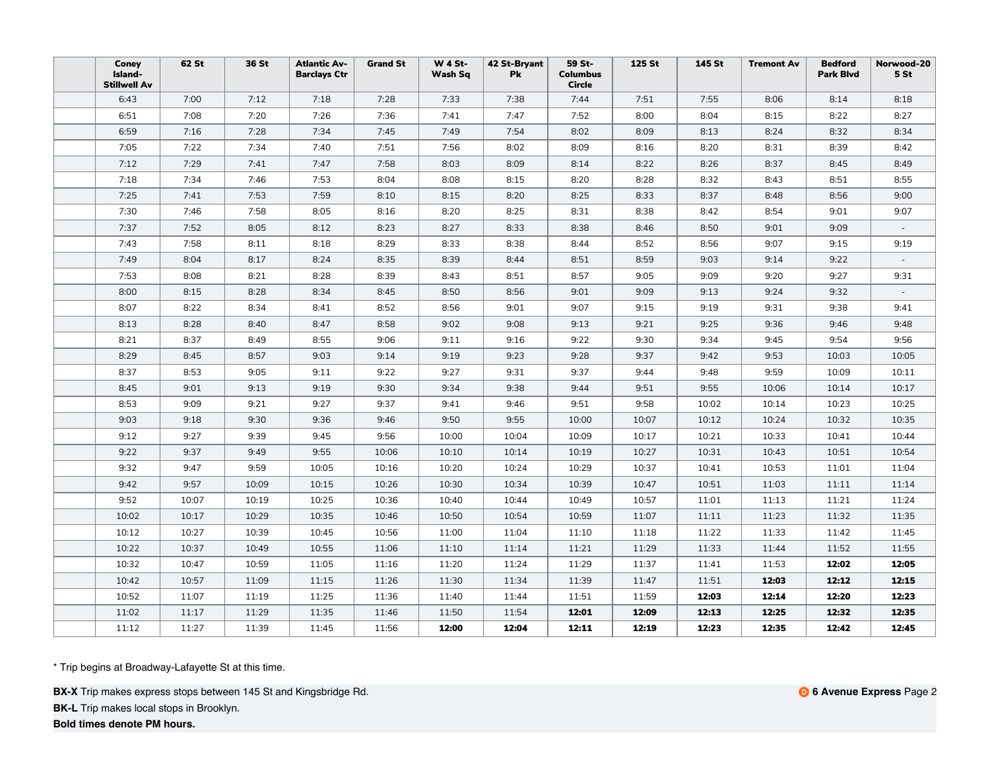| Coney<br>Island-<br><b>Stillwell Av</b> | 62 St | 36 St | <b>Atlantic Av-</b><br><b>Barclays Ctr</b> | <b>Grand St</b> | <b>W 4 St-</b><br>Wash Sq | 42 St-Bryant<br>Pk | 59 St-<br><b>Columbus</b><br><b>Circle</b> | 125 St | 145 St | <b>Tremont Av</b> | <b>Bedford</b><br><b>Park Blvd</b> | Norwood-20<br>5 <sub>st</sub> |
|-----------------------------------------|-------|-------|--------------------------------------------|-----------------|---------------------------|--------------------|--------------------------------------------|--------|--------|-------------------|------------------------------------|-------------------------------|
| 6:43                                    | 7:00  | 7:12  | 7:18                                       | 7:28            | 7:33                      | 7:38               | 7:44                                       | 7:51   | 7:55   | 8:06              | 8:14                               | 8:18                          |
| 6:51                                    | 7:08  | 7:20  | 7:26                                       | 7:36            | 7:41                      | 7:47               | 7:52                                       | 8:00   | 8:04   | 8:15              | 8:22                               | 8:27                          |
| 6:59                                    | 7:16  | 7:28  | 7:34                                       | 7:45            | 7:49                      | 7:54               | 8:02                                       | 8:09   | 8:13   | 8:24              | 8:32                               | 8:34                          |
| 7:05                                    | 7:22  | 7:34  | 7:40                                       | 7:51            | 7:56                      | 8:02               | 8:09                                       | 8:16   | 8:20   | 8:31              | 8:39                               | 8:42                          |
| 7:12                                    | 7:29  | 7:41  | 7:47                                       | 7:58            | 8:03                      | 8:09               | 8:14                                       | 8:22   | 8:26   | 8:37              | 8:45                               | 8:49                          |
| 7:18                                    | 7:34  | 7:46  | 7:53                                       | 8:04            | 8:08                      | 8:15               | 8:20                                       | 8:28   | 8:32   | 8:43              | 8:51                               | 8:55                          |
| 7:25                                    | 7:41  | 7:53  | 7:59                                       | 8:10            | 8:15                      | 8:20               | 8:25                                       | 8:33   | 8:37   | 8:48              | 8:56                               | 9:00                          |
| 7:30                                    | 7:46  | 7:58  | 8:05                                       | 8:16            | 8:20                      | 8:25               | 8:31                                       | 8:38   | 8:42   | 8:54              | 9:01                               | 9:07                          |
| 7:37                                    | 7:52  | 8:05  | 8:12                                       | 8:23            | 8:27                      | 8:33               | 8:38                                       | 8:46   | 8:50   | 9:01              | 9:09                               |                               |
| 7:43                                    | 7:58  | 8:11  | 8:18                                       | 8:29            | 8:33                      | 8:38               | 8:44                                       | 8:52   | 8:56   | 9:07              | 9:15                               | 9:19                          |
| 7:49                                    | 8:04  | 8:17  | 8:24                                       | 8:35            | 8:39                      | 8:44               | 8:51                                       | 8:59   | 9:03   | 9:14              | 9:22                               |                               |
| 7:53                                    | 8:08  | 8:21  | 8:28                                       | 8:39            | 8:43                      | 8:51               | 8:57                                       | 9:05   | 9:09   | 9:20              | 9:27                               | 9:31                          |
| 8:00                                    | 8:15  | 8:28  | 8:34                                       | 8:45            | 8:50                      | 8:56               | 9:01                                       | 9:09   | 9:13   | 9:24              | 9:32                               |                               |
| 8:07                                    | 8:22  | 8:34  | 8:41                                       | 8:52            | 8:56                      | 9:01               | 9:07                                       | 9:15   | 9:19   | 9:31              | 9:38                               | 9:41                          |
| 8:13                                    | 8:28  | 8:40  | 8:47                                       | 8:58            | 9:02                      | 9:08               | 9:13                                       | 9:21   | 9:25   | 9:36              | 9:46                               | 9:48                          |
| 8:21                                    | 8:37  | 8:49  | 8:55                                       | 9:06            | 9:11                      | 9:16               | 9:22                                       | 9:30   | 9:34   | 9:45              | 9:54                               | 9:56                          |
| 8:29                                    | 8:45  | 8:57  | 9:03                                       | 9:14            | 9:19                      | 9:23               | 9:28                                       | 9:37   | 9:42   | 9:53              | 10:03                              | 10:05                         |
| 8:37                                    | 8:53  | 9:05  | 9:11                                       | 9:22            | 9:27                      | 9:31               | 9:37                                       | 9:44   | 9:48   | 9:59              | 10:09                              | 10:11                         |
| 8:45                                    | 9:01  | 9:13  | 9:19                                       | 9:30            | 9:34                      | 9:38               | 9:44                                       | 9:51   | 9:55   | 10:06             | 10:14                              | 10:17                         |
| 8:53                                    | 9:09  | 9:21  | 9:27                                       | 9:37            | 9:41                      | 9:46               | 9:51                                       | 9:58   | 10:02  | 10:14             | 10:23                              | 10:25                         |
| 9:03                                    | 9:18  | 9:30  | 9:36                                       | 9:46            | 9:50                      | 9:55               | 10:00                                      | 10:07  | 10:12  | 10:24             | 10:32                              | 10:35                         |
| 9:12                                    | 9:27  | 9:39  | 9:45                                       | 9:56            | 10:00                     | 10:04              | 10:09                                      | 10:17  | 10:21  | 10:33             | 10:41                              | 10:44                         |
| 9:22                                    | 9:37  | 9:49  | 9:55                                       | 10:06           | 10:10                     | 10:14              | 10:19                                      | 10:27  | 10:31  | 10:43             | 10:51                              | 10:54                         |
| 9:32                                    | 9:47  | 9:59  | 10:05                                      | 10:16           | 10:20                     | 10:24              | 10:29                                      | 10:37  | 10:41  | 10:53             | 11:01                              | 11:04                         |
| 9:42                                    | 9:57  | 10:09 | 10:15                                      | 10:26           | 10:30                     | 10:34              | 10:39                                      | 10:47  | 10:51  | 11:03             | 11:11                              | 11:14                         |
| 9:52                                    | 10:07 | 10:19 | 10:25                                      | 10:36           | 10:40                     | 10:44              | 10:49                                      | 10:57  | 11:01  | 11:13             | 11:21                              | 11:24                         |
| 10:02                                   | 10:17 | 10:29 | 10:35                                      | 10:46           | 10:50                     | 10:54              | 10:59                                      | 11:07  | 11:11  | 11:23             | 11:32                              | 11:35                         |
| 10:12                                   | 10:27 | 10:39 | 10:45                                      | 10:56           | 11:00                     | 11:04              | 11:10                                      | 11:18  | 11:22  | 11:33             | 11:42                              | 11:45                         |
| 10:22                                   | 10:37 | 10:49 | 10:55                                      | 11:06           | 11:10                     | 11:14              | 11:21                                      | 11:29  | 11:33  | 11:44             | 11:52                              | 11:55                         |
| 10:32                                   | 10:47 | 10:59 | 11:05                                      | 11:16           | 11:20                     | 11:24              | 11:29                                      | 11:37  | 11:41  | 11:53             | 12:02                              | 12:05                         |
| 10:42                                   | 10:57 | 11:09 | 11:15                                      | 11:26           | 11:30                     | 11:34              | 11:39                                      | 11:47  | 11:51  | 12:03             | 12:12                              | 12:15                         |
| 10:52                                   | 11:07 | 11:19 | 11:25                                      | 11:36           | 11:40                     | 11:44              | 11:51                                      | 11:59  | 12:03  | 12:14             | 12:20                              | 12:23                         |
| 11:02                                   | 11:17 | 11:29 | 11:35                                      | 11:46           | 11:50                     | 11:54              | 12:01                                      | 12:09  | 12:13  | 12:25             | 12:32                              | 12:35                         |
| 11:12                                   | 11:27 | 11:39 | 11:45                                      | 11:56           | 12:00                     | 12:04              | 12:11                                      | 12:19  | 12:23  | 12:35             | 12:42                              | 12:45                         |

**BX-X** Trip makes express stops between 145 St and Kingsbridge Rd.

**BK-L** Trip makes local stops in Brooklyn.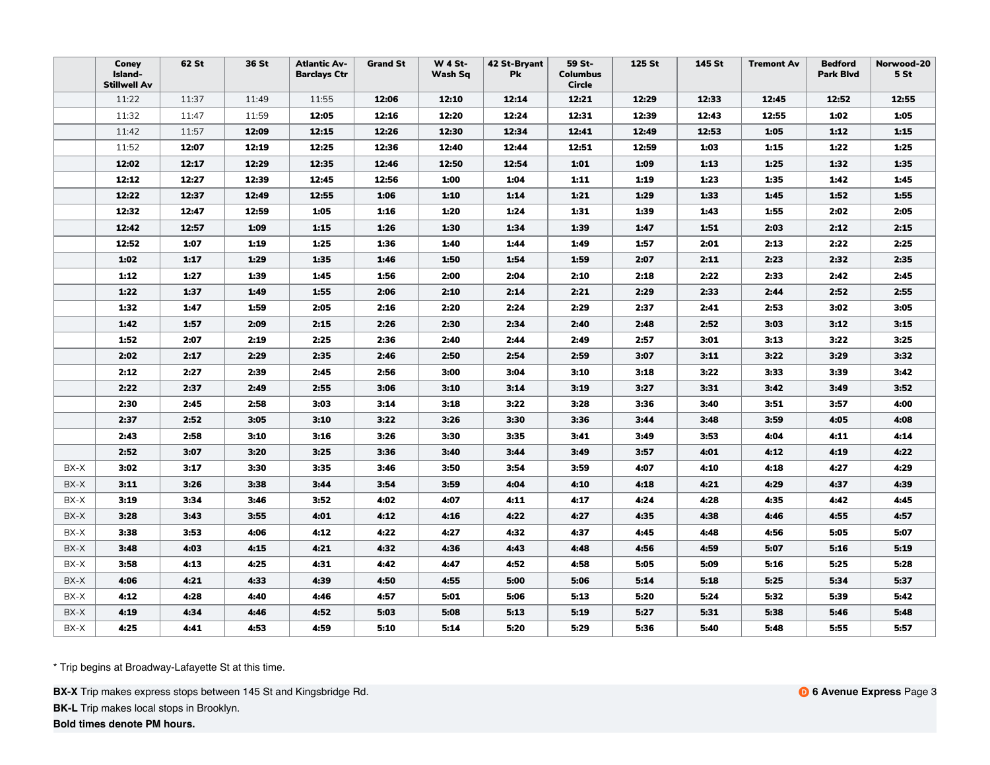|      | Coney<br>Island-<br><b>Stillwell Av</b> | 62 St | 36 St | <b>Atlantic Av-</b><br><b>Barclays Ctr</b> | <b>Grand St</b> | <b>W 4 St-</b><br>Wash Sq | 42 St-Bryant<br><b>Pk</b> | 59 St-<br><b>Columbus</b><br><b>Circle</b> | 125 St | 145 St | <b>Tremont Av</b> | <b>Bedford</b><br><b>Park Blvd</b> | Norwood-20<br>5 <sub>st</sub> |
|------|-----------------------------------------|-------|-------|--------------------------------------------|-----------------|---------------------------|---------------------------|--------------------------------------------|--------|--------|-------------------|------------------------------------|-------------------------------|
|      | 11:22                                   | 11:37 | 11:49 | 11:55                                      | 12:06           | 12:10                     | 12:14                     | 12:21                                      | 12:29  | 12:33  | 12:45             | 12:52                              | 12:55                         |
|      | 11:32                                   | 11:47 | 11:59 | 12:05                                      | 12:16           | 12:20                     | 12:24                     | 12:31                                      | 12:39  | 12:43  | 12:55             | 1:02                               | 1:05                          |
|      | 11:42                                   | 11:57 | 12:09 | 12:15                                      | 12:26           | 12:30                     | 12:34                     | 12:41                                      | 12:49  | 12:53  | 1:05              | 1:12                               | 1:15                          |
|      | 11:52                                   | 12:07 | 12:19 | 12:25                                      | 12:36           | 12:40                     | 12:44                     | 12:51                                      | 12:59  | 1:03   | 1:15              | 1:22                               | 1:25                          |
|      | 12:02                                   | 12:17 | 12:29 | 12:35                                      | 12:46           | 12:50                     | 12:54                     | 1:01                                       | 1:09   | 1:13   | 1:25              | 1:32                               | 1:35                          |
|      | 12:12                                   | 12:27 | 12:39 | 12:45                                      | 12:56           | 1:00                      | 1:04                      | 1:11                                       | 1:19   | 1:23   | 1:35              | 1:42                               | 1:45                          |
|      | 12:22                                   | 12:37 | 12:49 | 12:55                                      | 1:06            | 1:10                      | 1:14                      | 1:21                                       | 1:29   | 1:33   | 1:45              | 1:52                               | 1:55                          |
|      | 12:32                                   | 12:47 | 12:59 | 1:05                                       | 1:16            | 1:20                      | 1:24                      | 1:31                                       | 1:39   | 1:43   | 1:55              | 2:02                               | 2:05                          |
|      | 12:42                                   | 12:57 | 1:09  | 1:15                                       | 1:26            | 1:30                      | 1:34                      | 1:39                                       | 1:47   | 1:51   | 2:03              | 2:12                               | 2:15                          |
|      | 12:52                                   | 1:07  | 1:19  | 1:25                                       | 1:36            | 1:40                      | 1:44                      | 1:49                                       | 1:57   | 2:01   | 2:13              | 2:22                               | 2:25                          |
|      | 1:02                                    | 1:17  | 1:29  | 1:35                                       | 1:46            | 1:50                      | 1:54                      | 1:59                                       | 2:07   | 2:11   | 2:23              | 2:32                               | 2:35                          |
|      | 1:12                                    | 1:27  | 1:39  | 1:45                                       | 1:56            | 2:00                      | 2:04                      | 2:10                                       | 2:18   | 2:22   | 2:33              | 2:42                               | 2:45                          |
|      | 1:22                                    | 1:37  | 1:49  | 1:55                                       | 2:06            | 2:10                      | 2:14                      | 2:21                                       | 2:29   | 2:33   | 2:44              | 2:52                               | 2:55                          |
|      | 1:32                                    | 1:47  | 1:59  | 2:05                                       | 2:16            | 2:20                      | 2:24                      | 2:29                                       | 2:37   | 2:41   | 2:53              | 3:02                               | 3:05                          |
|      | 1:42                                    | 1:57  | 2:09  | 2:15                                       | 2:26            | 2:30                      | 2:34                      | 2:40                                       | 2:48   | 2:52   | 3:03              | 3:12                               | 3:15                          |
|      | 1:52                                    | 2:07  | 2:19  | 2:25                                       | 2:36            | 2:40                      | 2:44                      | 2:49                                       | 2:57   | 3:01   | 3:13              | 3:22                               | 3:25                          |
|      | 2:02                                    | 2:17  | 2:29  | 2:35                                       | 2:46            | 2:50                      | 2:54                      | 2:59                                       | 3:07   | 3:11   | 3:22              | 3:29                               | 3:32                          |
|      | 2:12                                    | 2:27  | 2:39  | 2:45                                       | 2:56            | 3:00                      | 3:04                      | 3:10                                       | 3:18   | 3:22   | 3:33              | 3:39                               | 3:42                          |
|      | 2:22                                    | 2:37  | 2:49  | 2:55                                       | 3:06            | 3:10                      | 3:14                      | 3:19                                       | 3:27   | 3:31   | 3:42              | 3:49                               | 3:52                          |
|      | 2:30                                    | 2:45  | 2:58  | 3:03                                       | 3:14            | 3:18                      | 3:22                      | 3:28                                       | 3:36   | 3:40   | 3:51              | 3:57                               | 4:00                          |
|      | 2:37                                    | 2:52  | 3:05  | 3:10                                       | 3:22            | 3:26                      | 3:30                      | 3:36                                       | 3:44   | 3:48   | 3:59              | 4:05                               | 4:08                          |
|      | 2:43                                    | 2:58  | 3:10  | 3:16                                       | 3:26            | 3:30                      | 3:35                      | 3:41                                       | 3:49   | 3:53   | 4:04              | 4:11                               | 4:14                          |
|      | 2:52                                    | 3:07  | 3:20  | 3:25                                       | 3:36            | 3:40                      | 3:44                      | 3:49                                       | 3:57   | 4:01   | 4:12              | 4:19                               | 4:22                          |
| BX-X | 3:02                                    | 3:17  | 3:30  | 3:35                                       | 3:46            | 3:50                      | 3:54                      | 3:59                                       | 4:07   | 4:10   | 4:18              | 4:27                               | 4:29                          |
| BX-X | 3:11                                    | 3:26  | 3:38  | 3:44                                       | 3:54            | 3:59                      | 4:04                      | 4:10                                       | 4:18   | 4:21   | 4:29              | 4:37                               | 4:39                          |
| BX-X | 3:19                                    | 3:34  | 3:46  | 3:52                                       | 4:02            | 4:07                      | 4:11                      | 4:17                                       | 4:24   | 4:28   | 4:35              | 4:42                               | 4:45                          |
| BX-X | 3:28                                    | 3:43  | 3:55  | 4:01                                       | 4:12            | 4:16                      | 4:22                      | 4:27                                       | 4:35   | 4:38   | 4:46              | 4:55                               | 4:57                          |
| BX-X | 3:38                                    | 3:53  | 4:06  | 4:12                                       | 4:22            | 4:27                      | 4:32                      | 4:37                                       | 4:45   | 4:48   | 4:56              | 5:05                               | 5:07                          |
| BX-X | 3:48                                    | 4:03  | 4:15  | 4:21                                       | 4:32            | 4:36                      | 4:43                      | 4:48                                       | 4:56   | 4:59   | 5:07              | 5:16                               | 5:19                          |
| BX-X | 3:58                                    | 4:13  | 4:25  | 4:31                                       | 4:42            | 4:47                      | 4:52                      | 4:58                                       | 5:05   | 5:09   | 5:16              | 5:25                               | 5:28                          |
| BX-X | 4:06                                    | 4:21  | 4:33  | 4:39                                       | 4:50            | 4:55                      | 5:00                      | 5:06                                       | 5:14   | 5:18   | 5:25              | 5:34                               | 5:37                          |
| BX-X | 4:12                                    | 4:28  | 4:40  | 4:46                                       | 4:57            | 5:01                      | 5:06                      | 5:13                                       | 5:20   | 5:24   | 5:32              | 5:39                               | 5:42                          |
| BX-X | 4:19                                    | 4:34  | 4:46  | 4:52                                       | 5:03            | 5:08                      | 5:13                      | 5:19                                       | 5:27   | 5:31   | 5:38              | 5:46                               | 5:48                          |
| BX-X | 4:25                                    | 4:41  | 4:53  | 4:59                                       | 5:10            | 5:14                      | 5:20                      | 5:29                                       | 5:36   | 5:40   | 5:48              | 5:55                               | 5:57                          |

**BX-X** Trip makes express stops between 145 St and Kingsbridge Rd.

**BK-L** Trip makes local stops in Brooklyn.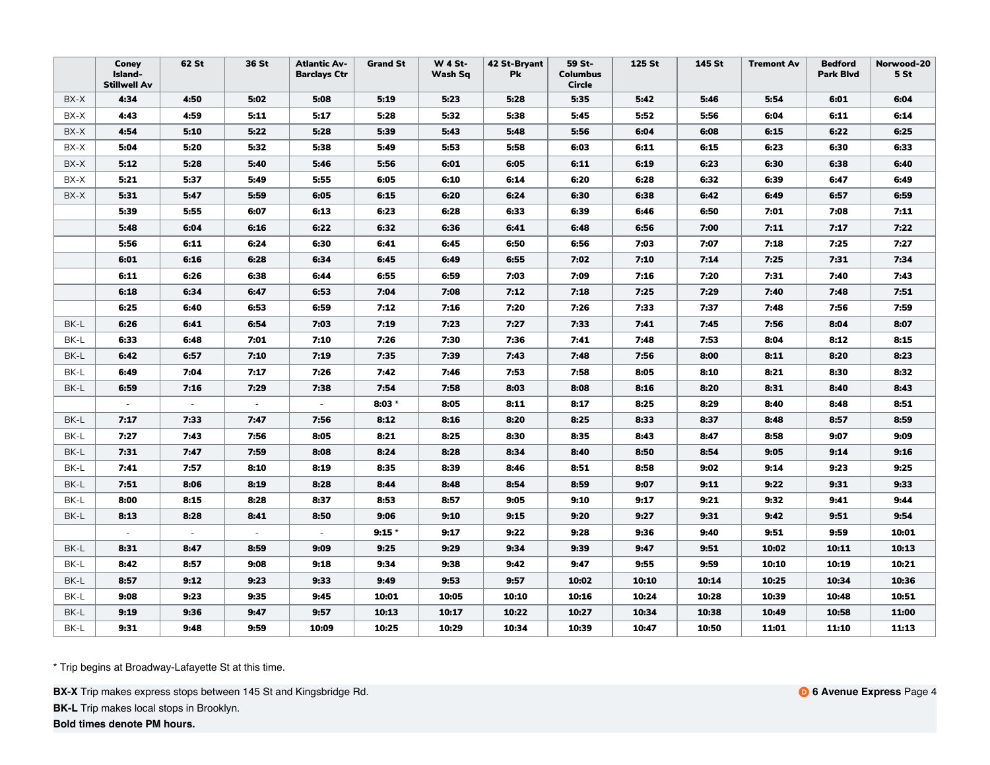|      | Coney<br>Island-<br><b>Stillwell Av</b> | 62 St                    | 36 St                    | <b>Atlantic Av-</b><br><b>Barclays Ctr</b> | <b>Grand St</b> | <b>W 4 St-</b><br>Wash Sq | 42 St-Bryant<br>Pk | 59 St-<br><b>Columbus</b><br><b>Circle</b> | 125 St | 145 St | <b>Tremont Av</b> | <b>Bedford</b><br><b>Park Blvd</b> | Norwood-20<br>5 <sub>st</sub> |
|------|-----------------------------------------|--------------------------|--------------------------|--------------------------------------------|-----------------|---------------------------|--------------------|--------------------------------------------|--------|--------|-------------------|------------------------------------|-------------------------------|
| BX-X | 4:34                                    | 4:50                     | 5:02                     | 5:08                                       | 5:19            | 5:23                      | 5:28               | 5:35                                       | 5:42   | 5:46   | 5:54              | 6:01                               | 6:04                          |
| BX-X | 4:43                                    | 4:59                     | 5:11                     | 5:17                                       | 5:28            | 5:32                      | 5:38               | 5:45                                       | 5:52   | 5:56   | 6:04              | 6:11                               | 6:14                          |
| BX-X | 4:54                                    | 5:10                     | 5:22                     | 5:28                                       | 5:39            | 5:43                      | 5:48               | 5:56                                       | 6:04   | 6:08   | 6:15              | 6:22                               | 6:25                          |
| BX-X | 5:04                                    | 5:20                     | 5:32                     | 5:38                                       | 5:49            | 5:53                      | 5:58               | 6:03                                       | 6:11   | 6:15   | 6:23              | 6:30                               | 6:33                          |
| BX-X | 5:12                                    | 5:28                     | 5:40                     | 5:46                                       | 5:56            | 6:01                      | 6:05               | 6:11                                       | 6:19   | 6:23   | 6:30              | 6:38                               | 6:40                          |
| BX-X | 5:21                                    | 5:37                     | 5:49                     | 5:55                                       | 6:05            | 6:10                      | 6:14               | 6:20                                       | 6:28   | 6:32   | 6:39              | 6:47                               | 6:49                          |
| BX-X | 5:31                                    | 5:47                     | 5:59                     | 6:05                                       | 6:15            | 6:20                      | 6:24               | 6:30                                       | 6:38   | 6:42   | 6:49              | 6:57                               | 6:59                          |
|      | 5:39                                    | 5:55                     | 6:07                     | 6:13                                       | 6:23            | 6:28                      | 6:33               | 6:39                                       | 6:46   | 6:50   | 7:01              | 7:08                               | 7:11                          |
|      | 5:48                                    | 6:04                     | 6:16                     | 6:22                                       | 6:32            | 6:36                      | 6:41               | 6:48                                       | 6:56   | 7:00   | 7:11              | 7:17                               | 7:22                          |
|      | 5:56                                    | 6:11                     | 6:24                     | 6:30                                       | 6:41            | 6:45                      | 6:50               | 6:56                                       | 7:03   | 7:07   | 7:18              | 7:25                               | 7:27                          |
|      | 6:01                                    | 6:16                     | 6:28                     | 6:34                                       | 6:45            | 6:49                      | 6:55               | 7:02                                       | 7:10   | 7:14   | 7:25              | 7:31                               | 7:34                          |
|      | 6:11                                    | 6:26                     | 6:38                     | 6:44                                       | 6:55            | 6:59                      | 7:03               | 7:09                                       | 7:16   | 7:20   | 7:31              | 7:40                               | 7:43                          |
|      | 6:18                                    | 6:34                     | 6:47                     | 6:53                                       | 7:04            | 7:08                      | 7:12               | 7:18                                       | 7:25   | 7:29   | 7:40              | 7:48                               | 7:51                          |
|      | 6:25                                    | 6:40                     | 6:53                     | 6:59                                       | 7:12            | 7:16                      | 7:20               | 7:26                                       | 7:33   | 7:37   | 7:48              | 7:56                               | 7:59                          |
| BK-L | 6:26                                    | 6:41                     | 6:54                     | 7:03                                       | 7:19            | 7:23                      | 7:27               | 7:33                                       | 7:41   | 7:45   | 7:56              | 8:04                               | 8:07                          |
| BK-L | 6:33                                    | 6:48                     | 7:01                     | 7:10                                       | 7:26            | 7:30                      | 7:36               | 7:41                                       | 7:48   | 7:53   | 8:04              | 8:12                               | 8:15                          |
| BK-L | 6:42                                    | 6:57                     | 7:10                     | 7:19                                       | 7:35            | 7:39                      | 7:43               | 7:48                                       | 7:56   | 8:00   | 8:11              | 8:20                               | 8:23                          |
| BK-L | 6:49                                    | 7:04                     | 7:17                     | 7:26                                       | 7:42            | 7:46                      | 7:53               | 7:58                                       | 8:05   | 8:10   | 8:21              | 8:30                               | 8:32                          |
| BK-L | 6:59                                    | 7:16                     | 7:29                     | 7:38                                       | 7:54            | 7:58                      | 8:03               | 8:08                                       | 8:16   | 8:20   | 8:31              | 8:40                               | 8:43                          |
|      | $\sim$                                  | $\sim$                   | $\sim$                   | $\sim$                                     | $8:03*$         | 8:05                      | 8:11               | 8:17                                       | 8:25   | 8:29   | 8:40              | 8:48                               | 8:51                          |
| BK-L | 7:17                                    | 7:33                     | 7:47                     | 7:56                                       | 8:12            | 8:16                      | 8:20               | 8:25                                       | 8:33   | 8:37   | 8:48              | 8:57                               | 8:59                          |
| BK-L | 7:27                                    | 7:43                     | 7:56                     | 8:05                                       | 8:21            | 8:25                      | 8:30               | 8:35                                       | 8:43   | 8:47   | 8:58              | 9:07                               | 9:09                          |
| BK-L | 7:31                                    | 7:47                     | 7:59                     | 8:08                                       | 8:24            | 8:28                      | 8:34               | 8:40                                       | 8:50   | 8:54   | 9:05              | 9:14                               | 9:16                          |
| BK-L | 7:41                                    | 7:57                     | 8:10                     | 8:19                                       | 8:35            | 8:39                      | 8:46               | 8:51                                       | 8:58   | 9:02   | 9:14              | 9:23                               | 9:25                          |
| BK-L | 7:51                                    | 8:06                     | 8:19                     | 8:28                                       | 8:44            | 8:48                      | 8:54               | 8:59                                       | 9:07   | 9:11   | 9:22              | 9:31                               | 9:33                          |
| BK-L | 8:00                                    | 8:15                     | 8:28                     | 8:37                                       | 8:53            | 8:57                      | 9:05               | 9:10                                       | 9:17   | 9:21   | 9:32              | 9:41                               | 9:44                          |
| BK-L | 8:13                                    | 8:28                     | 8:41                     | 8:50                                       | 9:06            | 9:10                      | 9:15               | 9:20                                       | 9:27   | 9:31   | 9:42              | 9:51                               | 9:54                          |
|      |                                         | $\overline{\phantom{a}}$ | $\overline{\phantom{a}}$ | $\sim$                                     | $9:15*$         | 9:17                      | 9:22               | 9:28                                       | 9:36   | 9:40   | 9:51              | 9:59                               | 10:01                         |
| BK-L | 8:31                                    | 8:47                     | 8:59                     | 9:09                                       | 9:25            | 9:29                      | 9:34               | 9:39                                       | 9:47   | 9:51   | 10:02             | 10:11                              | 10:13                         |
| BK-L | 8:42                                    | 8:57                     | 9:08                     | 9:18                                       | 9:34            | 9:38                      | 9:42               | 9:47                                       | 9:55   | 9:59   | 10:10             | 10:19                              | 10:21                         |
| BK-L | 8:57                                    | 9:12                     | 9:23                     | 9:33                                       | 9:49            | 9:53                      | 9:57               | 10:02                                      | 10:10  | 10:14  | 10:25             | 10:34                              | 10:36                         |
| BK-L | 9:08                                    | 9:23                     | 9:35                     | 9:45                                       | 10:01           | 10:05                     | 10:10              | 10:16                                      | 10:24  | 10:28  | 10:39             | 10:48                              | 10:51                         |
| BK-L | 9:19                                    | 9:36                     | 9:47                     | 9:57                                       | 10:13           | 10:17                     | 10:22              | 10:27                                      | 10:34  | 10:38  | 10:49             | 10:58                              | 11:00                         |
| BK-L | 9:31                                    | 9:48                     | 9:59                     | 10:09                                      | 10:25           | 10:29                     | 10:34              | 10:39                                      | 10:47  | 10:50  | 11:01             | 11:10                              | 11:13                         |

**BX-X** Trip makes express stops between 145 St and Kingsbridge Rd.

**BK-L** Trip makes local stops in Brooklyn.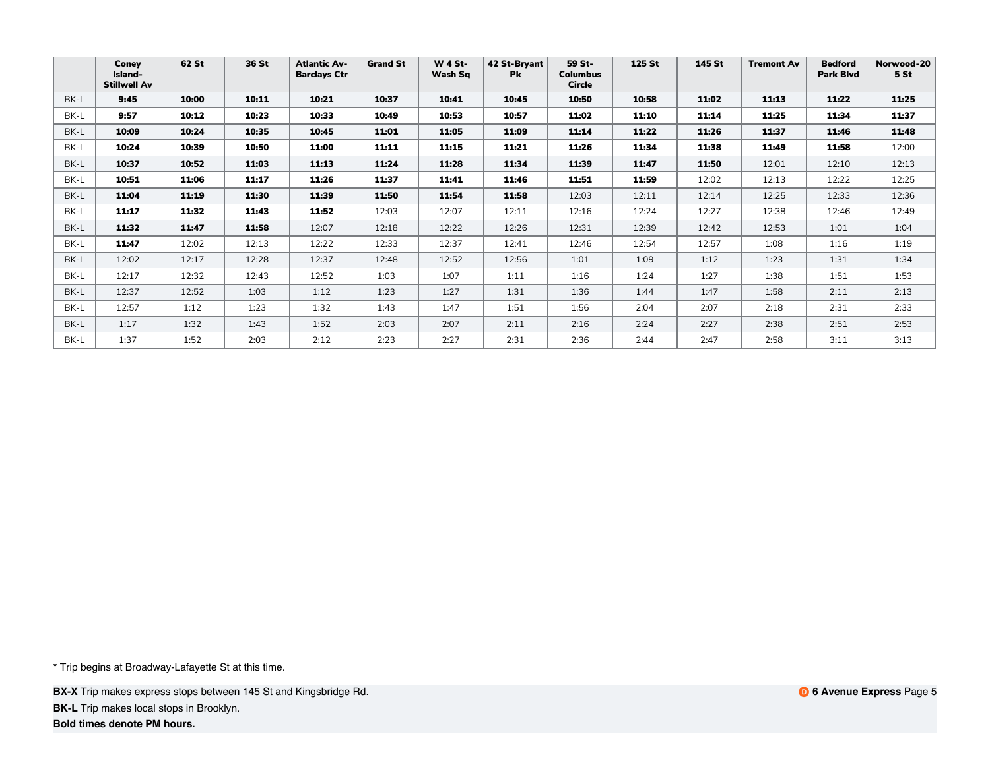|      | Coney<br>Island-<br><b>Stillwell Av</b> | 62 St | 36 St | <b>Atlantic Av-</b><br><b>Barclays Ctr</b> | <b>Grand St</b> | <b>W 4 St-</b><br>Wash Sq | 42 St-Bryant<br><b>Pk</b> | 59 St-<br><b>Columbus</b><br>Circle | 125 St | 145 St | <b>Tremont Av</b> | <b>Bedford</b><br>Park Blvd | Norwood-20<br>5 St |
|------|-----------------------------------------|-------|-------|--------------------------------------------|-----------------|---------------------------|---------------------------|-------------------------------------|--------|--------|-------------------|-----------------------------|--------------------|
| BK-L | 9:45                                    | 10:00 | 10:11 | 10:21                                      | 10:37           | 10:41                     | 10:45                     | 10:50                               | 10:58  | 11:02  | 11:13             | 11:22                       | 11:25              |
| BK-L | 9:57                                    | 10:12 | 10:23 | 10:33                                      | 10:49           | 10:53                     | 10:57                     | 11:02                               | 11:10  | 11:14  | 11:25             | 11:34                       | 11:37              |
| BK-L | 10:09                                   | 10:24 | 10:35 | 10:45                                      | 11:01           | 11:05                     | 11:09                     | 11:14                               | 11:22  | 11:26  | 11:37             | 11:46                       | 11:48              |
| BK-L | 10:24                                   | 10:39 | 10:50 | 11:00                                      | 11:11           | 11:15                     | 11:21                     | 11:26                               | 11:34  | 11:38  | 11:49             | 11:58                       | 12:00              |
| BK-L | 10:37                                   | 10:52 | 11:03 | 11:13                                      | 11:24           | 11:28                     | 11:34                     | 11:39                               | 11:47  | 11:50  | 12:01             | 12:10                       | 12:13              |
| BK-L | 10:51                                   | 11:06 | 11:17 | 11:26                                      | 11:37           | 11:41                     | 11:46                     | 11:51                               | 11:59  | 12:02  | 12:13             | 12:22                       | 12:25              |
| BK-L | 11:04                                   | 11:19 | 11:30 | 11:39                                      | 11:50           | 11:54                     | 11:58                     | 12:03                               | 12:11  | 12:14  | 12:25             | 12:33                       | 12:36              |
| BK-L | 11:17                                   | 11:32 | 11:43 | 11:52                                      | 12:03           | 12:07                     | 12:11                     | 12:16                               | 12:24  | 12:27  | 12:38             | 12:46                       | 12:49              |
| BK-L | 11:32                                   | 11:47 | 11:58 | 12:07                                      | 12:18           | 12:22                     | 12:26                     | 12:31                               | 12:39  | 12:42  | 12:53             | 1:01                        | 1:04               |
| BK-L | 11:47                                   | 12:02 | 12:13 | 12:22                                      | 12:33           | 12:37                     | 12:41                     | 12:46                               | 12:54  | 12:57  | 1:08              | 1:16                        | 1:19               |
| BK-L | 12:02                                   | 12:17 | 12:28 | 12:37                                      | 12:48           | 12:52                     | 12:56                     | 1:01                                | 1:09   | 1:12   | 1:23              | 1:31                        | 1:34               |
| BK-L | 12:17                                   | 12:32 | 12:43 | 12:52                                      | 1:03            | 1:07                      | 1:11                      | 1:16                                | 1:24   | 1:27   | 1:38              | 1:51                        | 1:53               |
| BK-L | 12:37                                   | 12:52 | 1:03  | 1:12                                       | 1:23            | 1:27                      | 1:31                      | 1:36                                | 1:44   | 1:47   | 1:58              | 2:11                        | 2:13               |
| BK-L | 12:57                                   | 1:12  | 1:23  | 1:32                                       | 1:43            | 1:47                      | 1:51                      | 1:56                                | 2:04   | 2:07   | 2:18              | 2:31                        | 2:33               |
| BK-L | 1:17                                    | 1:32  | 1:43  | 1:52                                       | 2:03            | 2:07                      | 2:11                      | 2:16                                | 2:24   | 2:27   | 2:38              | 2:51                        | 2:53               |
| BK-L | 1:37                                    | 1:52  | 2:03  | 2:12                                       | 2:23            | 2:27                      | 2:31                      | 2:36                                | 2:44   | 2:47   | 2:58              | 3:11                        | 3:13               |

**BX-X** Trip makes express stops between 145 St and Kingsbridge Rd.

**BK-L** Trip makes local stops in Brooklyn.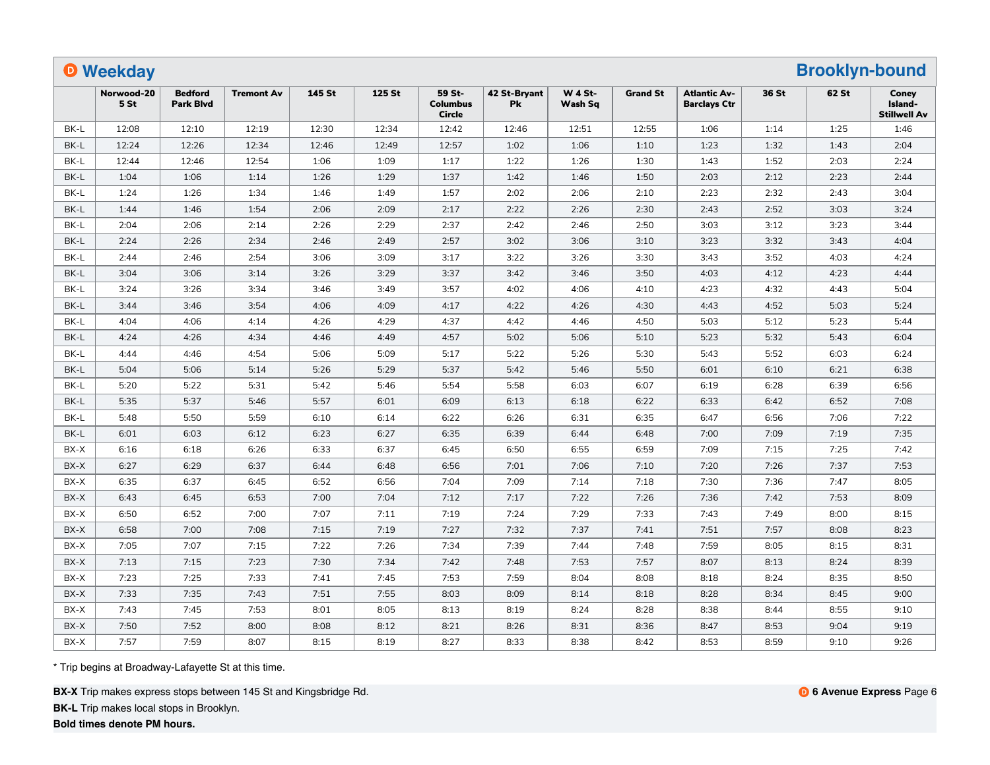|      | <b>O</b> Weekday              |                                    |                   |        |        |                                     |                    |                           |                 |                                            |       | <b>Brooklyn-bound</b> |                                         |
|------|-------------------------------|------------------------------------|-------------------|--------|--------|-------------------------------------|--------------------|---------------------------|-----------------|--------------------------------------------|-------|-----------------------|-----------------------------------------|
|      | Norwood-20<br>5 <sub>st</sub> | <b>Bedford</b><br><b>Park Blvd</b> | <b>Tremont Av</b> | 145 St | 125 St | 59 St-<br><b>Columbus</b><br>Circle | 42 St-Bryant<br>Pk | <b>W 4 St-</b><br>Wash Sq | <b>Grand St</b> | <b>Atlantic Av-</b><br><b>Barclays Ctr</b> | 36 St | 62 St                 | Conev<br>Island-<br><b>Stillwell Av</b> |
| BK-L | 12:08                         | 12:10                              | 12:19             | 12:30  | 12:34  | 12:42                               | 12:46              | 12:51                     | 12:55           | 1:06                                       | 1:14  | 1:25                  | 1:46                                    |
| BK-L | 12:24                         | 12:26                              | 12:34             | 12:46  | 12:49  | 12:57                               | 1:02               | 1:06                      | 1:10            | 1:23                                       | 1:32  | 1:43                  | 2:04                                    |
| BK-L | 12:44                         | 12:46                              | 12:54             | 1:06   | 1:09   | 1:17                                | 1:22               | 1:26                      | 1:30            | 1:43                                       | 1:52  | 2:03                  | 2:24                                    |
| BK-L | 1:04                          | 1:06                               | 1:14              | 1:26   | 1:29   | 1:37                                | 1:42               | 1:46                      | 1:50            | 2:03                                       | 2:12  | 2:23                  | 2:44                                    |
| BK-L | 1:24                          | 1:26                               | 1:34              | 1:46   | 1:49   | 1:57                                | 2:02               | 2:06                      | 2:10            | 2:23                                       | 2:32  | 2:43                  | 3:04                                    |
| BK-L | 1:44                          | 1:46                               | 1:54              | 2:06   | 2:09   | 2:17                                | 2:22               | 2:26                      | 2:30            | 2:43                                       | 2:52  | 3:03                  | 3:24                                    |
| BK-L | 2:04                          | 2:06                               | 2:14              | 2:26   | 2:29   | 2:37                                | 2:42               | 2:46                      | 2:50            | 3:03                                       | 3:12  | 3:23                  | 3:44                                    |
| BK-L | 2:24                          | 2:26                               | 2:34              | 2:46   | 2:49   | 2:57                                | 3:02               | 3:06                      | 3:10            | 3:23                                       | 3:32  | 3:43                  | 4:04                                    |
| BK-L | 2:44                          | 2:46                               | 2:54              | 3:06   | 3:09   | 3:17                                | 3:22               | 3:26                      | 3:30            | 3:43                                       | 3:52  | 4:03                  | 4:24                                    |
| BK-L | 3:04                          | 3:06                               | 3:14              | 3:26   | 3:29   | 3:37                                | 3:42               | 3:46                      | 3:50            | 4:03                                       | 4:12  | 4:23                  | 4:44                                    |
| BK-L | 3:24                          | 3:26                               | 3:34              | 3:46   | 3:49   | 3:57                                | 4:02               | 4:06                      | 4:10            | 4:23                                       | 4:32  | 4:43                  | 5:04                                    |
| BK-L | 3:44                          | 3:46                               | 3:54              | 4:06   | 4:09   | 4:17                                | 4:22               | 4:26                      | 4:30            | 4:43                                       | 4:52  | 5:03                  | 5:24                                    |
| BK-L | 4:04                          | 4:06                               | 4:14              | 4:26   | 4:29   | 4:37                                | 4:42               | 4:46                      | 4:50            | 5:03                                       | 5:12  | 5:23                  | 5:44                                    |
| BK-L | 4:24                          | 4:26                               | 4:34              | 4:46   | 4:49   | 4:57                                | 5:02               | 5:06                      | 5:10            | 5:23                                       | 5:32  | 5:43                  | 6:04                                    |
| BK-L | 4:44                          | 4:46                               | 4:54              | 5:06   | 5:09   | 5:17                                | 5:22               | 5:26                      | 5:30            | 5:43                                       | 5:52  | 6:03                  | 6:24                                    |
| BK-L | 5:04                          | 5:06                               | 5:14              | 5:26   | 5:29   | 5:37                                | 5:42               | 5:46                      | 5:50            | 6:01                                       | 6:10  | 6:21                  | 6:38                                    |
| BK-L | 5:20                          | 5:22                               | 5:31              | 5:42   | 5:46   | 5:54                                | 5:58               | 6:03                      | 6:07            | 6:19                                       | 6:28  | 6:39                  | 6:56                                    |
| BK-L | 5:35                          | 5:37                               | 5:46              | 5:57   | 6:01   | 6:09                                | 6:13               | 6:18                      | 6:22            | 6:33                                       | 6:42  | 6:52                  | 7:08                                    |
| BK-L | 5:48                          | 5:50                               | 5:59              | 6:10   | 6:14   | 6:22                                | 6:26               | 6:31                      | 6:35            | 6:47                                       | 6:56  | 7:06                  | 7:22                                    |
| BK-L | 6:01                          | 6:03                               | 6:12              | 6:23   | 6:27   | 6:35                                | 6:39               | 6:44                      | 6:48            | 7:00                                       | 7:09  | 7:19                  | 7:35                                    |
| BX-X | 6:16                          | 6:18                               | 6:26              | 6:33   | 6:37   | 6:45                                | 6:50               | 6:55                      | 6:59            | 7:09                                       | 7:15  | 7:25                  | 7:42                                    |
| BX-X | 6:27                          | 6:29                               | 6:37              | 6:44   | 6:48   | 6:56                                | 7:01               | 7:06                      | 7:10            | 7:20                                       | 7:26  | 7:37                  | 7:53                                    |
| BX-X | 6:35                          | 6:37                               | 6:45              | 6:52   | 6:56   | 7:04                                | 7:09               | 7:14                      | 7:18            | 7:30                                       | 7:36  | 7:47                  | 8:05                                    |
| BX-X | 6:43                          | 6:45                               | 6:53              | 7:00   | 7:04   | 7:12                                | 7:17               | 7:22                      | 7:26            | 7:36                                       | 7:42  | 7:53                  | 8:09                                    |
| BX-X | 6:50                          | 6:52                               | 7:00              | 7:07   | 7:11   | 7:19                                | 7:24               | 7:29                      | 7:33            | 7:43                                       | 7:49  | 8:00                  | 8:15                                    |
| BX-X | 6:58                          | 7:00                               | 7:08              | 7:15   | 7:19   | 7:27                                | 7:32               | 7:37                      | 7:41            | 7:51                                       | 7:57  | 8:08                  | 8:23                                    |
| BX-X | 7:05                          | 7:07                               | 7:15              | 7:22   | 7:26   | 7:34                                | 7:39               | 7:44                      | 7:48            | 7:59                                       | 8:05  | 8:15                  | 8:31                                    |
| BX-X | 7:13                          | 7:15                               | 7:23              | 7:30   | 7:34   | 7:42                                | 7:48               | 7:53                      | 7:57            | 8:07                                       | 8:13  | 8:24                  | 8:39                                    |
| BX-X | 7:23                          | 7:25                               | 7:33              | 7:41   | 7:45   | 7:53                                | 7:59               | 8:04                      | 8:08            | 8:18                                       | 8:24  | 8:35                  | 8:50                                    |
| BX-X | 7:33                          | 7:35                               | 7:43              | 7:51   | 7:55   | 8:03                                | 8:09               | 8:14                      | 8:18            | 8:28                                       | 8:34  | 8:45                  | 9:00                                    |
| BX-X | 7:43                          | 7:45                               | 7:53              | 8:01   | 8:05   | 8:13                                | 8:19               | 8:24                      | 8:28            | 8:38                                       | 8:44  | 8:55                  | 9:10                                    |
| BX-X | 7:50                          | 7:52                               | 8:00              | 8:08   | 8:12   | 8:21                                | 8:26               | 8:31                      | 8:36            | 8:47                                       | 8:53  | 9:04                  | 9:19                                    |
| BX-X | 7:57                          | 7:59                               | 8:07              | 8:15   | 8:19   | 8:27                                | 8:33               | 8:38                      | 8:42            | 8:53                                       | 8:59  | 9:10                  | 9:26                                    |

**BX-X** Trip makes express stops between 145 St and Kingsbridge Rd.

**BK-L** Trip makes local stops in Brooklyn.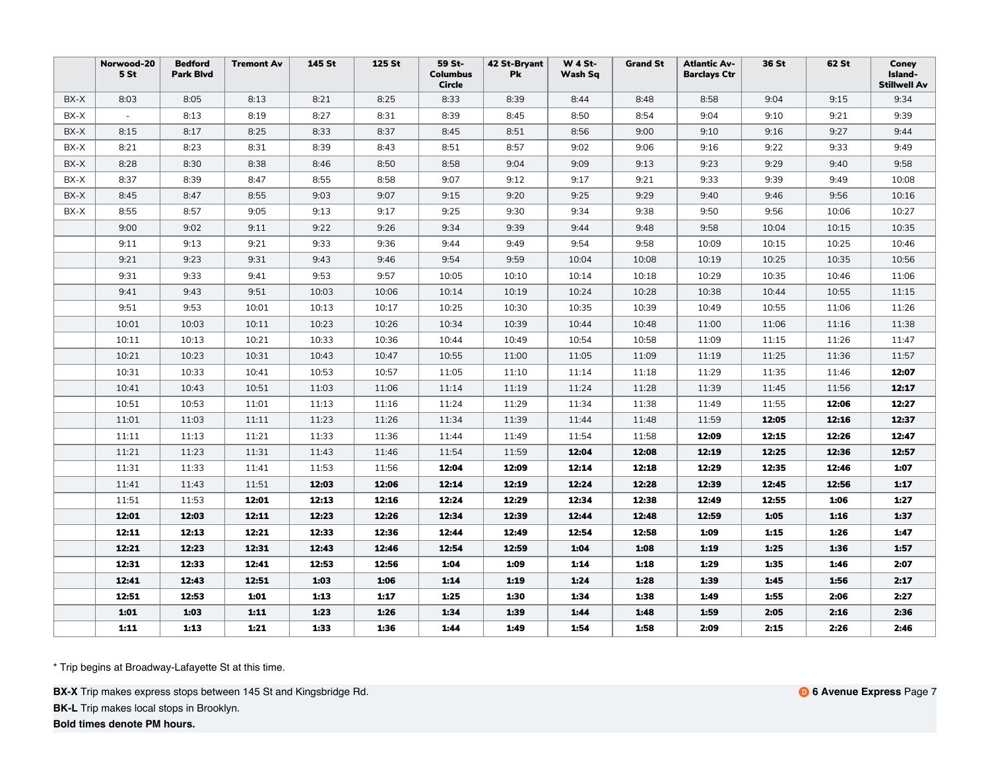|      | Norwood-20<br>5 <sub>st</sub> | <b>Bedford</b><br><b>Park Blvd</b> | <b>Tremont Av</b> | 145 St | 125 St | 59 St-<br><b>Columbus</b><br><b>Circle</b> | 42 St-Bryant<br><b>Pk</b> | <b>W 4 St-</b><br>Wash Sq | <b>Grand St</b> | <b>Atlantic Av-</b><br><b>Barclays Ctr</b> | 36 St | 62 St | Coney<br>Island-<br><b>Stillwell Av</b> |
|------|-------------------------------|------------------------------------|-------------------|--------|--------|--------------------------------------------|---------------------------|---------------------------|-----------------|--------------------------------------------|-------|-------|-----------------------------------------|
| BX-X | 8:03                          | 8:05                               | 8:13              | 8:21   | 8:25   | 8:33                                       | 8:39                      | 8:44                      | 8:48            | 8:58                                       | 9:04  | 9:15  | 9:34                                    |
| BX-X | $\sim$                        | 8:13                               | 8:19              | 8:27   | 8:31   | 8:39                                       | 8:45                      | 8:50                      | 8:54            | 9:04                                       | 9:10  | 9:21  | 9:39                                    |
| BX-X | 8:15                          | 8:17                               | 8:25              | 8:33   | 8:37   | 8:45                                       | 8:51                      | 8:56                      | 9:00            | 9:10                                       | 9:16  | 9:27  | 9:44                                    |
| BX-X | 8:21                          | 8:23                               | 8:31              | 8:39   | 8:43   | 8:51                                       | 8:57                      | 9:02                      | 9:06            | 9:16                                       | 9:22  | 9:33  | 9:49                                    |
| BX-X | 8:28                          | 8:30                               | 8:38              | 8:46   | 8:50   | 8:58                                       | 9:04                      | 9:09                      | 9:13            | 9:23                                       | 9:29  | 9:40  | 9:58                                    |
| BX-X | 8:37                          | 8:39                               | 8:47              | 8:55   | 8:58   | 9:07                                       | 9:12                      | 9:17                      | 9:21            | 9:33                                       | 9:39  | 9:49  | 10:08                                   |
| BX-X | 8:45                          | 8:47                               | 8:55              | 9:03   | 9:07   | 9:15                                       | 9:20                      | 9:25                      | 9:29            | 9:40                                       | 9:46  | 9:56  | 10:16                                   |
| BX-X | 8:55                          | 8:57                               | 9:05              | 9:13   | 9:17   | 9:25                                       | 9:30                      | 9:34                      | 9:38            | 9:50                                       | 9:56  | 10:06 | 10:27                                   |
|      | 9:00                          | 9:02                               | 9:11              | 9:22   | 9:26   | 9:34                                       | 9:39                      | 9:44                      | 9:48            | 9:58                                       | 10:04 | 10:15 | 10:35                                   |
|      | 9:11                          | 9:13                               | 9:21              | 9:33   | 9:36   | 9:44                                       | 9:49                      | 9:54                      | 9:58            | 10:09                                      | 10:15 | 10:25 | 10:46                                   |
|      | 9:21                          | 9:23                               | 9:31              | 9:43   | 9:46   | 9:54                                       | 9:59                      | 10:04                     | 10:08           | 10:19                                      | 10:25 | 10:35 | 10:56                                   |
|      | 9:31                          | 9:33                               | 9:41              | 9:53   | 9:57   | 10:05                                      | 10:10                     | 10:14                     | 10:18           | 10:29                                      | 10:35 | 10:46 | 11:06                                   |
|      | 9:41                          | 9:43                               | 9:51              | 10:03  | 10:06  | 10:14                                      | 10:19                     | 10:24                     | 10:28           | 10:38                                      | 10:44 | 10:55 | 11:15                                   |
|      | 9:51                          | 9:53                               | 10:01             | 10:13  | 10:17  | 10:25                                      | 10:30                     | 10:35                     | 10:39           | 10:49                                      | 10:55 | 11:06 | 11:26                                   |
|      | 10:01                         | 10:03                              | 10:11             | 10:23  | 10:26  | 10:34                                      | 10:39                     | 10:44                     | 10:48           | 11:00                                      | 11:06 | 11:16 | 11:38                                   |
|      | 10:11                         | 10:13                              | 10:21             | 10:33  | 10:36  | 10:44                                      | 10:49                     | 10:54                     | 10:58           | 11:09                                      | 11:15 | 11:26 | 11:47                                   |
|      | 10:21                         | 10:23                              | 10:31             | 10:43  | 10:47  | 10:55                                      | 11:00                     | 11:05                     | 11:09           | 11:19                                      | 11:25 | 11:36 | 11:57                                   |
|      | 10:31                         | 10:33                              | 10:41             | 10:53  | 10:57  | 11:05                                      | 11:10                     | 11:14                     | 11:18           | 11:29                                      | 11:35 | 11:46 | 12:07                                   |
|      | 10:41                         | 10:43                              | 10:51             | 11:03  | 11:06  | 11:14                                      | 11:19                     | 11:24                     | 11:28           | 11:39                                      | 11:45 | 11:56 | 12:17                                   |
|      | 10:51                         | 10:53                              | 11:01             | 11:13  | 11:16  | 11:24                                      | 11:29                     | 11:34                     | 11:38           | 11:49                                      | 11:55 | 12:06 | 12:27                                   |
|      | 11:01                         | 11:03                              | 11:11             | 11:23  | 11:26  | 11:34                                      | 11:39                     | 11:44                     | 11:48           | 11:59                                      | 12:05 | 12:16 | 12:37                                   |
|      | 11:11                         | 11:13                              | 11:21             | 11:33  | 11:36  | 11:44                                      | 11:49                     | 11:54                     | 11:58           | 12:09                                      | 12:15 | 12:26 | 12:47                                   |
|      | 11:21                         | 11:23                              | 11:31             | 11:43  | 11:46  | 11:54                                      | 11:59                     | 12:04                     | 12:08           | 12:19                                      | 12:25 | 12:36 | 12:57                                   |
|      | 11:31                         | 11:33                              | 11:41             | 11:53  | 11:56  | 12:04                                      | 12:09                     | 12:14                     | 12:18           | 12:29                                      | 12:35 | 12:46 | 1:07                                    |
|      | 11:41                         | 11:43                              | 11:51             | 12:03  | 12:06  | 12:14                                      | 12:19                     | 12:24                     | 12:28           | 12:39                                      | 12:45 | 12:56 | 1:17                                    |
|      | 11:51                         | 11:53                              | 12:01             | 12:13  | 12:16  | 12:24                                      | 12:29                     | 12:34                     | 12:38           | 12:49                                      | 12:55 | 1:06  | 1:27                                    |
|      | 12:01                         | 12:03                              | 12:11             | 12:23  | 12:26  | 12:34                                      | 12:39                     | 12:44                     | 12:48           | 12:59                                      | 1:05  | 1:16  | 1:37                                    |
|      | 12:11                         | 12:13                              | 12:21             | 12:33  | 12:36  | 12:44                                      | 12:49                     | 12:54                     | 12:58           | 1:09                                       | 1:15  | 1:26  | 1:47                                    |
|      | 12:21                         | 12:23                              | 12:31             | 12:43  | 12:46  | 12:54                                      | 12:59                     | 1:04                      | 1:08            | 1:19                                       | 1:25  | 1:36  | 1:57                                    |
|      | 12:31                         | 12:33                              | 12:41             | 12:53  | 12:56  | 1:04                                       | 1:09                      | 1:14                      | 1:18            | 1:29                                       | 1:35  | 1:46  | 2:07                                    |
|      | 12:41                         | 12:43                              | 12:51             | 1:03   | 1:06   | 1:14                                       | 1:19                      | 1:24                      | 1:28            | 1:39                                       | 1:45  | 1:56  | 2:17                                    |
|      | 12:51                         | 12:53                              | 1:01              | 1:13   | 1:17   | 1:25                                       | 1:30                      | 1:34                      | 1:38            | 1:49                                       | 1:55  | 2:06  | 2:27                                    |
|      | 1:01                          | 1:03                               | 1:11              | 1:23   | 1:26   | 1:34                                       | 1:39                      | 1:44                      | 1:48            | 1:59                                       | 2:05  | 2:16  | 2:36                                    |
|      | 1:11                          | 1:13                               | 1:21              | 1:33   | 1:36   | 1:44                                       | 1:49                      | 1:54                      | 1:58            | 2:09                                       | 2:15  | 2:26  | 2:46                                    |

**BX-X** Trip makes express stops between 145 St and Kingsbridge Rd.

**BK-L** Trip makes local stops in Brooklyn.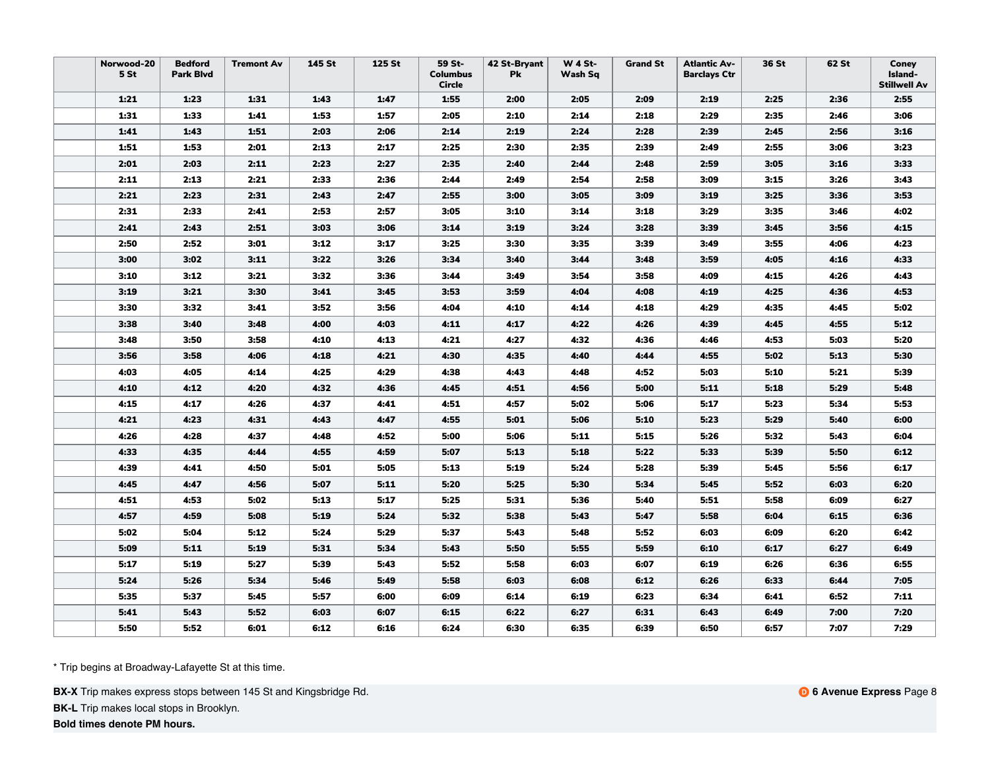| Norwood-20<br>5 <sub>st</sub> | <b>Bedford</b><br><b>Park Blvd</b> | <b>Tremont Av</b> | 145 St | 125 St | 59 St-<br><b>Columbus</b><br><b>Circle</b> | 42 St-Bryant<br>Pk | <b>W 4 St-</b><br>Wash Sq | <b>Grand St</b> | <b>Atlantic Av-</b><br><b>Barclays Ctr</b> | 36 St | 62 St | Coney<br>Island-<br><b>Stillwell Av</b> |
|-------------------------------|------------------------------------|-------------------|--------|--------|--------------------------------------------|--------------------|---------------------------|-----------------|--------------------------------------------|-------|-------|-----------------------------------------|
| 1:21                          | 1:23                               | 1:31              | 1:43   | 1:47   | 1:55                                       | 2:00               | 2:05                      | 2:09            | 2:19                                       | 2:25  | 2:36  | 2:55                                    |
| 1:31                          | 1:33                               | 1:41              | 1:53   | 1:57   | 2:05                                       | 2:10               | 2:14                      | 2:18            | 2:29                                       | 2:35  | 2:46  | 3:06                                    |
| 1:41                          | 1:43                               | 1:51              | 2:03   | 2:06   | 2:14                                       | 2:19               | 2:24                      | 2:28            | 2:39                                       | 2:45  | 2:56  | 3:16                                    |
| 1:51                          | 1:53                               | 2:01              | 2:13   | 2:17   | 2:25                                       | 2:30               | 2:35                      | 2:39            | 2:49                                       | 2:55  | 3:06  | 3:23                                    |
| 2:01                          | 2:03                               | 2:11              | 2:23   | 2:27   | 2:35                                       | 2:40               | 2:44                      | 2:48            | 2:59                                       | 3:05  | 3:16  | 3:33                                    |
| 2:11                          | 2:13                               | 2:21              | 2:33   | 2:36   | 2:44                                       | 2:49               | 2:54                      | 2:58            | 3:09                                       | 3:15  | 3:26  | 3:43                                    |
| 2:21                          | 2:23                               | 2:31              | 2:43   | 2:47   | 2:55                                       | 3:00               | 3:05                      | 3:09            | 3:19                                       | 3:25  | 3:36  | 3:53                                    |
| 2:31                          | 2:33                               | 2:41              | 2:53   | 2:57   | 3:05                                       | 3:10               | 3:14                      | 3:18            | 3:29                                       | 3:35  | 3:46  | 4:02                                    |
| 2:41                          | 2:43                               | 2:51              | 3:03   | 3:06   | 3:14                                       | 3:19               | 3:24                      | 3:28            | 3:39                                       | 3:45  | 3:56  | 4:15                                    |
| 2:50                          | 2:52                               | 3:01              | 3:12   | 3:17   | 3:25                                       | 3:30               | 3:35                      | 3:39            | 3:49                                       | 3:55  | 4:06  | 4:23                                    |
| 3:00                          | 3:02                               | 3:11              | 3:22   | 3:26   | 3:34                                       | 3:40               | 3:44                      | 3:48            | 3:59                                       | 4:05  | 4:16  | 4:33                                    |
| 3:10                          | 3:12                               | 3:21              | 3:32   | 3:36   | 3:44                                       | 3:49               | 3:54                      | 3:58            | 4:09                                       | 4:15  | 4:26  | 4:43                                    |
| 3:19                          | 3:21                               | 3:30              | 3:41   | 3:45   | 3:53                                       | 3:59               | 4:04                      | 4:08            | 4:19                                       | 4:25  | 4:36  | 4:53                                    |
| 3:30                          | 3:32                               | 3:41              | 3:52   | 3:56   | 4:04                                       | 4:10               | 4:14                      | 4:18            | 4:29                                       | 4:35  | 4:45  | 5:02                                    |
| 3:38                          | 3:40                               | 3:48              | 4:00   | 4:03   | 4:11                                       | 4:17               | 4:22                      | 4:26            | 4:39                                       | 4:45  | 4:55  | 5:12                                    |
| 3:48                          | 3:50                               | 3:58              | 4:10   | 4:13   | 4:21                                       | 4:27               | 4:32                      | 4:36            | 4:46                                       | 4:53  | 5:03  | 5:20                                    |
| 3:56                          | 3:58                               | 4:06              | 4:18   | 4:21   | 4:30                                       | 4:35               | 4:40                      | 4:44            | 4:55                                       | 5:02  | 5:13  | 5:30                                    |
| 4:03                          | 4:05                               | 4:14              | 4:25   | 4:29   | 4:38                                       | 4:43               | 4:48                      | 4:52            | 5:03                                       | 5:10  | 5:21  | 5:39                                    |
| 4:10                          | 4:12                               | 4:20              | 4:32   | 4:36   | 4:45                                       | 4:51               | 4:56                      | 5:00            | 5:11                                       | 5:18  | 5:29  | 5:48                                    |
| 4:15                          | 4:17                               | 4:26              | 4:37   | 4:41   | 4:51                                       | 4:57               | 5:02                      | 5:06            | 5:17                                       | 5:23  | 5:34  | 5:53                                    |
| 4:21                          | 4:23                               | 4:31              | 4:43   | 4:47   | 4:55                                       | 5:01               | 5:06                      | 5:10            | 5:23                                       | 5:29  | 5:40  | 6:00                                    |
| 4:26                          | 4:28                               | 4:37              | 4:48   | 4:52   | 5:00                                       | 5:06               | 5:11                      | 5:15            | 5:26                                       | 5:32  | 5:43  | 6:04                                    |
| 4:33                          | 4:35                               | 4:44              | 4:55   | 4:59   | 5:07                                       | 5:13               | 5:18                      | 5:22            | 5:33                                       | 5:39  | 5:50  | 6:12                                    |
| 4:39                          | 4:41                               | 4:50              | 5:01   | 5:05   | 5:13                                       | 5:19               | 5:24                      | 5:28            | 5:39                                       | 5:45  | 5:56  | 6:17                                    |
| 4:45                          | 4:47                               | 4:56              | 5:07   | 5:11   | 5:20                                       | 5:25               | 5:30                      | 5:34            | 5:45                                       | 5:52  | 6:03  | 6:20                                    |
| 4:51                          | 4:53                               | 5:02              | 5:13   | 5:17   | 5:25                                       | 5:31               | 5:36                      | 5:40            | 5:51                                       | 5:58  | 6:09  | 6:27                                    |
| 4:57                          | 4:59                               | 5:08              | 5:19   | 5:24   | 5:32                                       | 5:38               | 5:43                      | 5:47            | 5:58                                       | 6:04  | 6:15  | 6:36                                    |
| 5:02                          | 5:04                               | 5:12              | 5:24   | 5:29   | 5:37                                       | 5:43               | 5:48                      | 5:52            | 6:03                                       | 6:09  | 6:20  | 6:42                                    |
| 5:09                          | 5:11                               | 5:19              | 5:31   | 5:34   | 5:43                                       | 5:50               | 5:55                      | 5:59            | 6:10                                       | 6:17  | 6:27  | 6:49                                    |
| 5:17                          | 5:19                               | 5:27              | 5:39   | 5:43   | 5:52                                       | 5:58               | 6:03                      | 6:07            | 6:19                                       | 6:26  | 6:36  | 6:55                                    |
| 5:24                          | 5:26                               | 5:34              | 5:46   | 5:49   | 5:58                                       | 6:03               | 6:08                      | 6:12            | 6:26                                       | 6:33  | 6:44  | 7:05                                    |
| 5:35                          | 5:37                               | 5:45              | 5:57   | 6:00   | 6:09                                       | 6:14               | 6:19                      | 6:23            | 6:34                                       | 6:41  | 6:52  | 7:11                                    |
| 5:41                          | 5:43                               | 5:52              | 6:03   | 6:07   | 6:15                                       | 6:22               | 6:27                      | 6:31            | 6:43                                       | 6:49  | 7:00  | 7:20                                    |
| 5:50                          | 5:52                               | 6:01              | 6:12   | 6:16   | 6:24                                       | 6:30               | 6:35                      | 6:39            | 6:50                                       | 6:57  | 7:07  | 7:29                                    |

**BX-X** Trip makes express stops between 145 St and Kingsbridge Rd.

**BK-L** Trip makes local stops in Brooklyn.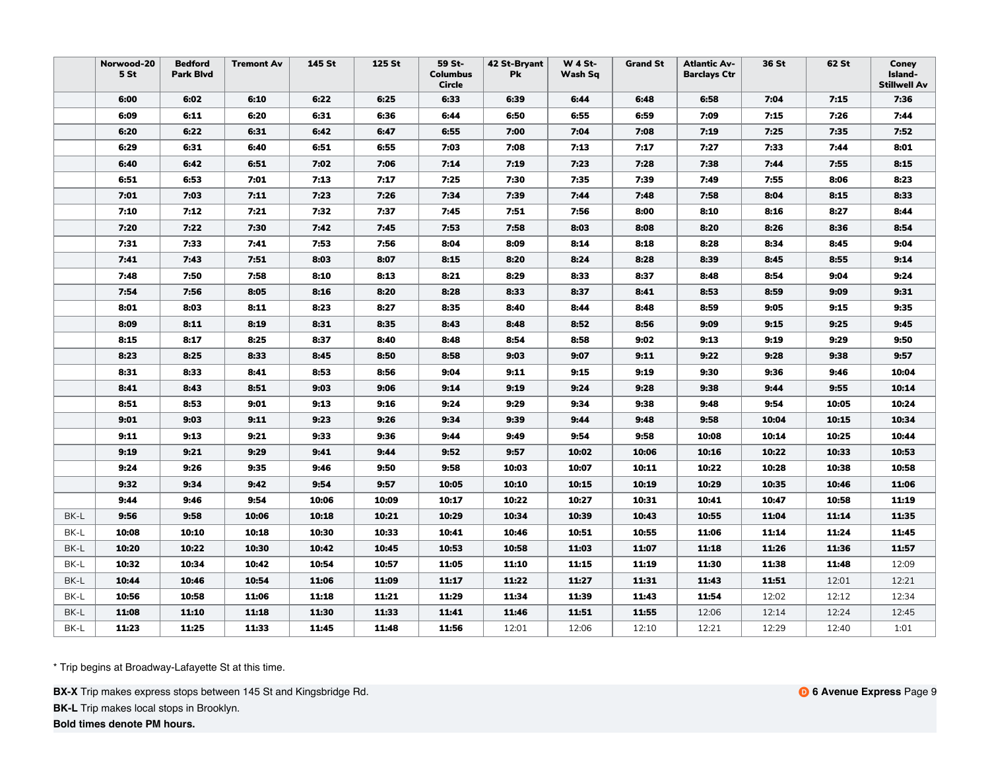|      | Norwood-20<br>5 St | <b>Bedford</b><br><b>Park Blvd</b> | <b>Tremont Av</b> | 145 St | 125 St | 59 St-<br><b>Columbus</b><br><b>Circle</b> | 42 St-Bryant<br>Pk | <b>W 4 St-</b><br>Wash Sq | <b>Grand St</b> | <b>Atlantic Av-</b><br><b>Barclays Ctr</b> | 36 St | 62 St | Coney<br>Island-<br><b>Stillwell Av</b> |
|------|--------------------|------------------------------------|-------------------|--------|--------|--------------------------------------------|--------------------|---------------------------|-----------------|--------------------------------------------|-------|-------|-----------------------------------------|
|      | 6:00               | 6:02                               | 6:10              | 6:22   | 6:25   | 6:33                                       | 6:39               | 6:44                      | 6:48            | 6:58                                       | 7:04  | 7:15  | 7:36                                    |
|      | 6:09               | 6:11                               | 6:20              | 6:31   | 6:36   | 6:44                                       | 6:50               | 6:55                      | 6:59            | 7:09                                       | 7:15  | 7:26  | 7:44                                    |
|      | 6:20               | 6:22                               | 6:31              | 6:42   | 6:47   | 6:55                                       | 7:00               | 7:04                      | 7:08            | 7:19                                       | 7:25  | 7:35  | 7:52                                    |
|      | 6:29               | 6:31                               | 6:40              | 6:51   | 6:55   | 7:03                                       | 7:08               | 7:13                      | 7:17            | 7:27                                       | 7:33  | 7:44  | 8:01                                    |
|      | 6:40               | 6:42                               | 6:51              | 7:02   | 7:06   | 7:14                                       | 7:19               | 7:23                      | 7:28            | 7:38                                       | 7:44  | 7:55  | 8:15                                    |
|      | 6:51               | 6:53                               | 7:01              | 7:13   | 7:17   | 7:25                                       | 7:30               | 7:35                      | 7:39            | 7:49                                       | 7:55  | 8:06  | 8:23                                    |
|      | 7:01               | 7:03                               | 7:11              | 7:23   | 7:26   | 7:34                                       | 7:39               | 7:44                      | 7:48            | 7:58                                       | 8:04  | 8:15  | 8:33                                    |
|      | 7:10               | 7:12                               | 7:21              | 7:32   | 7:37   | 7:45                                       | 7:51               | 7:56                      | 8:00            | 8:10                                       | 8:16  | 8:27  | 8:44                                    |
|      | 7:20               | 7:22                               | 7:30              | 7:42   | 7:45   | 7:53                                       | 7:58               | 8:03                      | 8:08            | 8:20                                       | 8:26  | 8:36  | 8:54                                    |
|      | 7:31               | 7:33                               | 7:41              | 7:53   | 7:56   | 8:04                                       | 8:09               | 8:14                      | 8:18            | 8:28                                       | 8:34  | 8:45  | 9:04                                    |
|      | 7:41               | 7:43                               | 7:51              | 8:03   | 8:07   | 8:15                                       | 8:20               | 8:24                      | 8:28            | 8:39                                       | 8:45  | 8:55  | 9:14                                    |
|      | 7:48               | 7:50                               | 7:58              | 8:10   | 8:13   | 8:21                                       | 8:29               | 8:33                      | 8:37            | 8:48                                       | 8:54  | 9:04  | 9:24                                    |
|      | 7:54               | 7:56                               | 8:05              | 8:16   | 8:20   | 8:28                                       | 8:33               | 8:37                      | 8:41            | 8:53                                       | 8:59  | 9:09  | 9:31                                    |
|      | 8:01               | 8:03                               | 8:11              | 8:23   | 8:27   | 8:35                                       | 8:40               | 8:44                      | 8:48            | 8:59                                       | 9:05  | 9:15  | 9:35                                    |
|      | 8:09               | 8:11                               | 8:19              | 8:31   | 8:35   | 8:43                                       | 8:48               | 8:52                      | 8:56            | 9:09                                       | 9:15  | 9:25  | 9:45                                    |
|      | 8:15               | 8:17                               | 8:25              | 8:37   | 8:40   | 8:48                                       | 8:54               | 8:58                      | 9:02            | 9:13                                       | 9:19  | 9:29  | 9:50                                    |
|      | 8:23               | 8:25                               | 8:33              | 8:45   | 8:50   | 8:58                                       | 9:03               | 9:07                      | 9:11            | 9:22                                       | 9:28  | 9:38  | 9:57                                    |
|      | 8:31               | 8:33                               | 8:41              | 8:53   | 8:56   | 9:04                                       | 9:11               | 9:15                      | 9:19            | 9:30                                       | 9:36  | 9:46  | 10:04                                   |
|      | 8:41               | 8:43                               | 8:51              | 9:03   | 9:06   | 9:14                                       | 9:19               | 9:24                      | 9:28            | 9:38                                       | 9:44  | 9:55  | 10:14                                   |
|      | 8:51               | 8:53                               | 9:01              | 9:13   | 9:16   | 9:24                                       | 9:29               | 9:34                      | 9:38            | 9:48                                       | 9:54  | 10:05 | 10:24                                   |
|      | 9:01               | 9:03                               | 9:11              | 9:23   | 9:26   | 9:34                                       | 9:39               | 9:44                      | 9:48            | 9:58                                       | 10:04 | 10:15 | 10:34                                   |
|      | 9:11               | 9:13                               | 9:21              | 9:33   | 9:36   | 9:44                                       | 9:49               | 9:54                      | 9:58            | 10:08                                      | 10:14 | 10:25 | 10:44                                   |
|      | 9:19               | 9:21                               | 9:29              | 9:41   | 9:44   | 9:52                                       | 9:57               | 10:02                     | 10:06           | 10:16                                      | 10:22 | 10:33 | 10:53                                   |
|      | 9:24               | 9:26                               | 9:35              | 9:46   | 9:50   | 9:58                                       | 10:03              | 10:07                     | 10:11           | 10:22                                      | 10:28 | 10:38 | 10:58                                   |
|      | 9:32               | 9:34                               | 9:42              | 9:54   | 9:57   | 10:05                                      | 10:10              | 10:15                     | 10:19           | 10:29                                      | 10:35 | 10:46 | 11:06                                   |
|      | 9:44               | 9:46                               | 9:54              | 10:06  | 10:09  | 10:17                                      | 10:22              | 10:27                     | 10:31           | 10:41                                      | 10:47 | 10:58 | 11:19                                   |
| BK-L | 9:56               | 9:58                               | 10:06             | 10:18  | 10:21  | 10:29                                      | 10:34              | 10:39                     | 10:43           | 10:55                                      | 11:04 | 11:14 | 11:35                                   |
| BK-L | 10:08              | 10:10                              | 10:18             | 10:30  | 10:33  | 10:41                                      | 10:46              | 10:51                     | 10:55           | 11:06                                      | 11:14 | 11:24 | 11:45                                   |
| BK-L | 10:20              | 10:22                              | 10:30             | 10:42  | 10:45  | 10:53                                      | 10:58              | 11:03                     | 11:07           | 11:18                                      | 11:26 | 11:36 | 11:57                                   |
| BK-L | 10:32              | 10:34                              | 10:42             | 10:54  | 10:57  | 11:05                                      | 11:10              | 11:15                     | 11:19           | 11:30                                      | 11:38 | 11:48 | 12:09                                   |
| BK-L | 10:44              | 10:46                              | 10:54             | 11:06  | 11:09  | 11:17                                      | 11:22              | 11:27                     | 11:31           | 11:43                                      | 11:51 | 12:01 | 12:21                                   |
| BK-L | 10:56              | 10:58                              | 11:06             | 11:18  | 11:21  | 11:29                                      | 11:34              | 11:39                     | 11:43           | 11:54                                      | 12:02 | 12:12 | 12:34                                   |
| BK-L | 11:08              | 11:10                              | 11:18             | 11:30  | 11:33  | 11:41                                      | 11:46              | 11:51                     | 11:55           | 12:06                                      | 12:14 | 12:24 | 12:45                                   |
| BK-L | 11:23              | 11:25                              | 11:33             | 11:45  | 11:48  | 11:56                                      | 12:01              | 12:06                     | 12:10           | 12:21                                      | 12:29 | 12:40 | 1:01                                    |

**BX-X** Trip makes express stops between 145 St and Kingsbridge Rd.

**BK-L** Trip makes local stops in Brooklyn.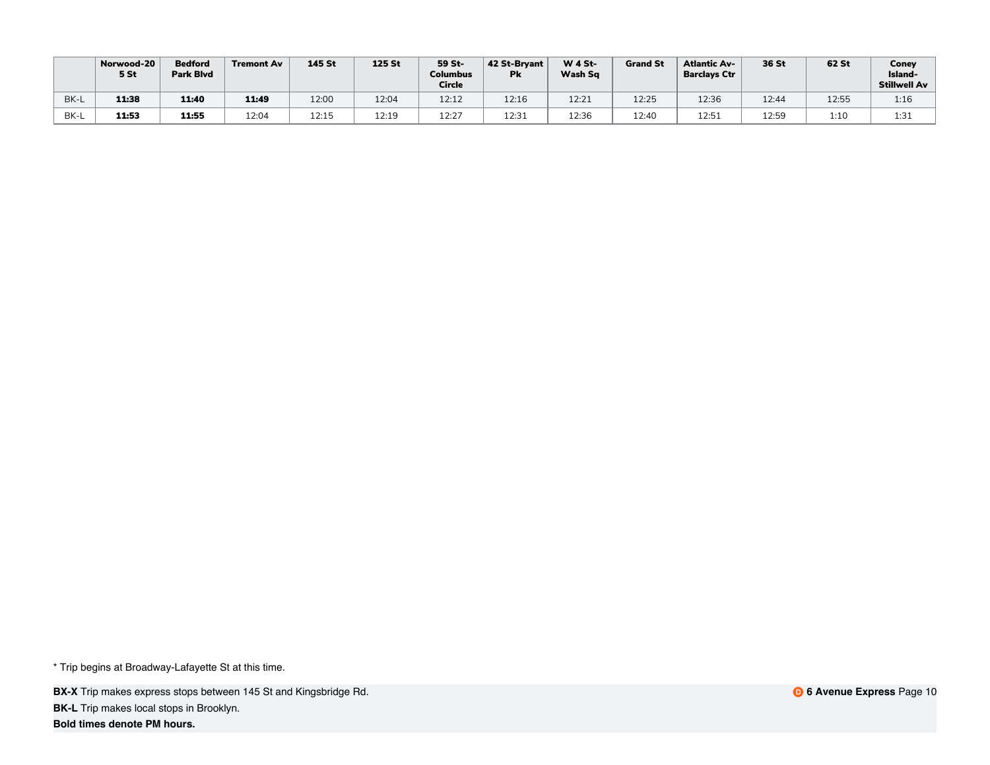|      | Norwood-20<br>5 <sub>st</sub> | <b>Bedford</b><br><b>Park Blvd</b> | <b>Tremont Av</b> | 145 St       | 125 St | 59 St-<br><b>Columbus</b><br><b>Circle</b> | 42 St-Brvant<br><b>Pk</b> | $W$ 4 St-<br>Wash Sq | <b>Grand St</b> | <b>Atlantic Av-</b><br><b>Barclays Ctr</b> | 36 St | 62 St | Coney<br>Island-<br>Stillwell Av |
|------|-------------------------------|------------------------------------|-------------------|--------------|--------|--------------------------------------------|---------------------------|----------------------|-----------------|--------------------------------------------|-------|-------|----------------------------------|
| BK-L | 11:38                         | 11:40                              | 11:49             | 12:00        | 12:04  | 12:12                                      | 12:16                     | 12:21                | 12:25           | 12:36                                      | 12:44 | 12:55 | 1:16                             |
| BK-L | 11:53                         | 11:55                              | 12:04             | 12.15<br>ᅭᄰ… | 12:19  | 12:27                                      | 12:31                     | 12:36                | 12:40           | 12:51                                      | 12:59 | 1:10  | 1:31                             |

**BX-X** Trip makes express stops between 145 St and Kingsbridge Rd. **BK-L** Trip makes local stops in Brooklyn.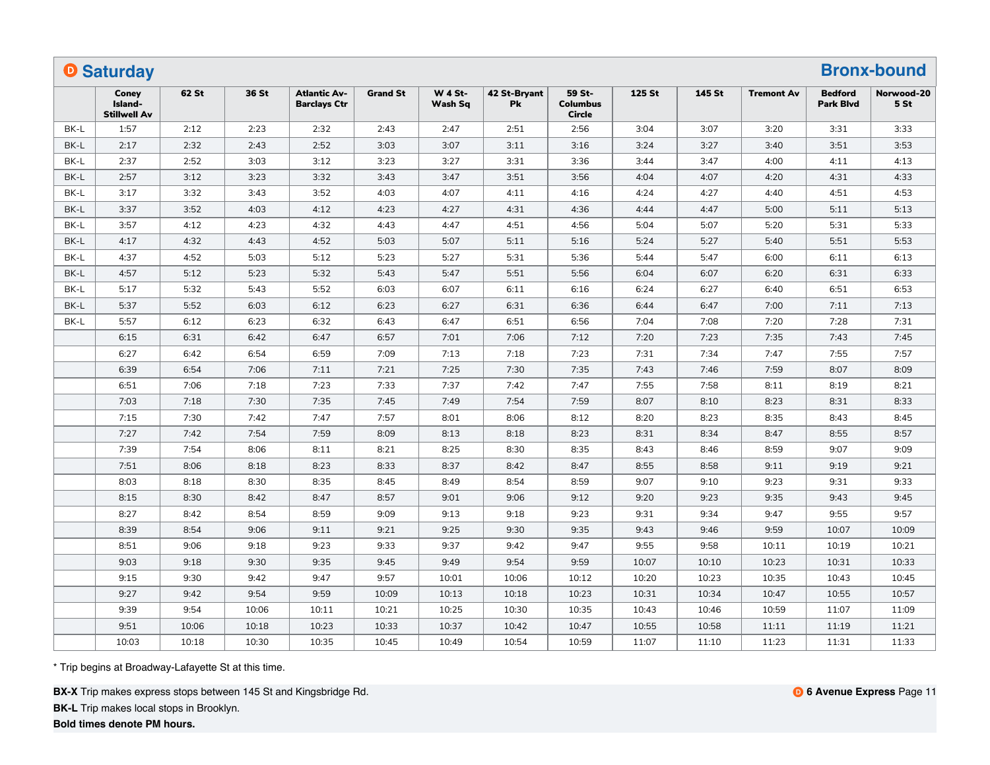|      | <b>O</b> Saturday                       |       |       |                                            |                 |                           |                    |                                            |        |        |                   |                                    | <b>Bronx-bound</b>            |
|------|-----------------------------------------|-------|-------|--------------------------------------------|-----------------|---------------------------|--------------------|--------------------------------------------|--------|--------|-------------------|------------------------------------|-------------------------------|
|      | Conev<br>Island-<br><b>Stillwell Av</b> | 62 St | 36 St | <b>Atlantic Av-</b><br><b>Barclays Ctr</b> | <b>Grand St</b> | <b>W 4 St-</b><br>Wash Sq | 42 St-Bryant<br>Pk | 59 St-<br><b>Columbus</b><br><b>Circle</b> | 125 St | 145 St | <b>Tremont Av</b> | <b>Bedford</b><br><b>Park Blvd</b> | Norwood-20<br>5 <sub>st</sub> |
| BK-L | 1:57                                    | 2:12  | 2:23  | 2:32                                       | 2:43            | 2:47                      | 2:51               | 2:56                                       | 3:04   | 3:07   | 3:20              | 3:31                               | 3:33                          |
| BK-L | 2:17                                    | 2:32  | 2:43  | 2:52                                       | 3:03            | 3:07                      | 3:11               | 3:16                                       | 3:24   | 3:27   | 3:40              | 3:51                               | 3:53                          |
| BK-L | 2:37                                    | 2:52  | 3:03  | 3:12                                       | 3:23            | 3:27                      | 3:31               | 3:36                                       | 3:44   | 3:47   | 4:00              | 4:11                               | 4:13                          |
| BK-L | 2:57                                    | 3:12  | 3:23  | 3:32                                       | 3:43            | 3:47                      | 3:51               | 3:56                                       | 4:04   | 4:07   | 4:20              | 4:31                               | 4:33                          |
| BK-L | 3:17                                    | 3:32  | 3:43  | 3:52                                       | 4:03            | 4:07                      | 4:11               | 4:16                                       | 4:24   | 4:27   | 4:40              | 4:51                               | 4:53                          |
| BK-L | 3:37                                    | 3:52  | 4:03  | 4:12                                       | 4:23            | 4:27                      | 4:31               | 4:36                                       | 4:44   | 4:47   | 5:00              | 5:11                               | 5:13                          |
| BK-L | 3:57                                    | 4:12  | 4:23  | 4:32                                       | 4:43            | 4:47                      | 4:51               | 4:56                                       | 5:04   | 5:07   | 5:20              | 5:31                               | 5:33                          |
| BK-L | 4:17                                    | 4:32  | 4:43  | 4:52                                       | 5:03            | 5:07                      | 5:11               | 5:16                                       | 5:24   | 5:27   | 5:40              | 5:51                               | 5:53                          |
| BK-L | 4:37                                    | 4:52  | 5:03  | 5:12                                       | 5:23            | 5:27                      | 5:31               | 5:36                                       | 5:44   | 5:47   | 6:00              | 6:11                               | 6:13                          |
| BK-L | 4:57                                    | 5:12  | 5:23  | 5:32                                       | 5:43            | 5:47                      | 5:51               | 5:56                                       | 6:04   | 6:07   | 6:20              | 6:31                               | 6:33                          |
| BK-L | 5:17                                    | 5:32  | 5:43  | 5:52                                       | 6:03            | 6:07                      | 6:11               | 6:16                                       | 6:24   | 6:27   | 6:40              | 6:51                               | 6:53                          |
| BK-L | 5:37                                    | 5:52  | 6:03  | 6:12                                       | 6:23            | 6:27                      | 6:31               | 6:36                                       | 6:44   | 6:47   | 7:00              | 7:11                               | 7:13                          |
| BK-L | 5:57                                    | 6:12  | 6:23  | 6:32                                       | 6:43            | 6:47                      | 6:51               | 6:56                                       | 7:04   | 7:08   | 7:20              | 7:28                               | 7:31                          |
|      | 6:15                                    | 6:31  | 6:42  | 6:47                                       | 6:57            | 7:01                      | 7:06               | 7:12                                       | 7:20   | 7:23   | 7:35              | 7:43                               | 7:45                          |
|      | 6:27                                    | 6:42  | 6:54  | 6:59                                       | 7:09            | 7:13                      | 7:18               | 7:23                                       | 7:31   | 7:34   | 7:47              | 7:55                               | 7:57                          |
|      | 6:39                                    | 6:54  | 7:06  | 7:11                                       | 7:21            | 7:25                      | 7:30               | 7:35                                       | 7:43   | 7:46   | 7:59              | 8:07                               | 8:09                          |
|      | 6:51                                    | 7:06  | 7:18  | 7:23                                       | 7:33            | 7:37                      | 7:42               | 7:47                                       | 7:55   | 7:58   | 8:11              | 8:19                               | 8:21                          |
|      | 7:03                                    | 7:18  | 7:30  | 7:35                                       | 7:45            | 7:49                      | 7:54               | 7:59                                       | 8:07   | 8:10   | 8:23              | 8:31                               | 8:33                          |
|      | 7:15                                    | 7:30  | 7:42  | 7:47                                       | 7:57            | 8:01                      | 8:06               | 8:12                                       | 8:20   | 8:23   | 8:35              | 8:43                               | 8:45                          |
|      | 7:27                                    | 7:42  | 7:54  | 7:59                                       | 8:09            | 8:13                      | 8:18               | 8:23                                       | 8:31   | 8:34   | 8:47              | 8:55                               | 8:57                          |
|      | 7:39                                    | 7:54  | 8:06  | 8:11                                       | 8:21            | 8:25                      | 8:30               | 8:35                                       | 8:43   | 8:46   | 8:59              | 9:07                               | 9:09                          |
|      | 7:51                                    | 8:06  | 8:18  | 8:23                                       | 8:33            | 8:37                      | 8:42               | 8:47                                       | 8:55   | 8:58   | 9:11              | 9:19                               | 9:21                          |
|      | 8:03                                    | 8:18  | 8:30  | 8:35                                       | 8:45            | 8:49                      | 8:54               | 8:59                                       | 9:07   | 9:10   | 9:23              | 9:31                               | 9:33                          |
|      | 8:15                                    | 8:30  | 8:42  | 8:47                                       | 8:57            | 9:01                      | 9:06               | 9:12                                       | 9:20   | 9:23   | 9:35              | 9:43                               | 9:45                          |
|      | 8:27                                    | 8:42  | 8:54  | 8:59                                       | 9:09            | 9:13                      | 9:18               | 9:23                                       | 9:31   | 9:34   | 9:47              | 9:55                               | 9:57                          |
|      | 8:39                                    | 8:54  | 9:06  | 9:11                                       | 9:21            | 9:25                      | 9:30               | 9:35                                       | 9:43   | 9:46   | 9:59              | 10:07                              | 10:09                         |
|      | 8:51                                    | 9:06  | 9:18  | 9:23                                       | 9:33            | 9:37                      | 9:42               | 9:47                                       | 9:55   | 9:58   | 10:11             | 10:19                              | 10:21                         |
|      | 9:03                                    | 9:18  | 9:30  | 9:35                                       | 9:45            | 9:49                      | 9:54               | 9:59                                       | 10:07  | 10:10  | 10:23             | 10:31                              | 10:33                         |
|      | 9:15                                    | 9:30  | 9:42  | 9:47                                       | 9:57            | 10:01                     | 10:06              | 10:12                                      | 10:20  | 10:23  | 10:35             | 10:43                              | 10:45                         |
|      | 9:27                                    | 9:42  | 9:54  | 9:59                                       | 10:09           | 10:13                     | 10:18              | 10:23                                      | 10:31  | 10:34  | 10:47             | 10:55                              | 10:57                         |
|      | 9:39                                    | 9:54  | 10:06 | 10:11                                      | 10:21           | 10:25                     | 10:30              | 10:35                                      | 10:43  | 10:46  | 10:59             | 11:07                              | 11:09                         |
|      | 9:51                                    | 10:06 | 10:18 | 10:23                                      | 10:33           | 10:37                     | 10:42              | 10:47                                      | 10:55  | 10:58  | 11:11             | 11:19                              | 11:21                         |
|      | 10:03                                   | 10:18 | 10:30 | 10:35                                      | 10:45           | 10:49                     | 10:54              | 10:59                                      | 11:07  | 11:10  | 11:23             | 11:31                              | 11:33                         |

**BX-X** Trip makes express stops between 145 St and Kingsbridge Rd.

**BK-L** Trip makes local stops in Brooklyn.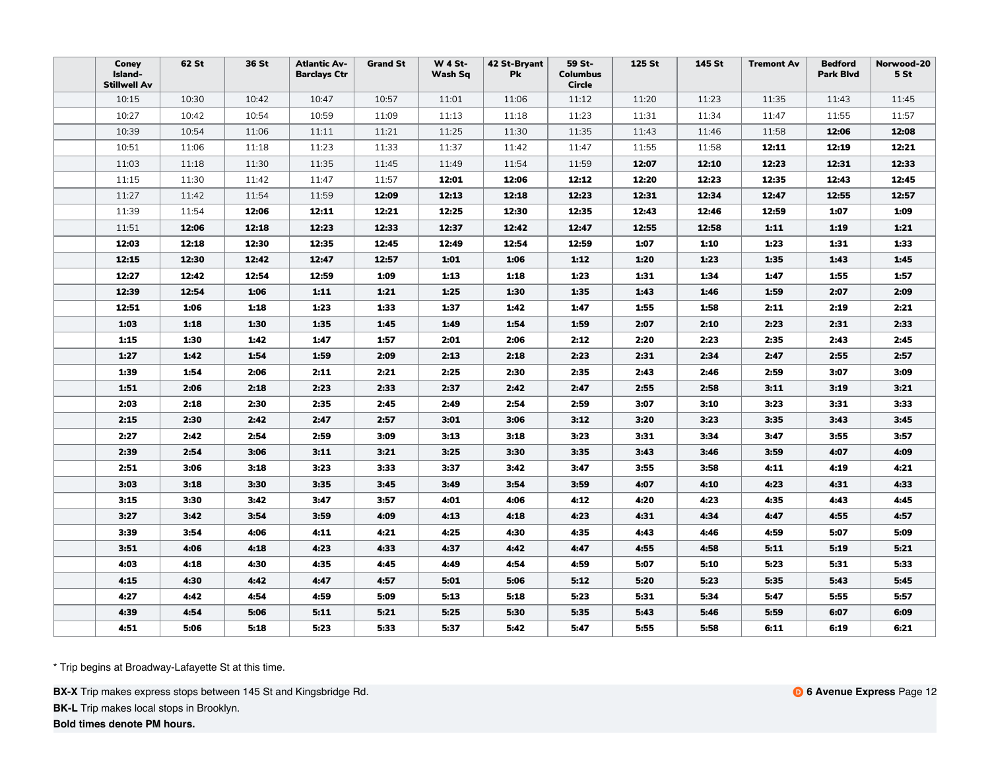| Coney<br>Island-<br><b>Stillwell Av</b> | 62 St | 36 St | <b>Atlantic Av-</b><br><b>Barclays Ctr</b> | <b>Grand St</b> | <b>W 4 St-</b><br>Wash Sq | 42 St-Bryant<br>Pk | 59 St-<br><b>Columbus</b><br>Circle | 125 St | 145 St | <b>Tremont Av</b> | <b>Bedford</b><br><b>Park Blvd</b> | Norwood-20<br>5St |
|-----------------------------------------|-------|-------|--------------------------------------------|-----------------|---------------------------|--------------------|-------------------------------------|--------|--------|-------------------|------------------------------------|-------------------|
| 10:15                                   | 10:30 | 10:42 | 10:47                                      | 10:57           | 11:01                     | 11:06              | 11:12                               | 11:20  | 11:23  | 11:35             | 11:43                              | 11:45             |
| 10:27                                   | 10:42 | 10:54 | 10:59                                      | 11:09           | 11:13                     | 11:18              | 11:23                               | 11:31  | 11:34  | 11:47             | 11:55                              | 11:57             |
| 10:39                                   | 10:54 | 11:06 | 11:11                                      | 11:21           | 11:25                     | 11:30              | 11:35                               | 11:43  | 11:46  | 11:58             | 12:06                              | 12:08             |
| 10:51                                   | 11:06 | 11:18 | 11:23                                      | 11:33           | 11:37                     | 11:42              | 11:47                               | 11:55  | 11:58  | 12:11             | 12:19                              | 12:21             |
| 11:03                                   | 11:18 | 11:30 | 11:35                                      | 11:45           | 11:49                     | 11:54              | 11:59                               | 12:07  | 12:10  | 12:23             | 12:31                              | 12:33             |
| 11:15                                   | 11:30 | 11:42 | 11:47                                      | 11:57           | 12:01                     | 12:06              | 12:12                               | 12:20  | 12:23  | 12:35             | 12:43                              | 12:45             |
| 11:27                                   | 11:42 | 11:54 | 11:59                                      | 12:09           | 12:13                     | 12:18              | 12:23                               | 12:31  | 12:34  | 12:47             | 12:55                              | 12:57             |
| 11:39                                   | 11:54 | 12:06 | 12:11                                      | 12:21           | 12:25                     | 12:30              | 12:35                               | 12:43  | 12:46  | 12:59             | 1:07                               | 1:09              |
| 11:51                                   | 12:06 | 12:18 | 12:23                                      | 12:33           | 12:37                     | 12:42              | 12:47                               | 12:55  | 12:58  | 1:11              | 1:19                               | 1:21              |
| 12:03                                   | 12:18 | 12:30 | 12:35                                      | 12:45           | 12:49                     | 12:54              | 12:59                               | 1:07   | 1:10   | 1:23              | 1:31                               | 1:33              |
| 12:15                                   | 12:30 | 12:42 | 12:47                                      | 12:57           | 1:01                      | 1:06               | 1:12                                | 1:20   | 1:23   | 1:35              | 1:43                               | 1:45              |
| 12:27                                   | 12:42 | 12:54 | 12:59                                      | 1:09            | 1:13                      | 1:18               | 1:23                                | 1:31   | 1:34   | 1:47              | 1:55                               | 1:57              |
| 12:39                                   | 12:54 | 1:06  | 1:11                                       | 1:21            | 1:25                      | 1:30               | 1:35                                | 1:43   | 1:46   | 1:59              | 2:07                               | 2:09              |
| 12:51                                   | 1:06  | 1:18  | 1:23                                       | 1:33            | 1:37                      | 1:42               | 1:47                                | 1:55   | 1:58   | 2:11              | 2:19                               | 2:21              |
| 1:03                                    | 1:18  | 1:30  | 1:35                                       | 1:45            | 1:49                      | 1:54               | 1:59                                | 2:07   | 2:10   | 2:23              | 2:31                               | 2:33              |
| 1:15                                    | 1:30  | 1:42  | 1:47                                       | 1:57            | 2:01                      | 2:06               | 2:12                                | 2:20   | 2:23   | 2:35              | 2:43                               | 2:45              |
| 1:27                                    | 1:42  | 1:54  | 1:59                                       | 2:09            | 2:13                      | 2:18               | 2:23                                | 2:31   | 2:34   | 2:47              | 2:55                               | 2:57              |
| 1:39                                    | 1:54  | 2:06  | 2:11                                       | 2:21            | 2:25                      | 2:30               | 2:35                                | 2:43   | 2:46   | 2:59              | 3:07                               | 3:09              |
| 1:51                                    | 2:06  | 2:18  | 2:23                                       | 2:33            | 2:37                      | 2:42               | 2:47                                | 2:55   | 2:58   | 3:11              | 3:19                               | 3:21              |
| 2:03                                    | 2:18  | 2:30  | 2:35                                       | 2:45            | 2:49                      | 2:54               | 2:59                                | 3:07   | 3:10   | 3:23              | 3:31                               | 3:33              |
| 2:15                                    | 2:30  | 2:42  | 2:47                                       | 2:57            | 3:01                      | 3:06               | 3:12                                | 3:20   | 3:23   | 3:35              | 3:43                               | 3:45              |
| 2:27                                    | 2:42  | 2:54  | 2:59                                       | 3:09            | 3:13                      | 3:18               | 3:23                                | 3:31   | 3:34   | 3:47              | 3:55                               | 3:57              |
| 2:39                                    | 2:54  | 3:06  | 3:11                                       | 3:21            | 3:25                      | 3:30               | 3:35                                | 3:43   | 3:46   | 3:59              | 4:07                               | 4:09              |
| 2:51                                    | 3:06  | 3:18  | 3:23                                       | 3:33            | 3:37                      | 3:42               | 3:47                                | 3:55   | 3:58   | 4:11              | 4:19                               | 4:21              |
| 3:03                                    | 3:18  | 3:30  | 3:35                                       | 3:45            | 3:49                      | 3:54               | 3:59                                | 4:07   | 4:10   | 4:23              | 4:31                               | 4:33              |
| 3:15                                    | 3:30  | 3:42  | 3:47                                       | 3:57            | 4:01                      | 4:06               | 4:12                                | 4:20   | 4:23   | 4:35              | 4:43                               | 4:45              |
| 3:27                                    | 3:42  | 3:54  | 3:59                                       | 4:09            | 4:13                      | 4:18               | 4:23                                | 4:31   | 4:34   | 4:47              | 4:55                               | 4:57              |
| 3:39                                    | 3:54  | 4:06  | 4:11                                       | 4:21            | 4:25                      | 4:30               | 4:35                                | 4:43   | 4:46   | 4:59              | 5:07                               | 5:09              |
| 3:51                                    | 4:06  | 4:18  | 4:23                                       | 4:33            | 4:37                      | 4:42               | 4:47                                | 4:55   | 4:58   | 5:11              | 5:19                               | 5:21              |
| 4:03                                    | 4:18  | 4:30  | 4:35                                       | 4:45            | 4:49                      | 4:54               | 4:59                                | 5:07   | 5:10   | 5:23              | 5:31                               | 5:33              |
| 4:15                                    | 4:30  | 4:42  | 4:47                                       | 4:57            | 5:01                      | 5:06               | 5:12                                | 5:20   | 5:23   | 5:35              | 5:43                               | 5:45              |
| 4:27                                    | 4:42  | 4:54  | 4:59                                       | 5:09            | 5:13                      | 5:18               | 5:23                                | 5:31   | 5:34   | 5:47              | 5:55                               | 5:57              |
| 4:39                                    | 4:54  | 5:06  | 5:11                                       | 5:21            | 5:25                      | 5:30               | 5:35                                | 5:43   | 5:46   | 5:59              | 6:07                               | 6:09              |
| 4:51                                    | 5:06  | 5:18  | 5:23                                       | 5:33            | 5:37                      | 5:42               | 5:47                                | 5:55   | 5:58   | 6:11              | 6:19                               | 6:21              |

**BX-X** Trip makes express stops between 145 St and Kingsbridge Rd.

**BK-L** Trip makes local stops in Brooklyn.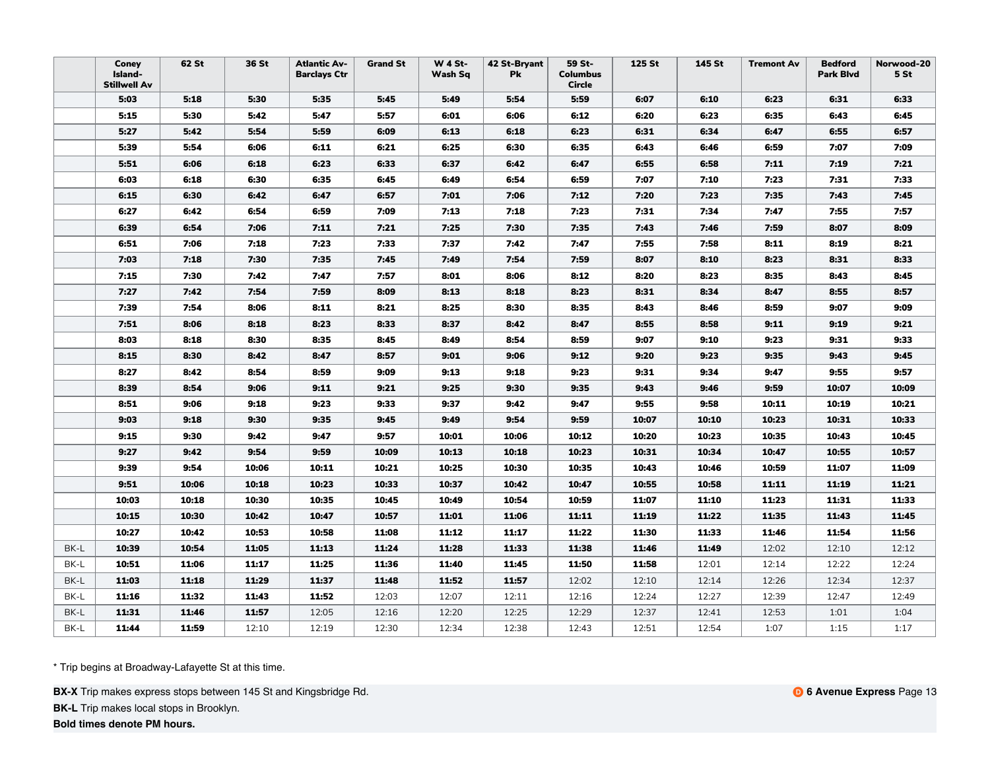|      | Coney<br>Island-<br><b>Stillwell Av</b> | 62 St | 36 St | <b>Atlantic Av-</b><br><b>Barclays Ctr</b> | <b>Grand St</b> | <b>W 4 St-</b><br>Wash Sq | 42 St-Bryant<br><b>Pk</b> | 59 St-<br><b>Columbus</b><br>Circle | 125 St | 145 St | <b>Tremont Av</b> | <b>Bedford</b><br><b>Park Blvd</b> | Norwood-20<br>5 <sub>st</sub> |
|------|-----------------------------------------|-------|-------|--------------------------------------------|-----------------|---------------------------|---------------------------|-------------------------------------|--------|--------|-------------------|------------------------------------|-------------------------------|
|      | 5:03                                    | 5:18  | 5:30  | 5:35                                       | 5:45            | 5:49                      | 5:54                      | 5:59                                | 6:07   | 6:10   | 6:23              | 6:31                               | 6:33                          |
|      | 5:15                                    | 5:30  | 5:42  | 5:47                                       | 5:57            | 6:01                      | 6:06                      | 6:12                                | 6:20   | 6:23   | 6:35              | 6:43                               | 6:45                          |
|      | 5:27                                    | 5:42  | 5:54  | 5:59                                       | 6:09            | 6:13                      | 6:18                      | 6:23                                | 6:31   | 6:34   | 6:47              | 6:55                               | 6:57                          |
|      | 5:39                                    | 5:54  | 6:06  | 6:11                                       | 6:21            | 6:25                      | 6:30                      | 6:35                                | 6:43   | 6:46   | 6:59              | 7:07                               | 7:09                          |
|      | 5:51                                    | 6:06  | 6:18  | 6:23                                       | 6:33            | 6:37                      | 6:42                      | 6:47                                | 6:55   | 6:58   | 7:11              | 7:19                               | 7:21                          |
|      | 6:03                                    | 6:18  | 6:30  | 6:35                                       | 6:45            | 6:49                      | 6:54                      | 6:59                                | 7:07   | 7:10   | 7:23              | 7:31                               | 7:33                          |
|      | 6:15                                    | 6:30  | 6:42  | 6:47                                       | 6:57            | 7:01                      | 7:06                      | 7:12                                | 7:20   | 7:23   | 7:35              | 7:43                               | 7:45                          |
|      | 6:27                                    | 6:42  | 6:54  | 6:59                                       | 7:09            | 7:13                      | 7:18                      | 7:23                                | 7:31   | 7:34   | 7:47              | 7:55                               | 7:57                          |
|      | 6:39                                    | 6:54  | 7:06  | 7:11                                       | 7:21            | 7:25                      | 7:30                      | 7:35                                | 7:43   | 7:46   | 7:59              | 8:07                               | 8:09                          |
|      | 6:51                                    | 7:06  | 7:18  | 7:23                                       | 7:33            | 7:37                      | 7:42                      | 7:47                                | 7:55   | 7:58   | 8:11              | 8:19                               | 8:21                          |
|      | 7:03                                    | 7:18  | 7:30  | 7:35                                       | 7:45            | 7:49                      | 7:54                      | 7:59                                | 8:07   | 8:10   | 8:23              | 8:31                               | 8:33                          |
|      | 7:15                                    | 7:30  | 7:42  | 7:47                                       | 7:57            | 8:01                      | 8:06                      | 8:12                                | 8:20   | 8:23   | 8:35              | 8:43                               | 8:45                          |
|      | 7:27                                    | 7:42  | 7:54  | 7:59                                       | 8:09            | 8:13                      | 8:18                      | 8:23                                | 8:31   | 8:34   | 8:47              | 8:55                               | 8:57                          |
|      | 7:39                                    | 7:54  | 8:06  | 8:11                                       | 8:21            | 8:25                      | 8:30                      | 8:35                                | 8:43   | 8:46   | 8:59              | 9:07                               | 9:09                          |
|      | 7:51                                    | 8:06  | 8:18  | 8:23                                       | 8:33            | 8:37                      | 8:42                      | 8:47                                | 8:55   | 8:58   | 9:11              | 9:19                               | 9:21                          |
|      | 8:03                                    | 8:18  | 8:30  | 8:35                                       | 8:45            | 8:49                      | 8:54                      | 8:59                                | 9:07   | 9:10   | 9:23              | 9:31                               | 9:33                          |
|      | 8:15                                    | 8:30  | 8:42  | 8:47                                       | 8:57            | 9:01                      | 9:06                      | 9:12                                | 9:20   | 9:23   | 9:35              | 9:43                               | 9:45                          |
|      | 8:27                                    | 8:42  | 8:54  | 8:59                                       | 9:09            | 9:13                      | 9:18                      | 9:23                                | 9:31   | 9:34   | 9:47              | 9:55                               | 9:57                          |
|      | 8:39                                    | 8:54  | 9:06  | 9:11                                       | 9:21            | 9:25                      | 9:30                      | 9:35                                | 9:43   | 9:46   | 9:59              | 10:07                              | 10:09                         |
|      | 8:51                                    | 9:06  | 9:18  | 9:23                                       | 9:33            | 9:37                      | 9:42                      | 9:47                                | 9:55   | 9:58   | 10:11             | 10:19                              | 10:21                         |
|      | 9:03                                    | 9:18  | 9:30  | 9:35                                       | 9:45            | 9:49                      | 9:54                      | 9:59                                | 10:07  | 10:10  | 10:23             | 10:31                              | 10:33                         |
|      | 9:15                                    | 9:30  | 9:42  | 9:47                                       | 9:57            | 10:01                     | 10:06                     | 10:12                               | 10:20  | 10:23  | 10:35             | 10:43                              | 10:45                         |
|      | 9:27                                    | 9:42  | 9:54  | 9:59                                       | 10:09           | 10:13                     | 10:18                     | 10:23                               | 10:31  | 10:34  | 10:47             | 10:55                              | 10:57                         |
|      | 9:39                                    | 9:54  | 10:06 | 10:11                                      | 10:21           | 10:25                     | 10:30                     | 10:35                               | 10:43  | 10:46  | 10:59             | 11:07                              | 11:09                         |
|      | 9:51                                    | 10:06 | 10:18 | 10:23                                      | 10:33           | 10:37                     | 10:42                     | 10:47                               | 10:55  | 10:58  | 11:11             | 11:19                              | 11:21                         |
|      | 10:03                                   | 10:18 | 10:30 | 10:35                                      | 10:45           | 10:49                     | 10:54                     | 10:59                               | 11:07  | 11:10  | 11:23             | 11:31                              | 11:33                         |
|      | 10:15                                   | 10:30 | 10:42 | 10:47                                      | 10:57           | 11:01                     | 11:06                     | 11:11                               | 11:19  | 11:22  | 11:35             | 11:43                              | 11:45                         |
|      | 10:27                                   | 10:42 | 10:53 | 10:58                                      | 11:08           | 11:12                     | 11:17                     | 11:22                               | 11:30  | 11:33  | 11:46             | 11:54                              | 11:56                         |
| BK-L | 10:39                                   | 10:54 | 11:05 | 11:13                                      | 11:24           | 11:28                     | 11:33                     | 11:38                               | 11:46  | 11:49  | 12:02             | 12:10                              | 12:12                         |
| BK-L | 10:51                                   | 11:06 | 11:17 | 11:25                                      | 11:36           | 11:40                     | 11:45                     | 11:50                               | 11:58  | 12:01  | 12:14             | 12:22                              | 12:24                         |
| BK-L | 11:03                                   | 11:18 | 11:29 | 11:37                                      | 11:48           | 11:52                     | 11:57                     | 12:02                               | 12:10  | 12:14  | 12:26             | 12:34                              | 12:37                         |
| BK-L | 11:16                                   | 11:32 | 11:43 | 11:52                                      | 12:03           | 12:07                     | 12:11                     | 12:16                               | 12:24  | 12:27  | 12:39             | 12:47                              | 12:49                         |
| BK-L | 11:31                                   | 11:46 | 11:57 | 12:05                                      | 12:16           | 12:20                     | 12:25                     | 12:29                               | 12:37  | 12:41  | 12:53             | 1:01                               | 1:04                          |
| BK-L | 11:44                                   | 11:59 | 12:10 | 12:19                                      | 12:30           | 12:34                     | 12:38                     | 12:43                               | 12:51  | 12:54  | 1:07              | 1:15                               | 1:17                          |

**BX-X** Trip makes express stops between 145 St and Kingsbridge Rd.

**BK-L** Trip makes local stops in Brooklyn.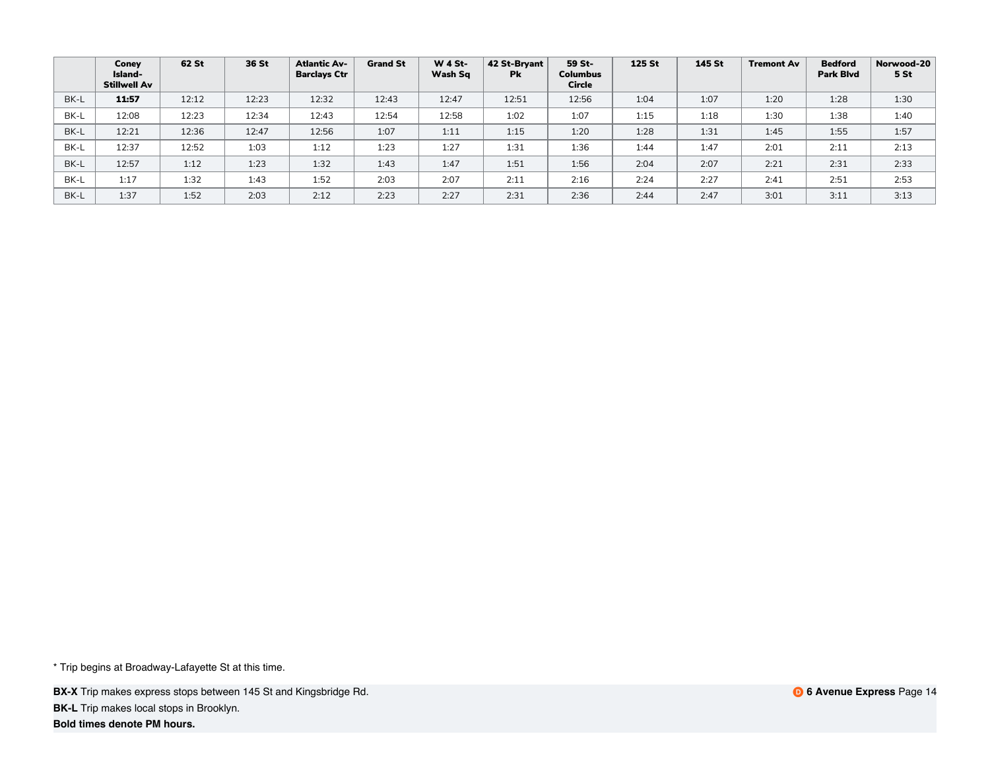|      | Coney<br>Island-<br>Stillwell Av | 62 St | 36 St | <b>Atlantic Av-</b><br><b>Barclays Ctr</b> | <b>Grand St</b> | <b>W 4 St-</b><br>Wash Sq | 42 St-Bryant<br><b>Pk</b> | 59 St-<br><b>Columbus</b><br><b>Circle</b> | <b>125 St</b> | 145 St | <b>Tremont Av</b> | <b>Bedford</b><br><b>Park Blvd</b> | Norwood-20<br>5 St |
|------|----------------------------------|-------|-------|--------------------------------------------|-----------------|---------------------------|---------------------------|--------------------------------------------|---------------|--------|-------------------|------------------------------------|--------------------|
| BK-L | 11:57                            | 12:12 | 12:23 | 12:32                                      | 12:43           | 12:47                     | 12:51                     | 12:56                                      | 1:04          | 1:07   | 1:20              | 1:28                               | 1:30               |
| BK-L | 12:08                            | 12:23 | 12:34 | 12:43                                      | 12:54           | 12:58                     | 1:02                      | 1:07                                       | 1:15          | 1:18   | 1:30              | 1:38                               | 1:40               |
| BK-L | 12:21                            | 12:36 | 12:47 | 12:56                                      | 1:07            | 1:11                      | 1:15                      | 1:20                                       | 1:28          | 1:31   | 1:45              | 1:55                               | 1:57               |
| BK-L | 12:37                            | 12:52 | 1:03  | 1:12                                       | 1:23            | 1:27                      | 1:31                      | 1:36                                       | 1:44          | 1:47   | 2:01              | 2:11                               | 2:13               |
| BK-L | 12:57                            | 1:12  | 1:23  | 1:32                                       | 1:43            | 1:47                      | 1:51                      | 1:56                                       | 2:04          | 2:07   | 2:21              | 2:31                               | 2:33               |
| BK-L | 1:17                             | 1:32  | 1:43  | 1:52                                       | 2:03            | 2:07                      | 2:11                      | 2:16                                       | 2:24          | 2:27   | 2:41              | 2:51                               | 2:53               |
| BK-L | 1:37                             | 1:52  | 2:03  | 2:12                                       | 2:23            | 2:27                      | 2:31                      | 2:36                                       | 2:44          | 2:47   | 3:01              | 3:11                               | 3:13               |

**BX-X** Trip makes express stops between 145 St and Kingsbridge Rd. **BK-L** Trip makes local stops in Brooklyn.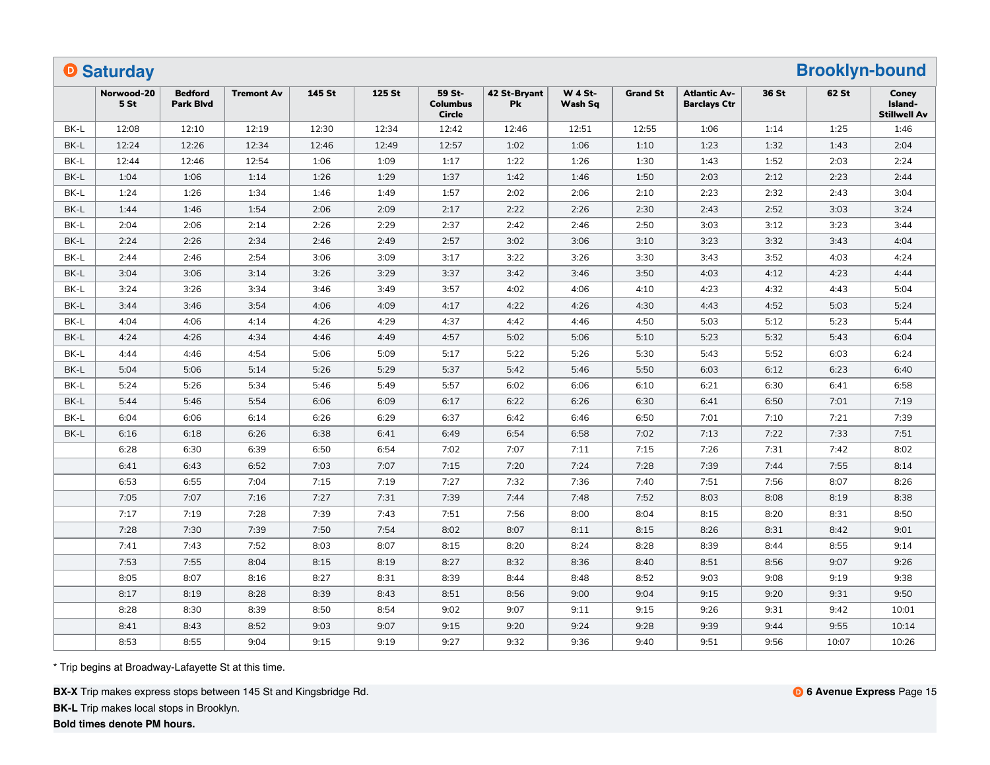|      | <b>O</b> Saturday  |                                    |                   |        |        |                                            |                    |                           |                 |                                            |       | <b>Brooklyn-bound</b> |                                         |
|------|--------------------|------------------------------------|-------------------|--------|--------|--------------------------------------------|--------------------|---------------------------|-----------------|--------------------------------------------|-------|-----------------------|-----------------------------------------|
|      | Norwood-20<br>5 St | <b>Bedford</b><br><b>Park Blvd</b> | <b>Tremont Av</b> | 145 St | 125 St | 59 St-<br><b>Columbus</b><br><b>Circle</b> | 42 St-Bryant<br>Pk | <b>W 4 St-</b><br>Wash Sq | <b>Grand St</b> | <b>Atlantic Av-</b><br><b>Barclays Ctr</b> | 36 St | 62 St                 | Coney<br>Island-<br><b>Stillwell Av</b> |
| BK-L | 12:08              | 12:10                              | 12:19             | 12:30  | 12:34  | 12:42                                      | 12:46              | 12:51                     | 12:55           | 1:06                                       | 1:14  | 1:25                  | 1:46                                    |
| BK-L | 12:24              | 12:26                              | 12:34             | 12:46  | 12:49  | 12:57                                      | 1:02               | 1:06                      | 1:10            | 1:23                                       | 1:32  | 1:43                  | 2:04                                    |
| BK-L | 12:44              | 12:46                              | 12:54             | 1:06   | 1:09   | 1:17                                       | 1:22               | 1:26                      | 1:30            | 1:43                                       | 1:52  | 2:03                  | 2:24                                    |
| BK-L | 1:04               | 1:06                               | 1:14              | 1:26   | 1:29   | 1:37                                       | 1:42               | 1:46                      | 1:50            | 2:03                                       | 2:12  | 2:23                  | 2:44                                    |
| BK-L | 1:24               | 1:26                               | 1:34              | 1:46   | 1:49   | 1:57                                       | 2:02               | 2:06                      | 2:10            | 2:23                                       | 2:32  | 2:43                  | 3:04                                    |
| BK-L | 1:44               | 1:46                               | 1:54              | 2:06   | 2:09   | 2:17                                       | 2:22               | 2:26                      | 2:30            | 2:43                                       | 2:52  | 3:03                  | 3:24                                    |
| BK-L | 2:04               | 2:06                               | 2:14              | 2:26   | 2:29   | 2:37                                       | 2:42               | 2:46                      | 2:50            | 3:03                                       | 3:12  | 3:23                  | 3:44                                    |
| BK-L | 2:24               | 2:26                               | 2:34              | 2:46   | 2:49   | 2:57                                       | 3:02               | 3:06                      | 3:10            | 3:23                                       | 3:32  | 3:43                  | 4:04                                    |
| BK-L | 2:44               | 2:46                               | 2:54              | 3:06   | 3:09   | 3:17                                       | 3:22               | 3:26                      | 3:30            | 3:43                                       | 3:52  | 4:03                  | 4:24                                    |
| BK-L | 3:04               | 3:06                               | 3:14              | 3:26   | 3:29   | 3:37                                       | 3:42               | 3:46                      | 3:50            | 4:03                                       | 4:12  | 4:23                  | 4:44                                    |
| BK-L | 3:24               | 3:26                               | 3:34              | 3:46   | 3:49   | 3:57                                       | 4:02               | 4:06                      | 4:10            | 4:23                                       | 4:32  | 4:43                  | 5:04                                    |
| BK-L | 3:44               | 3:46                               | 3:54              | 4:06   | 4:09   | 4:17                                       | 4:22               | 4:26                      | 4:30            | 4:43                                       | 4:52  | 5:03                  | 5:24                                    |
| BK-L | 4:04               | 4:06                               | 4:14              | 4:26   | 4:29   | 4:37                                       | 4:42               | 4:46                      | 4:50            | 5:03                                       | 5:12  | 5:23                  | 5:44                                    |
| BK-L | 4:24               | 4:26                               | 4:34              | 4:46   | 4:49   | 4:57                                       | 5:02               | 5:06                      | 5:10            | 5:23                                       | 5:32  | 5:43                  | 6:04                                    |
| BK-L | 4:44               | 4:46                               | 4:54              | 5:06   | 5:09   | 5:17                                       | 5:22               | 5:26                      | 5:30            | 5:43                                       | 5:52  | 6:03                  | 6:24                                    |
| BK-L | 5:04               | 5:06                               | 5:14              | 5:26   | 5:29   | 5:37                                       | 5:42               | 5:46                      | 5:50            | 6:03                                       | 6:12  | 6:23                  | 6:40                                    |
| BK-L | 5:24               | 5:26                               | 5:34              | 5:46   | 5:49   | 5:57                                       | 6:02               | 6:06                      | 6:10            | 6:21                                       | 6:30  | 6:41                  | 6:58                                    |
| BK-L | 5:44               | 5:46                               | 5:54              | 6:06   | 6:09   | 6:17                                       | 6:22               | 6:26                      | 6:30            | 6:41                                       | 6:50  | 7:01                  | 7:19                                    |
| BK-L | 6:04               | 6:06                               | 6:14              | 6:26   | 6:29   | 6:37                                       | 6:42               | 6:46                      | 6:50            | 7:01                                       | 7:10  | 7:21                  | 7:39                                    |
| BK-L | 6:16               | 6:18                               | 6:26              | 6:38   | 6:41   | 6:49                                       | 6:54               | 6:58                      | 7:02            | 7:13                                       | 7:22  | 7:33                  | 7:51                                    |
|      | 6:28               | 6:30                               | 6:39              | 6:50   | 6:54   | 7:02                                       | 7:07               | 7:11                      | 7:15            | 7:26                                       | 7:31  | 7:42                  | 8:02                                    |
|      | 6:41               | 6:43                               | 6:52              | 7:03   | 7:07   | 7:15                                       | 7:20               | 7:24                      | 7:28            | 7:39                                       | 7:44  | 7:55                  | 8:14                                    |
|      | 6:53               | 6:55                               | 7:04              | 7:15   | 7:19   | 7:27                                       | 7:32               | 7:36                      | 7:40            | 7:51                                       | 7:56  | 8:07                  | 8:26                                    |
|      | 7:05               | 7:07                               | 7:16              | 7:27   | 7:31   | 7:39                                       | 7:44               | 7:48                      | 7:52            | 8:03                                       | 8:08  | 8:19                  | 8:38                                    |
|      | 7:17               | 7:19                               | 7:28              | 7:39   | 7:43   | 7:51                                       | 7:56               | 8:00                      | 8:04            | 8:15                                       | 8:20  | 8:31                  | 8:50                                    |
|      | 7:28               | 7:30                               | 7:39              | 7:50   | 7:54   | 8:02                                       | 8:07               | 8:11                      | 8:15            | 8:26                                       | 8:31  | 8:42                  | 9:01                                    |
|      | 7:41               | 7:43                               | 7:52              | 8:03   | 8:07   | 8:15                                       | 8:20               | 8:24                      | 8:28            | 8:39                                       | 8:44  | 8:55                  | 9:14                                    |
|      | 7:53               | 7:55                               | 8:04              | 8:15   | 8:19   | 8:27                                       | 8:32               | 8:36                      | 8:40            | 8:51                                       | 8:56  | 9:07                  | 9:26                                    |
|      | 8:05               | 8:07                               | 8:16              | 8:27   | 8:31   | 8:39                                       | 8:44               | 8:48                      | 8:52            | 9:03                                       | 9:08  | 9:19                  | 9:38                                    |
|      | 8:17               | 8:19                               | 8:28              | 8:39   | 8:43   | 8:51                                       | 8:56               | 9:00                      | 9:04            | 9:15                                       | 9:20  | 9:31                  | 9:50                                    |
|      | 8:28               | 8:30                               | 8:39              | 8:50   | 8:54   | 9:02                                       | 9:07               | 9:11                      | 9:15            | 9:26                                       | 9:31  | 9:42                  | 10:01                                   |
|      | 8:41               | 8:43                               | 8:52              | 9:03   | 9:07   | 9:15                                       | 9:20               | 9:24                      | 9:28            | 9:39                                       | 9:44  | 9:55                  | 10:14                                   |
|      | 8:53               | 8:55                               | 9:04              | 9:15   | 9:19   | 9:27                                       | 9:32               | 9:36                      | 9:40            | 9:51                                       | 9:56  | 10:07                 | 10:26                                   |

**BX-X** Trip makes express stops between 145 St and Kingsbridge Rd.

**BK-L** Trip makes local stops in Brooklyn.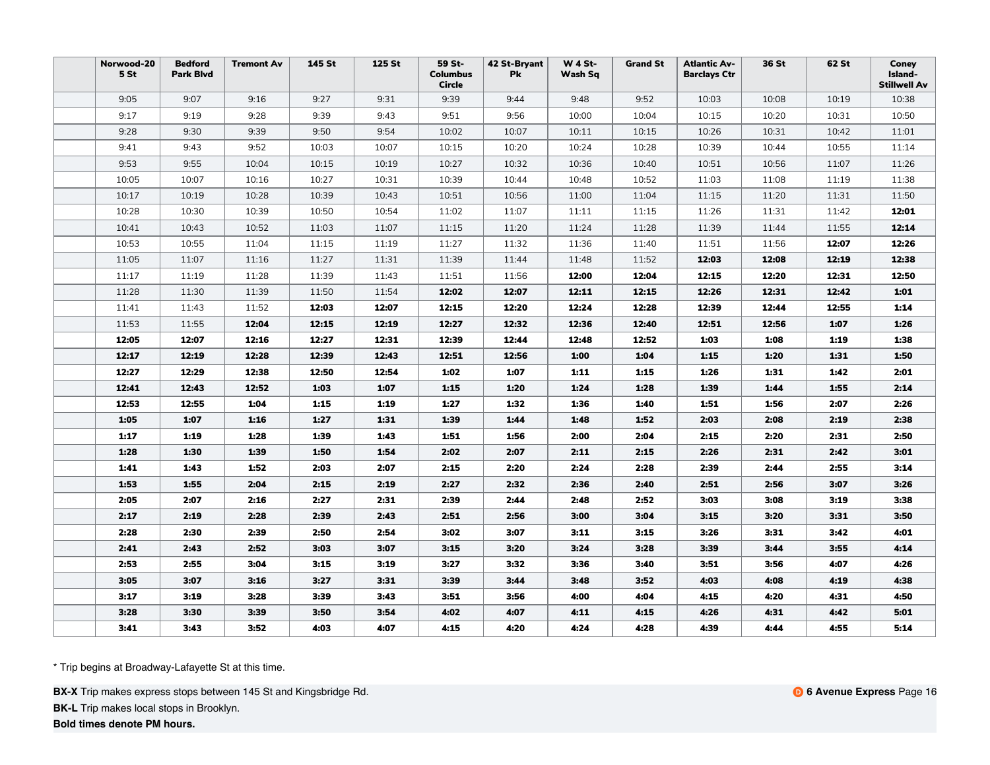| Norwood-20<br>5 St | <b>Bedford</b><br><b>Park Blvd</b> | <b>Tremont Av</b> | <b>145 St</b> | 125 St | 59 St-<br><b>Columbus</b><br><b>Circle</b> | 42 St-Bryant<br><b>Pk</b> | <b>W 4 St-</b><br>Wash Sq | <b>Grand St</b> | <b>Atlantic Av-</b><br><b>Barclays Ctr</b> | 36 St | 62 St | Coney<br>Island-<br><b>Stillwell Av</b> |
|--------------------|------------------------------------|-------------------|---------------|--------|--------------------------------------------|---------------------------|---------------------------|-----------------|--------------------------------------------|-------|-------|-----------------------------------------|
| 9:05               | 9:07                               | 9:16              | 9:27          | 9:31   | 9:39                                       | 9:44                      | 9:48                      | 9:52            | 10:03                                      | 10:08 | 10:19 | 10:38                                   |
| 9:17               | 9:19                               | 9:28              | 9:39          | 9:43   | 9:51                                       | 9:56                      | 10:00                     | 10:04           | 10:15                                      | 10:20 | 10:31 | 10:50                                   |
| 9:28               | 9:30                               | 9:39              | 9:50          | 9:54   | 10:02                                      | 10:07                     | 10:11                     | 10:15           | 10:26                                      | 10:31 | 10:42 | 11:01                                   |
| 9:41               | 9:43                               | 9:52              | 10:03         | 10:07  | 10:15                                      | 10:20                     | 10:24                     | 10:28           | 10:39                                      | 10:44 | 10:55 | 11:14                                   |
| 9:53               | 9:55                               | 10:04             | 10:15         | 10:19  | 10:27                                      | 10:32                     | 10:36                     | 10:40           | 10:51                                      | 10:56 | 11:07 | 11:26                                   |
| 10:05              | 10:07                              | 10:16             | 10:27         | 10:31  | 10:39                                      | 10:44                     | 10:48                     | 10:52           | 11:03                                      | 11:08 | 11:19 | 11:38                                   |
| 10:17              | 10:19                              | 10:28             | 10:39         | 10:43  | 10:51                                      | 10:56                     | 11:00                     | 11:04           | 11:15                                      | 11:20 | 11:31 | 11:50                                   |
| 10:28              | 10:30                              | 10:39             | 10:50         | 10:54  | 11:02                                      | 11:07                     | 11:11                     | 11:15           | 11:26                                      | 11:31 | 11:42 | 12:01                                   |
| 10:41              | 10:43                              | 10:52             | 11:03         | 11:07  | 11:15                                      | 11:20                     | 11:24                     | 11:28           | 11:39                                      | 11:44 | 11:55 | 12:14                                   |
| 10:53              | 10:55                              | 11:04             | 11:15         | 11:19  | 11:27                                      | 11:32                     | 11:36                     | 11:40           | 11:51                                      | 11:56 | 12:07 | 12:26                                   |
| 11:05              | 11:07                              | 11:16             | 11:27         | 11:31  | 11:39                                      | 11:44                     | 11:48                     | 11:52           | 12:03                                      | 12:08 | 12:19 | 12:38                                   |
| 11:17              | 11:19                              | 11:28             | 11:39         | 11:43  | 11:51                                      | 11:56                     | 12:00                     | 12:04           | 12:15                                      | 12:20 | 12:31 | 12:50                                   |
| 11:28              | 11:30                              | 11:39             | 11:50         | 11:54  | 12:02                                      | 12:07                     | 12:11                     | 12:15           | 12:26                                      | 12:31 | 12:42 | 1:01                                    |
| 11:41              | 11:43                              | 11:52             | 12:03         | 12:07  | 12:15                                      | 12:20                     | 12:24                     | 12:28           | 12:39                                      | 12:44 | 12:55 | 1:14                                    |
| 11:53              | 11:55                              | 12:04             | 12:15         | 12:19  | 12:27                                      | 12:32                     | 12:36                     | 12:40           | 12:51                                      | 12:56 | 1:07  | 1:26                                    |
| 12:05              | 12:07                              | 12:16             | 12:27         | 12:31  | 12:39                                      | 12:44                     | 12:48                     | 12:52           | 1:03                                       | 1:08  | 1:19  | 1:38                                    |
| 12:17              | 12:19                              | 12:28             | 12:39         | 12:43  | 12:51                                      | 12:56                     | 1:00                      | 1:04            | 1:15                                       | 1:20  | 1:31  | 1:50                                    |
| 12:27              | 12:29                              | 12:38             | 12:50         | 12:54  | 1:02                                       | 1:07                      | 1:11                      | 1:15            | 1:26                                       | 1:31  | 1:42  | 2:01                                    |
| 12:41              | 12:43                              | 12:52             | 1:03          | 1:07   | 1:15                                       | 1:20                      | 1:24                      | 1:28            | 1:39                                       | 1:44  | 1:55  | 2:14                                    |
| 12:53              | 12:55                              | 1:04              | 1:15          | 1:19   | 1:27                                       | 1:32                      | 1:36                      | 1:40            | 1:51                                       | 1:56  | 2:07  | 2:26                                    |
| 1:05               | 1:07                               | 1:16              | 1:27          | 1:31   | 1:39                                       | 1:44                      | 1:48                      | 1:52            | 2:03                                       | 2:08  | 2:19  | 2:38                                    |
| 1:17               | 1:19                               | 1:28              | 1:39          | 1:43   | 1:51                                       | 1:56                      | 2:00                      | 2:04            | 2:15                                       | 2:20  | 2:31  | 2:50                                    |
| 1:28               | 1:30                               | 1:39              | 1:50          | 1:54   | 2:02                                       | 2:07                      | 2:11                      | 2:15            | 2:26                                       | 2:31  | 2:42  | 3:01                                    |
| 1:41               | 1:43                               | 1:52              | 2:03          | 2:07   | 2:15                                       | 2:20                      | 2:24                      | 2:28            | 2:39                                       | 2:44  | 2:55  | 3:14                                    |
| 1:53               | 1:55                               | 2:04              | 2:15          | 2:19   | 2:27                                       | 2:32                      | 2:36                      | 2:40            | 2:51                                       | 2:56  | 3:07  | 3:26                                    |
| 2:05               | 2:07                               | 2:16              | 2:27          | 2:31   | 2:39                                       | 2:44                      | 2:48                      | 2:52            | 3:03                                       | 3:08  | 3:19  | 3:38                                    |
| 2:17               | 2:19                               | 2:28              | 2:39          | 2:43   | 2:51                                       | 2:56                      | 3:00                      | 3:04            | 3:15                                       | 3:20  | 3:31  | 3:50                                    |
| 2:28               | 2:30                               | 2:39              | 2:50          | 2:54   | 3:02                                       | 3:07                      | 3:11                      | 3:15            | 3:26                                       | 3:31  | 3:42  | 4:01                                    |
| 2:41               | 2:43                               | 2:52              | 3:03          | 3:07   | 3:15                                       | 3:20                      | 3:24                      | 3:28            | 3:39                                       | 3:44  | 3:55  | 4:14                                    |
| 2:53               | 2:55                               | 3:04              | 3:15          | 3:19   | 3:27                                       | 3:32                      | 3:36                      | 3:40            | 3:51                                       | 3:56  | 4:07  | 4:26                                    |
| 3:05               | 3:07                               | 3:16              | 3:27          | 3:31   | 3:39                                       | 3:44                      | 3:48                      | 3:52            | 4:03                                       | 4:08  | 4:19  | 4:38                                    |
| 3:17               | 3:19                               | 3:28              | 3:39          | 3:43   | 3:51                                       | 3:56                      | 4:00                      | 4:04            | 4:15                                       | 4:20  | 4:31  | 4:50                                    |
| 3:28               | 3:30                               | 3:39              | 3:50          | 3:54   | 4:02                                       | 4:07                      | 4:11                      | 4:15            | 4:26                                       | 4:31  | 4:42  | 5:01                                    |
| 3:41               | 3:43                               | 3:52              | 4:03          | 4:07   | 4:15                                       | 4:20                      | 4:24                      | 4:28            | 4:39                                       | 4:44  | 4:55  | 5:14                                    |

**BX-X** Trip makes express stops between 145 St and Kingsbridge Rd.

**BK-L** Trip makes local stops in Brooklyn.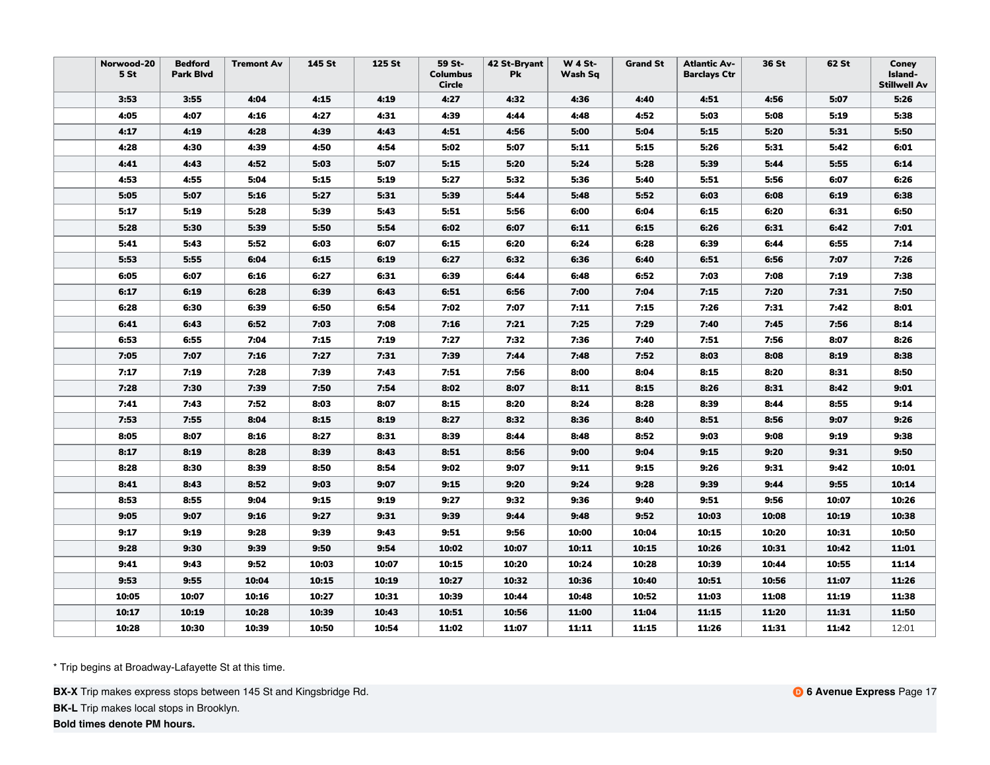| Norwood-20<br>5 <sub>st</sub> | <b>Bedford</b><br><b>Park Blvd</b> | <b>Tremont Av</b> | 145 St | 125 St | 59 St-<br><b>Columbus</b><br><b>Circle</b> | 42 St-Bryant<br>Pk | <b>W 4 St-</b><br>Wash Sq | <b>Grand St</b> | <b>Atlantic Av-</b><br><b>Barclays Ctr</b> | 36 St | 62 St | Coney<br>Island-<br><b>Stillwell Av</b> |
|-------------------------------|------------------------------------|-------------------|--------|--------|--------------------------------------------|--------------------|---------------------------|-----------------|--------------------------------------------|-------|-------|-----------------------------------------|
| 3:53                          | 3:55                               | 4:04              | 4:15   | 4:19   | 4:27                                       | 4:32               | 4:36                      | 4:40            | 4:51                                       | 4:56  | 5:07  | 5:26                                    |
| 4:05                          | 4:07                               | 4:16              | 4:27   | 4:31   | 4:39                                       | 4:44               | 4:48                      | 4:52            | 5:03                                       | 5:08  | 5:19  | 5:38                                    |
| 4:17                          | 4:19                               | 4:28              | 4:39   | 4:43   | 4:51                                       | 4:56               | 5:00                      | 5:04            | 5:15                                       | 5:20  | 5:31  | 5:50                                    |
| 4:28                          | 4:30                               | 4:39              | 4:50   | 4:54   | 5:02                                       | 5:07               | 5:11                      | 5:15            | 5:26                                       | 5:31  | 5:42  | 6:01                                    |
| 4:41                          | 4:43                               | 4:52              | 5:03   | 5:07   | 5:15                                       | 5:20               | 5:24                      | 5:28            | 5:39                                       | 5:44  | 5:55  | 6:14                                    |
| 4:53                          | 4:55                               | 5:04              | 5:15   | 5:19   | 5:27                                       | 5:32               | 5:36                      | 5:40            | 5:51                                       | 5:56  | 6:07  | 6:26                                    |
| 5:05                          | 5:07                               | 5:16              | 5:27   | 5:31   | 5:39                                       | 5:44               | 5:48                      | 5:52            | 6:03                                       | 6:08  | 6:19  | 6:38                                    |
| 5:17                          | 5:19                               | 5:28              | 5:39   | 5:43   | 5:51                                       | 5:56               | 6:00                      | 6:04            | 6:15                                       | 6:20  | 6:31  | 6:50                                    |
| 5:28                          | 5:30                               | 5:39              | 5:50   | 5:54   | 6:02                                       | 6:07               | 6:11                      | 6:15            | 6:26                                       | 6:31  | 6:42  | 7:01                                    |
| 5:41                          | 5:43                               | 5:52              | 6:03   | 6:07   | 6:15                                       | 6:20               | 6:24                      | 6:28            | 6:39                                       | 6:44  | 6:55  | 7:14                                    |
| 5:53                          | 5:55                               | 6:04              | 6:15   | 6:19   | 6:27                                       | 6:32               | 6:36                      | 6:40            | 6:51                                       | 6:56  | 7:07  | 7:26                                    |
| 6:05                          | 6:07                               | 6:16              | 6:27   | 6:31   | 6:39                                       | 6:44               | 6:48                      | 6:52            | 7:03                                       | 7:08  | 7:19  | 7:38                                    |
| 6:17                          | 6:19                               | 6:28              | 6:39   | 6:43   | 6:51                                       | 6:56               | 7:00                      | 7:04            | 7:15                                       | 7:20  | 7:31  | 7:50                                    |
| 6:28                          | 6:30                               | 6:39              | 6:50   | 6:54   | 7:02                                       | 7:07               | 7:11                      | 7:15            | 7:26                                       | 7:31  | 7:42  | 8:01                                    |
| 6:41                          | 6:43                               | 6:52              | 7:03   | 7:08   | 7:16                                       | 7:21               | 7:25                      | 7:29            | 7:40                                       | 7:45  | 7:56  | 8:14                                    |
| 6:53                          | 6:55                               | 7:04              | 7:15   | 7:19   | 7:27                                       | 7:32               | 7:36                      | 7:40            | 7:51                                       | 7:56  | 8:07  | 8:26                                    |
| 7:05                          | 7:07                               | 7:16              | 7:27   | 7:31   | 7:39                                       | 7:44               | 7:48                      | 7:52            | 8:03                                       | 8:08  | 8:19  | 8:38                                    |
| 7:17                          | 7:19                               | 7:28              | 7:39   | 7:43   | 7:51                                       | 7:56               | 8:00                      | 8:04            | 8:15                                       | 8:20  | 8:31  | 8:50                                    |
| 7:28                          | 7:30                               | 7:39              | 7:50   | 7:54   | 8:02                                       | 8:07               | 8:11                      | 8:15            | 8:26                                       | 8:31  | 8:42  | 9:01                                    |
| 7:41                          | 7:43                               | 7:52              | 8:03   | 8:07   | 8:15                                       | 8:20               | 8:24                      | 8:28            | 8:39                                       | 8:44  | 8:55  | 9:14                                    |
| 7:53                          | 7:55                               | 8:04              | 8:15   | 8:19   | 8:27                                       | 8:32               | 8:36                      | 8:40            | 8:51                                       | 8:56  | 9:07  | 9:26                                    |
| 8:05                          | 8:07                               | 8:16              | 8:27   | 8:31   | 8:39                                       | 8:44               | 8:48                      | 8:52            | 9:03                                       | 9:08  | 9:19  | 9:38                                    |
| 8:17                          | 8:19                               | 8:28              | 8:39   | 8:43   | 8:51                                       | 8:56               | 9:00                      | 9:04            | 9:15                                       | 9:20  | 9:31  | 9:50                                    |
| 8:28                          | 8:30                               | 8:39              | 8:50   | 8:54   | 9:02                                       | 9:07               | 9:11                      | 9:15            | 9:26                                       | 9:31  | 9:42  | 10:01                                   |
| 8:41                          | 8:43                               | 8:52              | 9:03   | 9:07   | 9:15                                       | 9:20               | 9:24                      | 9:28            | 9:39                                       | 9:44  | 9:55  | 10:14                                   |
| 8:53                          | 8:55                               | 9:04              | 9:15   | 9:19   | 9:27                                       | 9:32               | 9:36                      | 9:40            | 9:51                                       | 9:56  | 10:07 | 10:26                                   |
| 9:05                          | 9:07                               | 9:16              | 9:27   | 9:31   | 9:39                                       | 9:44               | 9:48                      | 9:52            | 10:03                                      | 10:08 | 10:19 | 10:38                                   |
| 9:17                          | 9:19                               | 9:28              | 9:39   | 9:43   | 9:51                                       | 9:56               | 10:00                     | 10:04           | 10:15                                      | 10:20 | 10:31 | 10:50                                   |
| 9:28                          | 9:30                               | 9:39              | 9:50   | 9:54   | 10:02                                      | 10:07              | 10:11                     | 10:15           | 10:26                                      | 10:31 | 10:42 | 11:01                                   |
| 9:41                          | 9:43                               | 9:52              | 10:03  | 10:07  | 10:15                                      | 10:20              | 10:24                     | 10:28           | 10:39                                      | 10:44 | 10:55 | 11:14                                   |
| 9:53                          | 9:55                               | 10:04             | 10:15  | 10:19  | 10:27                                      | 10:32              | 10:36                     | 10:40           | 10:51                                      | 10:56 | 11:07 | 11:26                                   |
| 10:05                         | 10:07                              | 10:16             | 10:27  | 10:31  | 10:39                                      | 10:44              | 10:48                     | 10:52           | 11:03                                      | 11:08 | 11:19 | 11:38                                   |
| 10:17                         | 10:19                              | 10:28             | 10:39  | 10:43  | 10:51                                      | 10:56              | 11:00                     | 11:04           | 11:15                                      | 11:20 | 11:31 | 11:50                                   |
| 10:28                         | 10:30                              | 10:39             | 10:50  | 10:54  | 11:02                                      | 11:07              | 11:11                     | 11:15           | 11:26                                      | 11:31 | 11:42 | 12:01                                   |

**BX-X** Trip makes express stops between 145 St and Kingsbridge Rd.

**BK-L** Trip makes local stops in Brooklyn.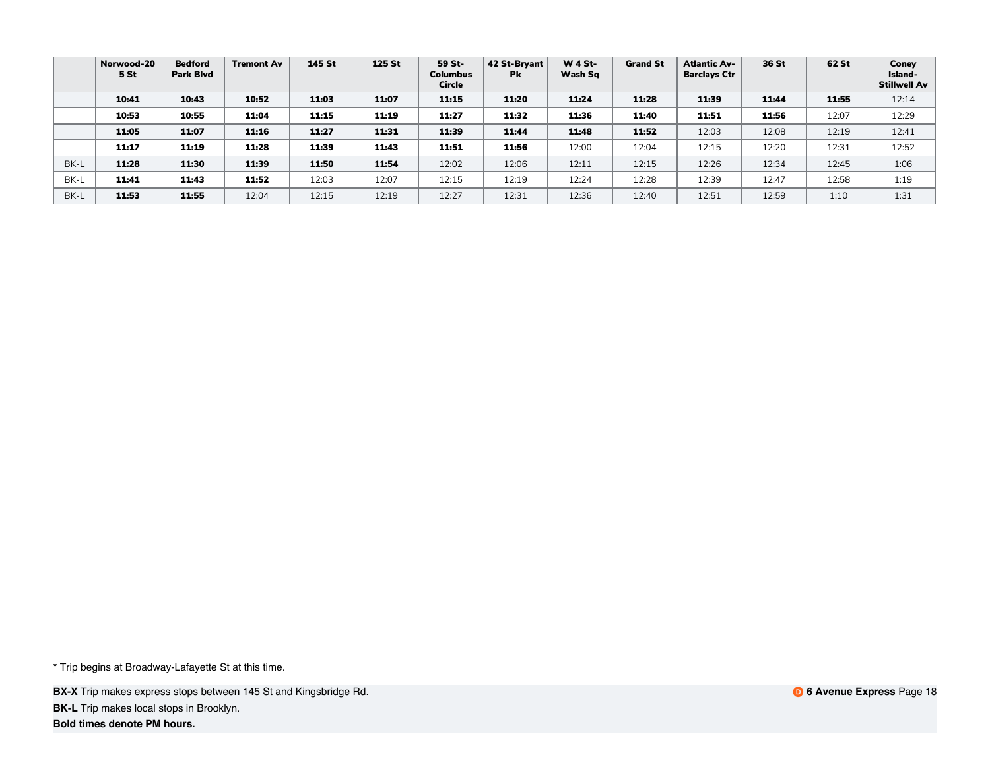|      | Norwood-20<br>5 St | <b>Bedford</b><br><b>Park Blyd</b> | <b>Tremont Av</b> | 145 St | 125 St | 59 St-<br><b>Columbus</b><br>Circle | 42 St-Bryant<br><b>Pk</b> | <b>W 4 St-</b><br>Wash Sq | <b>Grand St</b> | <b>Atlantic Av-</b><br><b>Barclays Ctr</b> | 36 St | 62 St | Coney<br>Island-<br>Stillwell Av |
|------|--------------------|------------------------------------|-------------------|--------|--------|-------------------------------------|---------------------------|---------------------------|-----------------|--------------------------------------------|-------|-------|----------------------------------|
|      | 10:41              | 10:43                              | 10:52             | 11:03  | 11:07  | 11:15                               | 11:20                     | 11:24                     | 11:28           | 11:39                                      | 11:44 | 11:55 | 12:14                            |
|      | 10:53              | 10:55                              | 11:04             | 11:15  | 11:19  | 11:27                               | 11:32                     | 11:36                     | 11:40           | 11:51                                      | 11:56 | 12:07 | 12:29                            |
|      | 11:05              | 11:07                              | 11:16             | 11:27  | 11:31  | 11:39                               | 11:44                     | 11:48                     | 11:52           | 12:03                                      | 12:08 | 12:19 | 12:41                            |
|      | 11:17              | 11:19                              | 11:28             | 11:39  | 11:43  | 11:51                               | 11:56                     | 12:00                     | 12:04           | 12:15                                      | 12:20 | 12:31 | 12:52                            |
| BK-L | 11:28              | 11:30                              | 11:39             | 11:50  | 11:54  | 12:02                               | 12:06                     | 12:11                     | 12:15           | 12:26                                      | 12:34 | 12:45 | 1:06                             |
| BK-L | 11:41              | 11:43                              | 11:52             | 12:03  | 12:07  | 12:15                               | 12:19                     | 12:24                     | 12:28           | 12:39                                      | 12:47 | 12:58 | 1:19                             |
| BK-L | 11:53              | 11:55                              | 12:04             | 12:15  | 12:19  | 12:27                               | 12:31                     | 12:36                     | 12:40           | 12:51                                      | 12:59 | 1:10  | 1:31                             |

**BX-X** Trip makes express stops between 145 St and Kingsbridge Rd. **BK-L** Trip makes local stops in Brooklyn.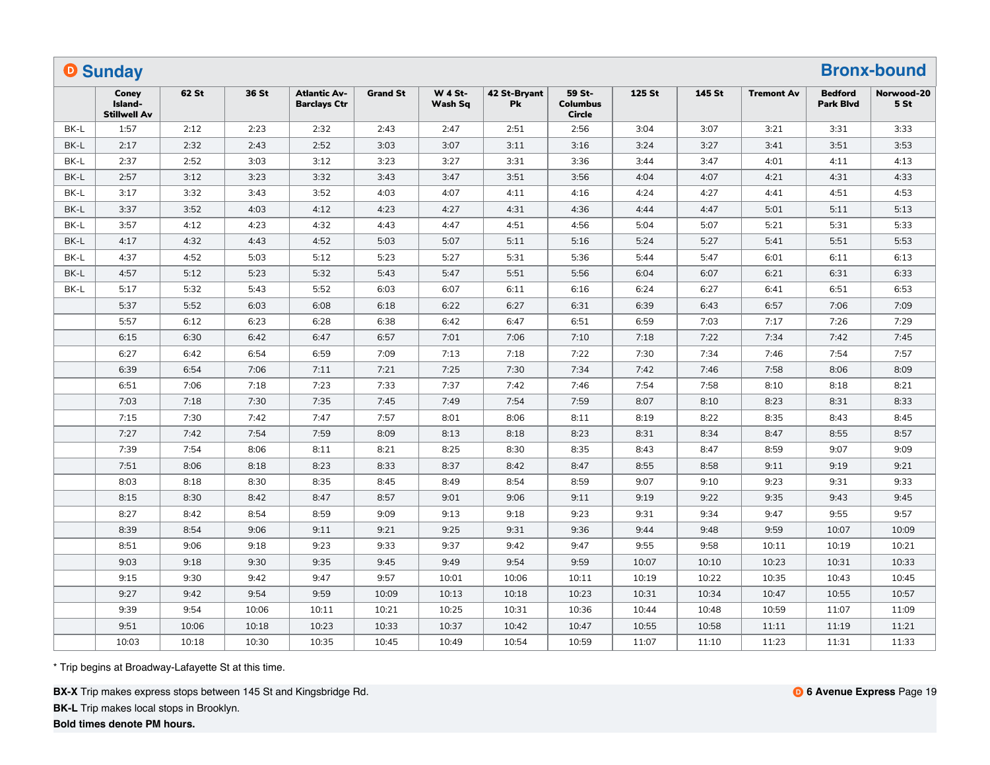|      | <b>O</b> Sunday                         |       |       |                                            |                 |                           |                    |                                            |        |        |                   |                                    | <b>Bronx-bound</b>            |
|------|-----------------------------------------|-------|-------|--------------------------------------------|-----------------|---------------------------|--------------------|--------------------------------------------|--------|--------|-------------------|------------------------------------|-------------------------------|
|      | Coney<br>Island-<br><b>Stillwell Av</b> | 62 St | 36 St | <b>Atlantic Av-</b><br><b>Barclays Ctr</b> | <b>Grand St</b> | <b>W 4 St-</b><br>Wash Sq | 42 St-Bryant<br>Pk | 59 St-<br><b>Columbus</b><br><b>Circle</b> | 125 St | 145 St | <b>Tremont Av</b> | <b>Bedford</b><br><b>Park Blvd</b> | Norwood-20<br>5 <sub>st</sub> |
| BK-L | 1:57                                    | 2:12  | 2:23  | 2:32                                       | 2:43            | 2:47                      | 2:51               | 2:56                                       | 3:04   | 3:07   | 3:21              | 3:31                               | 3:33                          |
| BK-L | 2:17                                    | 2:32  | 2:43  | 2:52                                       | 3:03            | 3:07                      | 3:11               | 3:16                                       | 3:24   | 3:27   | 3:41              | 3:51                               | 3:53                          |
| BK-L | 2:37                                    | 2:52  | 3:03  | 3:12                                       | 3:23            | 3:27                      | 3:31               | 3:36                                       | 3:44   | 3:47   | 4:01              | 4:11                               | 4:13                          |
| BK-L | 2:57                                    | 3:12  | 3:23  | 3:32                                       | 3:43            | 3:47                      | 3:51               | 3:56                                       | 4:04   | 4:07   | 4:21              | 4:31                               | 4:33                          |
| BK-L | 3:17                                    | 3:32  | 3:43  | 3:52                                       | 4:03            | 4:07                      | 4:11               | 4:16                                       | 4:24   | 4:27   | 4:41              | 4:51                               | 4:53                          |
| BK-L | 3:37                                    | 3:52  | 4:03  | 4:12                                       | 4:23            | 4:27                      | 4:31               | 4:36                                       | 4:44   | 4:47   | 5:01              | 5:11                               | 5:13                          |
| BK-L | 3:57                                    | 4:12  | 4:23  | 4:32                                       | 4:43            | 4:47                      | 4:51               | 4:56                                       | 5:04   | 5:07   | 5:21              | 5:31                               | 5:33                          |
| BK-L | 4:17                                    | 4:32  | 4:43  | 4:52                                       | 5:03            | 5:07                      | 5:11               | 5:16                                       | 5:24   | 5:27   | 5:41              | 5:51                               | 5:53                          |
| BK-L | 4:37                                    | 4:52  | 5:03  | 5:12                                       | 5:23            | 5:27                      | 5:31               | 5:36                                       | 5:44   | 5:47   | 6:01              | 6:11                               | 6:13                          |
| BK-L | 4:57                                    | 5:12  | 5:23  | 5:32                                       | 5:43            | 5:47                      | 5:51               | 5:56                                       | 6:04   | 6:07   | 6:21              | 6:31                               | 6:33                          |
| BK-L | 5:17                                    | 5:32  | 5:43  | 5:52                                       | 6:03            | 6:07                      | 6:11               | 6:16                                       | 6:24   | 6:27   | 6:41              | 6:51                               | 6:53                          |
|      | 5:37                                    | 5:52  | 6:03  | 6:08                                       | 6:18            | 6:22                      | 6:27               | 6:31                                       | 6:39   | 6:43   | 6:57              | 7:06                               | 7:09                          |
|      | 5:57                                    | 6:12  | 6:23  | 6:28                                       | 6:38            | 6:42                      | 6:47               | 6:51                                       | 6:59   | 7:03   | 7:17              | 7:26                               | 7:29                          |
|      | 6:15                                    | 6:30  | 6:42  | 6:47                                       | 6:57            | 7:01                      | 7:06               | 7:10                                       | 7:18   | 7:22   | 7:34              | 7:42                               | 7:45                          |
|      | 6:27                                    | 6:42  | 6:54  | 6:59                                       | 7:09            | 7:13                      | 7:18               | 7:22                                       | 7:30   | 7:34   | 7:46              | 7:54                               | 7:57                          |
|      | 6:39                                    | 6:54  | 7:06  | 7:11                                       | 7:21            | 7:25                      | 7:30               | 7:34                                       | 7:42   | 7:46   | 7:58              | 8:06                               | 8:09                          |
|      | 6:51                                    | 7:06  | 7:18  | 7:23                                       | 7:33            | 7:37                      | 7:42               | 7:46                                       | 7:54   | 7:58   | 8:10              | 8:18                               | 8:21                          |
|      | 7:03                                    | 7:18  | 7:30  | 7:35                                       | 7:45            | 7:49                      | 7:54               | 7:59                                       | 8:07   | 8:10   | 8:23              | 8:31                               | 8:33                          |
|      | 7:15                                    | 7:30  | 7:42  | 7:47                                       | 7:57            | 8:01                      | 8:06               | 8:11                                       | 8:19   | 8:22   | 8:35              | 8:43                               | 8:45                          |
|      | 7:27                                    | 7:42  | 7:54  | 7:59                                       | 8:09            | 8:13                      | 8:18               | 8:23                                       | 8:31   | 8:34   | 8:47              | 8:55                               | 8:57                          |
|      | 7:39                                    | 7:54  | 8:06  | 8:11                                       | 8:21            | 8:25                      | 8:30               | 8:35                                       | 8:43   | 8:47   | 8:59              | 9:07                               | 9:09                          |
|      | 7:51                                    | 8:06  | 8:18  | 8:23                                       | 8:33            | 8:37                      | 8:42               | 8:47                                       | 8:55   | 8:58   | 9:11              | 9:19                               | 9:21                          |
|      | 8:03                                    | 8:18  | 8:30  | 8:35                                       | 8:45            | 8:49                      | 8:54               | 8:59                                       | 9:07   | 9:10   | 9:23              | 9:31                               | 9:33                          |
|      | 8:15                                    | 8:30  | 8:42  | 8:47                                       | 8:57            | 9:01                      | 9:06               | 9:11                                       | 9:19   | 9:22   | 9:35              | 9:43                               | 9:45                          |
|      | 8:27                                    | 8:42  | 8:54  | 8:59                                       | 9:09            | 9:13                      | 9:18               | 9:23                                       | 9:31   | 9:34   | 9:47              | 9:55                               | 9:57                          |
|      | 8:39                                    | 8:54  | 9:06  | 9:11                                       | 9:21            | 9:25                      | 9:31               | 9:36                                       | 9:44   | 9:48   | 9:59              | 10:07                              | 10:09                         |
|      | 8:51                                    | 9:06  | 9:18  | 9:23                                       | 9:33            | 9:37                      | 9:42               | 9:47                                       | 9:55   | 9:58   | 10:11             | 10:19                              | 10:21                         |
|      | 9:03                                    | 9:18  | 9:30  | 9:35                                       | 9:45            | 9:49                      | 9:54               | 9:59                                       | 10:07  | 10:10  | 10:23             | 10:31                              | 10:33                         |
|      | 9:15                                    | 9:30  | 9:42  | 9:47                                       | 9:57            | 10:01                     | 10:06              | 10:11                                      | 10:19  | 10:22  | 10:35             | 10:43                              | 10:45                         |
|      | 9:27                                    | 9:42  | 9:54  | 9:59                                       | 10:09           | 10:13                     | 10:18              | 10:23                                      | 10:31  | 10:34  | 10:47             | 10:55                              | 10:57                         |
|      | 9:39                                    | 9:54  | 10:06 | 10:11                                      | 10:21           | 10:25                     | 10:31              | 10:36                                      | 10:44  | 10:48  | 10:59             | 11:07                              | 11:09                         |
|      | 9:51                                    | 10:06 | 10:18 | 10:23                                      | 10:33           | 10:37                     | 10:42              | 10:47                                      | 10:55  | 10:58  | 11:11             | 11:19                              | 11:21                         |
|      | 10:03                                   | 10:18 | 10:30 | 10:35                                      | 10:45           | 10:49                     | 10:54              | 10:59                                      | 11:07  | 11:10  | 11:23             | 11:31                              | 11:33                         |

**BX-X** Trip makes express stops between 145 St and Kingsbridge Rd.

**BK-L** Trip makes local stops in Brooklyn.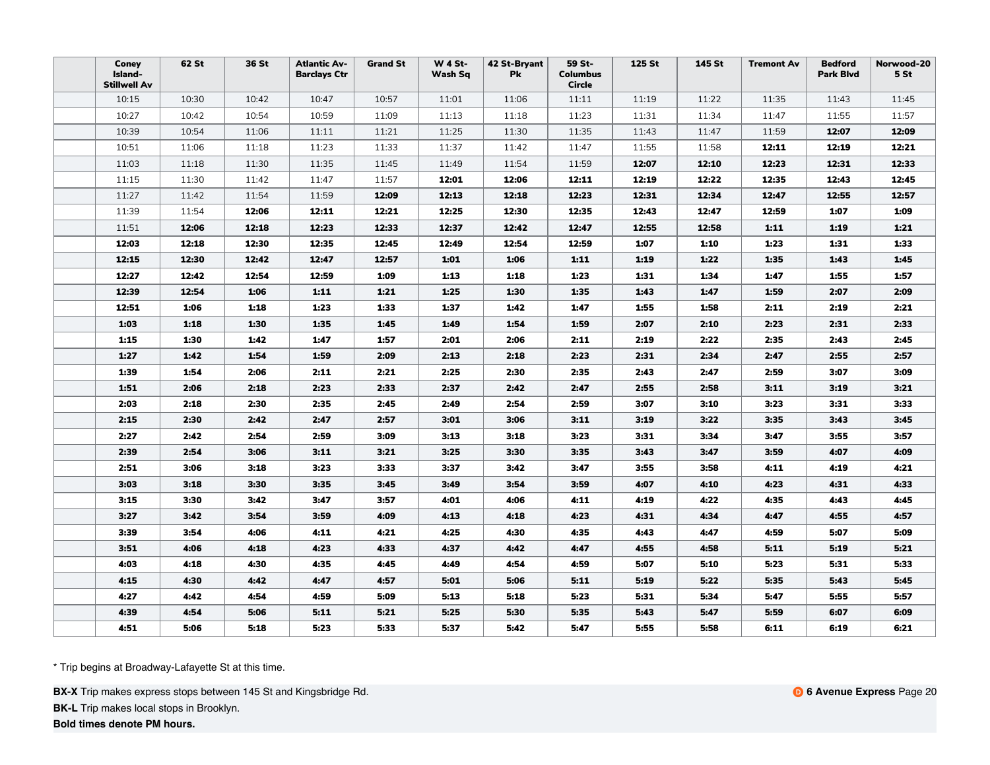| Coney<br>Island-<br><b>Stillwell Av</b> | 62 St | 36 St | <b>Atlantic Av-</b><br><b>Barclays Ctr</b> | <b>Grand St</b> | <b>W 4 St-</b><br>Wash Sq | 42 St-Bryant<br><b>Pk</b> | 59 St-<br><b>Columbus</b><br>Circle | 125 St | 145 St | <b>Tremont Av</b> | <b>Bedford</b><br><b>Park Blvd</b> | Norwood-20<br>5 <sub>st</sub> |
|-----------------------------------------|-------|-------|--------------------------------------------|-----------------|---------------------------|---------------------------|-------------------------------------|--------|--------|-------------------|------------------------------------|-------------------------------|
| 10:15                                   | 10:30 | 10:42 | 10:47                                      | 10:57           | 11:01                     | 11:06                     | 11:11                               | 11:19  | 11:22  | 11:35             | 11:43                              | 11:45                         |
| 10:27                                   | 10:42 | 10:54 | 10:59                                      | 11:09           | 11:13                     | 11:18                     | 11:23                               | 11:31  | 11:34  | 11:47             | 11:55                              | 11:57                         |
| 10:39                                   | 10:54 | 11:06 | 11:11                                      | 11:21           | 11:25                     | 11:30                     | 11:35                               | 11:43  | 11:47  | 11:59             | 12:07                              | 12:09                         |
| 10:51                                   | 11:06 | 11:18 | 11:23                                      | 11:33           | 11:37                     | 11:42                     | 11:47                               | 11:55  | 11:58  | 12:11             | 12:19                              | 12:21                         |
| 11:03                                   | 11:18 | 11:30 | 11:35                                      | 11:45           | 11:49                     | 11:54                     | 11:59                               | 12:07  | 12:10  | 12:23             | 12:31                              | 12:33                         |
| 11:15                                   | 11:30 | 11:42 | 11:47                                      | 11:57           | 12:01                     | 12:06                     | 12:11                               | 12:19  | 12:22  | 12:35             | 12:43                              | 12:45                         |
| 11:27                                   | 11:42 | 11:54 | 11:59                                      | 12:09           | 12:13                     | 12:18                     | 12:23                               | 12:31  | 12:34  | 12:47             | 12:55                              | 12:57                         |
| 11:39                                   | 11:54 | 12:06 | 12:11                                      | 12:21           | 12:25                     | 12:30                     | 12:35                               | 12:43  | 12:47  | 12:59             | 1:07                               | 1:09                          |
| 11:51                                   | 12:06 | 12:18 | 12:23                                      | 12:33           | 12:37                     | 12:42                     | 12:47                               | 12:55  | 12:58  | 1:11              | 1:19                               | 1:21                          |
| 12:03                                   | 12:18 | 12:30 | 12:35                                      | 12:45           | 12:49                     | 12:54                     | 12:59                               | 1:07   | 1:10   | 1:23              | 1:31                               | 1:33                          |
| 12:15                                   | 12:30 | 12:42 | 12:47                                      | 12:57           | 1:01                      | 1:06                      | 1:11                                | 1:19   | 1:22   | 1:35              | 1:43                               | 1:45                          |
| 12:27                                   | 12:42 | 12:54 | 12:59                                      | 1:09            | 1:13                      | 1:18                      | 1:23                                | 1:31   | 1:34   | 1:47              | 1:55                               | 1:57                          |
| 12:39                                   | 12:54 | 1:06  | 1:11                                       | 1:21            | 1:25                      | 1:30                      | 1:35                                | 1:43   | 1:47   | 1:59              | 2:07                               | 2:09                          |
| 12:51                                   | 1:06  | 1:18  | 1:23                                       | 1:33            | 1:37                      | 1:42                      | 1:47                                | 1:55   | 1:58   | 2:11              | 2:19                               | 2:21                          |
| 1:03                                    | 1:18  | 1:30  | 1:35                                       | 1:45            | 1:49                      | 1:54                      | 1:59                                | 2:07   | 2:10   | 2:23              | 2:31                               | 2:33                          |
| 1:15                                    | 1:30  | 1:42  | 1:47                                       | 1:57            | 2:01                      | 2:06                      | 2:11                                | 2:19   | 2:22   | 2:35              | 2:43                               | 2:45                          |
| 1:27                                    | 1:42  | 1:54  | 1:59                                       | 2:09            | 2:13                      | 2:18                      | 2:23                                | 2:31   | 2:34   | 2:47              | 2:55                               | 2:57                          |
| 1:39                                    | 1:54  | 2:06  | 2:11                                       | 2:21            | 2:25                      | 2:30                      | 2:35                                | 2:43   | 2:47   | 2:59              | 3:07                               | 3:09                          |
| 1:51                                    | 2:06  | 2:18  | 2:23                                       | 2:33            | 2:37                      | 2:42                      | 2:47                                | 2:55   | 2:58   | 3:11              | 3:19                               | 3:21                          |
| 2:03                                    | 2:18  | 2:30  | 2:35                                       | 2:45            | 2:49                      | 2:54                      | 2:59                                | 3:07   | 3:10   | 3:23              | 3:31                               | 3:33                          |
| 2:15                                    | 2:30  | 2:42  | 2:47                                       | 2:57            | 3:01                      | 3:06                      | 3:11                                | 3:19   | 3:22   | 3:35              | 3:43                               | 3:45                          |
| 2:27                                    | 2:42  | 2:54  | 2:59                                       | 3:09            | 3:13                      | 3:18                      | 3:23                                | 3:31   | 3:34   | 3:47              | 3:55                               | 3:57                          |
| 2:39                                    | 2:54  | 3:06  | 3:11                                       | 3:21            | 3:25                      | 3:30                      | 3:35                                | 3:43   | 3:47   | 3:59              | 4:07                               | 4:09                          |
| 2:51                                    | 3:06  | 3:18  | 3:23                                       | 3:33            | 3:37                      | 3:42                      | 3:47                                | 3:55   | 3:58   | 4:11              | 4:19                               | 4:21                          |
| 3:03                                    | 3:18  | 3:30  | 3:35                                       | 3:45            | 3:49                      | 3:54                      | 3:59                                | 4:07   | 4:10   | 4:23              | 4:31                               | 4:33                          |
| 3:15                                    | 3:30  | 3:42  | 3:47                                       | 3:57            | 4:01                      | 4:06                      | 4:11                                | 4:19   | 4:22   | 4:35              | 4:43                               | 4:45                          |
| 3:27                                    | 3:42  | 3:54  | 3:59                                       | 4:09            | 4:13                      | 4:18                      | 4:23                                | 4:31   | 4:34   | 4:47              | 4:55                               | 4:57                          |
| 3:39                                    | 3:54  | 4:06  | 4:11                                       | 4:21            | 4:25                      | 4:30                      | 4:35                                | 4:43   | 4:47   | 4:59              | 5:07                               | 5:09                          |
| 3:51                                    | 4:06  | 4:18  | 4:23                                       | 4:33            | 4:37                      | 4:42                      | 4:47                                | 4:55   | 4:58   | 5:11              | 5:19                               | 5:21                          |
| 4:03                                    | 4:18  | 4:30  | 4:35                                       | 4:45            | 4:49                      | 4:54                      | 4:59                                | 5:07   | 5:10   | 5:23              | 5:31                               | 5:33                          |
| 4:15                                    | 4:30  | 4:42  | 4:47                                       | 4:57            | 5:01                      | 5:06                      | 5:11                                | 5:19   | 5:22   | 5:35              | 5:43                               | 5:45                          |
| 4:27                                    | 4:42  | 4:54  | 4:59                                       | 5:09            | 5:13                      | 5:18                      | 5:23                                | 5:31   | 5:34   | 5:47              | 5:55                               | 5:57                          |
| 4:39                                    | 4:54  | 5:06  | 5:11                                       | 5:21            | 5:25                      | 5:30                      | 5:35                                | 5:43   | 5:47   | 5:59              | 6:07                               | 6:09                          |
| 4:51                                    | 5:06  | 5:18  | 5:23                                       | 5:33            | 5:37                      | 5:42                      | 5:47                                | 5:55   | 5:58   | 6:11              | 6:19                               | 6:21                          |

**BX-X** Trip makes express stops between 145 St and Kingsbridge Rd.

**BK-L** Trip makes local stops in Brooklyn.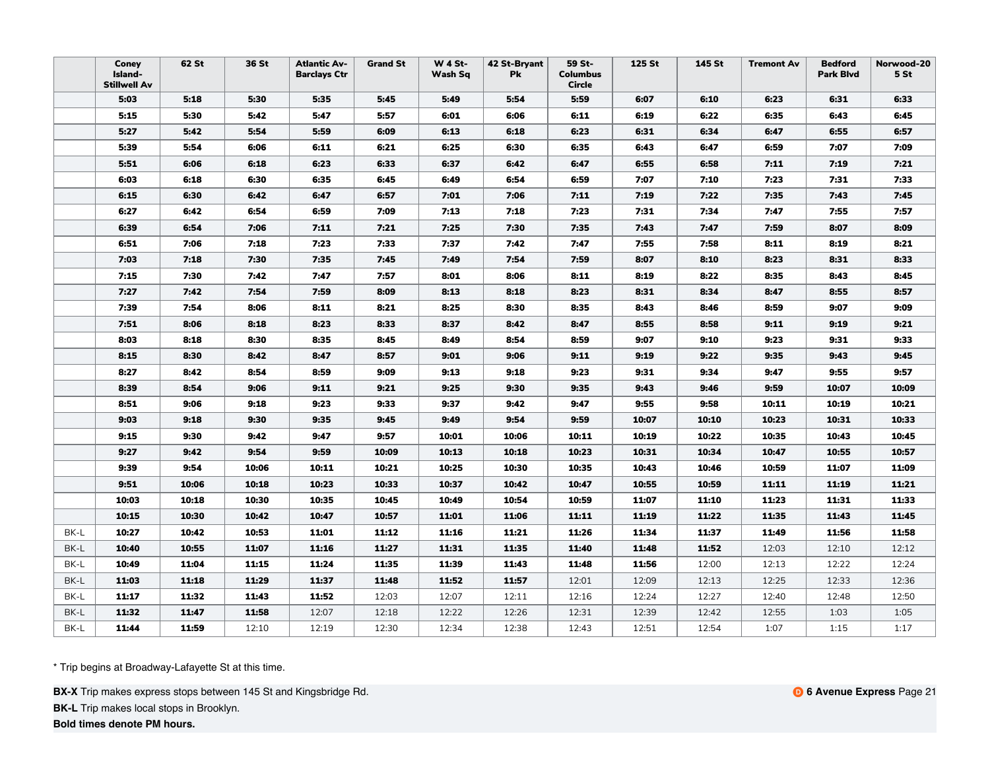|      | Coney<br>Island-<br><b>Stillwell Av</b> | 62 St | 36 St | <b>Atlantic Av-</b><br><b>Barclays Ctr</b> | <b>Grand St</b> | <b>W 4 St-</b><br>Wash Sq | 42 St-Bryant<br><b>Pk</b> | 59 St-<br><b>Columbus</b><br>Circle | 125 St | 145 St | <b>Tremont Av</b> | <b>Bedford</b><br><b>Park Blvd</b> | Norwood-20<br>5 <sub>st</sub> |
|------|-----------------------------------------|-------|-------|--------------------------------------------|-----------------|---------------------------|---------------------------|-------------------------------------|--------|--------|-------------------|------------------------------------|-------------------------------|
|      | 5:03                                    | 5:18  | 5:30  | 5:35                                       | 5:45            | 5:49                      | 5:54                      | 5:59                                | 6:07   | 6:10   | 6:23              | 6:31                               | 6:33                          |
|      | 5:15                                    | 5:30  | 5:42  | 5:47                                       | 5:57            | 6:01                      | 6:06                      | 6:11                                | 6:19   | 6:22   | 6:35              | 6:43                               | 6:45                          |
|      | 5:27                                    | 5:42  | 5:54  | 5:59                                       | 6:09            | 6:13                      | 6:18                      | 6:23                                | 6:31   | 6:34   | 6:47              | 6:55                               | 6:57                          |
|      | 5:39                                    | 5:54  | 6:06  | 6:11                                       | 6:21            | 6:25                      | 6:30                      | 6:35                                | 6:43   | 6:47   | 6:59              | 7:07                               | 7:09                          |
|      | 5:51                                    | 6:06  | 6:18  | 6:23                                       | 6:33            | 6:37                      | 6:42                      | 6:47                                | 6:55   | 6:58   | 7:11              | 7:19                               | 7:21                          |
|      | 6:03                                    | 6:18  | 6:30  | 6:35                                       | 6:45            | 6:49                      | 6:54                      | 6:59                                | 7:07   | 7:10   | 7:23              | 7:31                               | 7:33                          |
|      | 6:15                                    | 6:30  | 6:42  | 6:47                                       | 6:57            | 7:01                      | 7:06                      | 7:11                                | 7:19   | 7:22   | 7:35              | 7:43                               | 7:45                          |
|      | 6:27                                    | 6:42  | 6:54  | 6:59                                       | 7:09            | 7:13                      | 7:18                      | 7:23                                | 7:31   | 7:34   | 7:47              | 7:55                               | 7:57                          |
|      | 6:39                                    | 6:54  | 7:06  | 7:11                                       | 7:21            | 7:25                      | 7:30                      | 7:35                                | 7:43   | 7:47   | 7:59              | 8:07                               | 8:09                          |
|      | 6:51                                    | 7:06  | 7:18  | 7:23                                       | 7:33            | 7:37                      | 7:42                      | 7:47                                | 7:55   | 7:58   | 8:11              | 8:19                               | 8:21                          |
|      | 7:03                                    | 7:18  | 7:30  | 7:35                                       | 7:45            | 7:49                      | 7:54                      | 7:59                                | 8:07   | 8:10   | 8:23              | 8:31                               | 8:33                          |
|      | 7:15                                    | 7:30  | 7:42  | 7:47                                       | 7:57            | 8:01                      | 8:06                      | 8:11                                | 8:19   | 8:22   | 8:35              | 8:43                               | 8:45                          |
|      | 7:27                                    | 7:42  | 7:54  | 7:59                                       | 8:09            | 8:13                      | 8:18                      | 8:23                                | 8:31   | 8:34   | 8:47              | 8:55                               | 8:57                          |
|      | 7:39                                    | 7:54  | 8:06  | 8:11                                       | 8:21            | 8:25                      | 8:30                      | 8:35                                | 8:43   | 8:46   | 8:59              | 9:07                               | 9:09                          |
|      | 7:51                                    | 8:06  | 8:18  | 8:23                                       | 8:33            | 8:37                      | 8:42                      | 8:47                                | 8:55   | 8:58   | 9:11              | 9:19                               | 9:21                          |
|      | 8:03                                    | 8:18  | 8:30  | 8:35                                       | 8:45            | 8:49                      | 8:54                      | 8:59                                | 9:07   | 9:10   | 9:23              | 9:31                               | 9:33                          |
|      | 8:15                                    | 8:30  | 8:42  | 8:47                                       | 8:57            | 9:01                      | 9:06                      | 9:11                                | 9:19   | 9:22   | 9:35              | 9:43                               | 9:45                          |
|      | 8:27                                    | 8:42  | 8:54  | 8:59                                       | 9:09            | 9:13                      | 9:18                      | 9:23                                | 9:31   | 9:34   | 9:47              | 9:55                               | 9:57                          |
|      | 8:39                                    | 8:54  | 9:06  | 9:11                                       | 9:21            | 9:25                      | 9:30                      | 9:35                                | 9:43   | 9:46   | 9:59              | 10:07                              | 10:09                         |
|      | 8:51                                    | 9:06  | 9:18  | 9:23                                       | 9:33            | 9:37                      | 9:42                      | 9:47                                | 9:55   | 9:58   | 10:11             | 10:19                              | 10:21                         |
|      | 9:03                                    | 9:18  | 9:30  | 9:35                                       | 9:45            | 9:49                      | 9:54                      | 9:59                                | 10:07  | 10:10  | 10:23             | 10:31                              | 10:33                         |
|      | 9:15                                    | 9:30  | 9:42  | 9:47                                       | 9:57            | 10:01                     | 10:06                     | 10:11                               | 10:19  | 10:22  | 10:35             | 10:43                              | 10:45                         |
|      | 9:27                                    | 9:42  | 9:54  | 9:59                                       | 10:09           | 10:13                     | 10:18                     | 10:23                               | 10:31  | 10:34  | 10:47             | 10:55                              | 10:57                         |
|      | 9:39                                    | 9:54  | 10:06 | 10:11                                      | 10:21           | 10:25                     | 10:30                     | 10:35                               | 10:43  | 10:46  | 10:59             | 11:07                              | 11:09                         |
|      | 9:51                                    | 10:06 | 10:18 | 10:23                                      | 10:33           | 10:37                     | 10:42                     | 10:47                               | 10:55  | 10:59  | 11:11             | 11:19                              | 11:21                         |
|      | 10:03                                   | 10:18 | 10:30 | 10:35                                      | 10:45           | 10:49                     | 10:54                     | 10:59                               | 11:07  | 11:10  | 11:23             | 11:31                              | 11:33                         |
|      | 10:15                                   | 10:30 | 10:42 | 10:47                                      | 10:57           | 11:01                     | 11:06                     | 11:11                               | 11:19  | 11:22  | 11:35             | 11:43                              | 11:45                         |
| BK-L | 10:27                                   | 10:42 | 10:53 | 11:01                                      | 11:12           | 11:16                     | 11:21                     | 11:26                               | 11:34  | 11:37  | 11:49             | 11:56                              | 11:58                         |
| BK-L | 10:40                                   | 10:55 | 11:07 | 11:16                                      | 11:27           | 11:31                     | 11:35                     | 11:40                               | 11:48  | 11:52  | 12:03             | 12:10                              | 12:12                         |
| BK-L | 10:49                                   | 11:04 | 11:15 | 11:24                                      | 11:35           | 11:39                     | 11:43                     | 11:48                               | 11:56  | 12:00  | 12:13             | 12:22                              | 12:24                         |
| BK-L | 11:03                                   | 11:18 | 11:29 | 11:37                                      | 11:48           | 11:52                     | 11:57                     | 12:01                               | 12:09  | 12:13  | 12:25             | 12:33                              | 12:36                         |
| BK-L | 11:17                                   | 11:32 | 11:43 | 11:52                                      | 12:03           | 12:07                     | 12:11                     | 12:16                               | 12:24  | 12:27  | 12:40             | 12:48                              | 12:50                         |
| BK-L | 11:32                                   | 11:47 | 11:58 | 12:07                                      | 12:18           | 12:22                     | 12:26                     | 12:31                               | 12:39  | 12:42  | 12:55             | 1:03                               | 1:05                          |
| BK-L | 11:44                                   | 11:59 | 12:10 | 12:19                                      | 12:30           | 12:34                     | 12:38                     | 12:43                               | 12:51  | 12:54  | 1:07              | 1:15                               | 1:17                          |

**BX-X** Trip makes express stops between 145 St and Kingsbridge Rd.

**BK-L** Trip makes local stops in Brooklyn.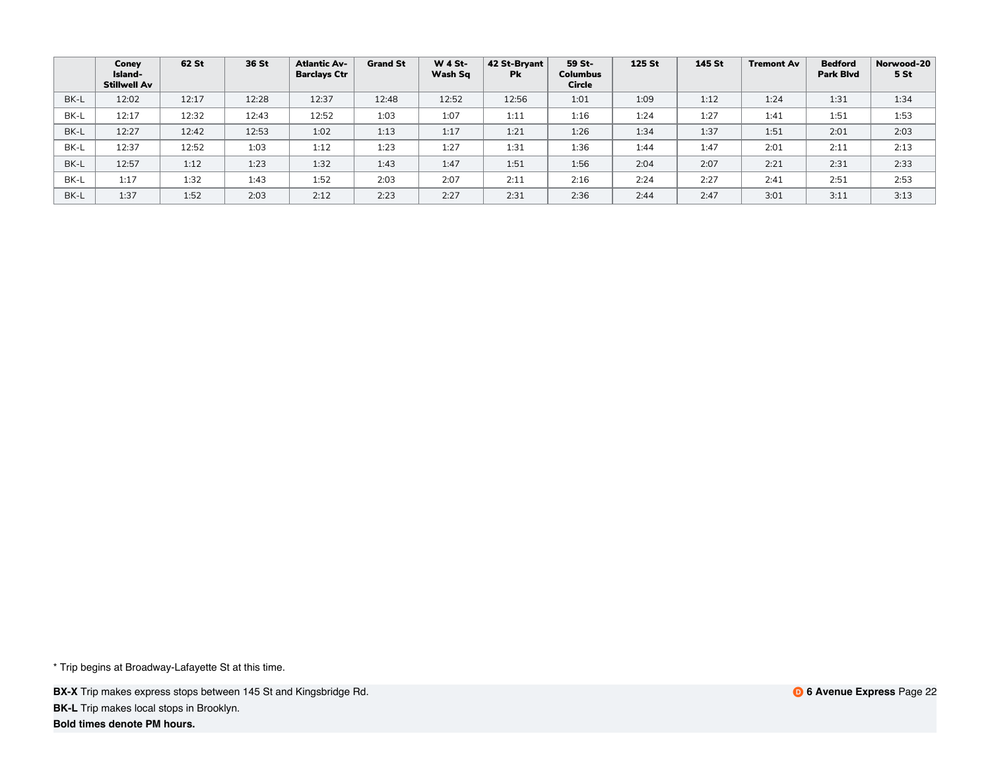|      | Coney<br>Island-<br>Stillwell Av | 62 St | 36 St | <b>Atlantic Av-</b><br><b>Barclays Ctr</b> | <b>Grand St</b> | <b>W 4 St-</b><br>Wash Sq | 42 St-Bryant<br><b>Pk</b> | 59 St-<br><b>Columbus</b><br><b>Circle</b> | <b>125 St</b> | 145 St | <b>Tremont Av</b> | <b>Bedford</b><br><b>Park Blvd</b> | Norwood-20<br>5 St |
|------|----------------------------------|-------|-------|--------------------------------------------|-----------------|---------------------------|---------------------------|--------------------------------------------|---------------|--------|-------------------|------------------------------------|--------------------|
| BK-L | 12:02                            | 12:17 | 12:28 | 12:37                                      | 12:48           | 12:52                     | 12:56                     | 1:01                                       | 1:09          | 1:12   | 1:24              | 1:31                               | 1:34               |
| BK-L | 12:17                            | 12:32 | 12:43 | 12:52                                      | 1:03            | 1:07                      | 1:11                      | 1:16                                       | 1:24          | 1:27   | 1:41              | 1:51                               | 1:53               |
| BK-L | 12:27                            | 12:42 | 12:53 | 1:02                                       | 1:13            | 1:17                      | 1:21                      | 1:26                                       | 1:34          | 1:37   | 1:51              | 2:01                               | 2:03               |
| BK-L | 12:37                            | 12:52 | 1:03  | 1:12                                       | 1:23            | 1:27                      | 1:31                      | 1:36                                       | 1:44          | 1:47   | 2:01              | 2:11                               | 2:13               |
| BK-L | 12:57                            | 1:12  | 1:23  | 1:32                                       | 1:43            | 1:47                      | 1:51                      | 1:56                                       | 2:04          | 2:07   | 2:21              | 2:31                               | 2:33               |
| BK-L | 1:17                             | 1:32  | 1:43  | 1:52                                       | 2:03            | 2:07                      | 2:11                      | 2:16                                       | 2:24          | 2:27   | 2:41              | 2:51                               | 2:53               |
| BK-L | 1:37                             | 1:52  | 2:03  | 2:12                                       | 2:23            | 2:27                      | 2:31                      | 2:36                                       | 2:44          | 2:47   | 3:01              | 3:11                               | 3:13               |

**BX-X** Trip makes express stops between 145 St and Kingsbridge Rd. **BK-L** Trip makes local stops in Brooklyn.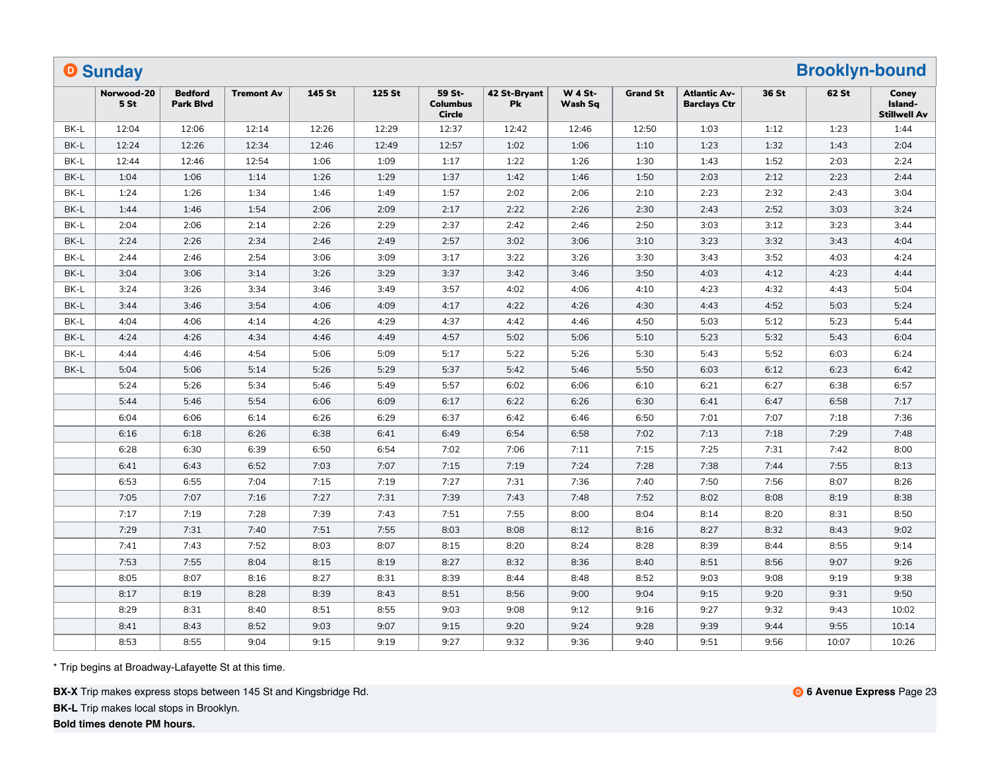|      | <b>O</b> Sunday    |                                    |                   |        |        |                                            |                    |                           |                 |                                            |       | <b>Brooklyn-bound</b> |                                         |
|------|--------------------|------------------------------------|-------------------|--------|--------|--------------------------------------------|--------------------|---------------------------|-----------------|--------------------------------------------|-------|-----------------------|-----------------------------------------|
|      | Norwood-20<br>5 St | <b>Bedford</b><br><b>Park Blvd</b> | <b>Tremont Av</b> | 145 St | 125 St | 59 St-<br><b>Columbus</b><br><b>Circle</b> | 42 St-Bryant<br>Pk | <b>W 4 St-</b><br>Wash Sq | <b>Grand St</b> | <b>Atlantic Av-</b><br><b>Barclays Ctr</b> | 36 St | 62 St                 | Coney<br>Island-<br><b>Stillwell Av</b> |
| BK-L | 12:04              | 12:06                              | 12:14             | 12:26  | 12:29  | 12:37                                      | 12:42              | 12:46                     | 12:50           | 1:03                                       | 1:12  | 1:23                  | 1:44                                    |
| BK-L | 12:24              | 12:26                              | 12:34             | 12:46  | 12:49  | 12:57                                      | 1:02               | 1:06                      | 1:10            | 1:23                                       | 1:32  | 1:43                  | 2:04                                    |
| BK-L | 12:44              | 12:46                              | 12:54             | 1:06   | 1:09   | 1:17                                       | 1:22               | 1:26                      | 1:30            | 1:43                                       | 1:52  | 2:03                  | 2:24                                    |
| BK-L | 1:04               | 1:06                               | 1:14              | 1:26   | 1:29   | 1:37                                       | 1:42               | 1:46                      | 1:50            | 2:03                                       | 2:12  | 2:23                  | 2:44                                    |
| BK-L | 1:24               | 1:26                               | 1:34              | 1:46   | 1:49   | 1:57                                       | 2:02               | 2:06                      | 2:10            | 2:23                                       | 2:32  | 2:43                  | 3:04                                    |
| BK-L | 1:44               | 1:46                               | 1:54              | 2:06   | 2:09   | 2:17                                       | 2:22               | 2:26                      | 2:30            | 2:43                                       | 2:52  | 3:03                  | 3:24                                    |
| BK-L | 2:04               | 2:06                               | 2:14              | 2:26   | 2:29   | 2:37                                       | 2:42               | 2:46                      | 2:50            | 3:03                                       | 3:12  | 3:23                  | 3:44                                    |
| BK-L | 2:24               | 2:26                               | 2:34              | 2:46   | 2:49   | 2:57                                       | 3:02               | 3:06                      | 3:10            | 3:23                                       | 3:32  | 3:43                  | 4:04                                    |
| BK-L | 2:44               | 2:46                               | 2:54              | 3:06   | 3:09   | 3:17                                       | 3:22               | 3:26                      | 3:30            | 3:43                                       | 3:52  | 4:03                  | 4:24                                    |
| BK-L | 3:04               | 3:06                               | 3:14              | 3:26   | 3:29   | 3:37                                       | 3:42               | 3:46                      | 3:50            | 4:03                                       | 4:12  | 4:23                  | 4:44                                    |
| BK-L | 3:24               | 3:26                               | 3:34              | 3:46   | 3:49   | 3:57                                       | 4:02               | 4:06                      | 4:10            | 4:23                                       | 4:32  | 4:43                  | 5:04                                    |
| BK-L | 3:44               | 3:46                               | 3:54              | 4:06   | 4:09   | 4:17                                       | 4:22               | 4:26                      | 4:30            | 4:43                                       | 4:52  | 5:03                  | 5:24                                    |
| BK-L | 4:04               | 4:06                               | 4:14              | 4:26   | 4:29   | 4:37                                       | 4:42               | 4:46                      | 4:50            | 5:03                                       | 5:12  | 5:23                  | 5:44                                    |
| BK-L | 4:24               | 4:26                               | 4:34              | 4:46   | 4:49   | 4:57                                       | 5:02               | 5:06                      | 5:10            | 5:23                                       | 5:32  | 5:43                  | 6:04                                    |
| BK-L | 4:44               | 4:46                               | 4:54              | 5:06   | 5:09   | 5:17                                       | 5:22               | 5:26                      | 5:30            | 5:43                                       | 5:52  | 6:03                  | 6:24                                    |
| BK-L | 5:04               | 5:06                               | 5:14              | 5:26   | 5:29   | 5:37                                       | 5:42               | 5:46                      | 5:50            | 6:03                                       | 6:12  | 6:23                  | 6:42                                    |
|      | 5:24               | 5:26                               | 5:34              | 5:46   | 5:49   | 5:57                                       | 6:02               | 6:06                      | 6:10            | 6:21                                       | 6:27  | 6:38                  | 6:57                                    |
|      | 5:44               | 5:46                               | 5:54              | 6:06   | 6:09   | 6:17                                       | 6:22               | 6:26                      | 6:30            | 6:41                                       | 6:47  | 6:58                  | 7:17                                    |
|      | 6:04               | 6:06                               | 6:14              | 6:26   | 6:29   | 6:37                                       | 6:42               | 6:46                      | 6:50            | 7:01                                       | 7:07  | 7:18                  | 7:36                                    |
|      | 6:16               | 6:18                               | 6:26              | 6:38   | 6:41   | 6:49                                       | 6:54               | 6:58                      | 7:02            | 7:13                                       | 7:18  | 7:29                  | 7:48                                    |
|      | 6:28               | 6:30                               | 6:39              | 6:50   | 6:54   | 7:02                                       | 7:06               | 7:11                      | 7:15            | 7:25                                       | 7:31  | 7:42                  | 8:00                                    |
|      | 6:41               | 6:43                               | 6:52              | 7:03   | 7:07   | 7:15                                       | 7:19               | 7:24                      | 7:28            | 7:38                                       | 7:44  | 7:55                  | 8:13                                    |
|      | 6:53               | 6:55                               | 7:04              | 7:15   | 7:19   | 7:27                                       | 7:31               | 7:36                      | 7:40            | 7:50                                       | 7:56  | 8:07                  | 8:26                                    |
|      | 7:05               | 7:07                               | 7:16              | 7:27   | 7:31   | 7:39                                       | 7:43               | 7:48                      | 7:52            | 8:02                                       | 8:08  | 8:19                  | 8:38                                    |
|      | 7:17               | 7:19                               | 7:28              | 7:39   | 7:43   | 7:51                                       | 7:55               | 8:00                      | 8:04            | 8:14                                       | 8:20  | 8:31                  | 8:50                                    |
|      | 7:29               | 7:31                               | 7:40              | 7:51   | 7:55   | 8:03                                       | 8:08               | 8:12                      | 8:16            | 8:27                                       | 8:32  | 8:43                  | 9:02                                    |
|      | 7:41               | 7:43                               | 7:52              | 8:03   | 8:07   | 8:15                                       | 8:20               | 8:24                      | 8:28            | 8:39                                       | 8:44  | 8:55                  | 9:14                                    |
|      | 7:53               | 7:55                               | 8:04              | 8:15   | 8:19   | 8:27                                       | 8:32               | 8:36                      | 8:40            | 8:51                                       | 8:56  | 9:07                  | 9:26                                    |
|      | 8:05               | 8:07                               | 8:16              | 8:27   | 8:31   | 8:39                                       | 8:44               | 8:48                      | 8:52            | 9:03                                       | 9:08  | 9:19                  | 9:38                                    |
|      | 8:17               | 8:19                               | 8:28              | 8:39   | 8:43   | 8:51                                       | 8:56               | 9:00                      | 9:04            | 9:15                                       | 9:20  | 9:31                  | 9:50                                    |
|      | 8:29               | 8:31                               | 8:40              | 8:51   | 8:55   | 9:03                                       | 9:08               | 9:12                      | 9:16            | 9:27                                       | 9:32  | 9:43                  | 10:02                                   |
|      | 8:41               | 8:43                               | 8:52              | 9:03   | 9:07   | 9:15                                       | 9:20               | 9:24                      | 9:28            | 9:39                                       | 9:44  | 9:55                  | 10:14                                   |
|      | 8:53               | 8:55                               | 9:04              | 9:15   | 9:19   | 9:27                                       | 9:32               | 9:36                      | 9:40            | 9:51                                       | 9:56  | 10:07                 | 10:26                                   |

**BX-X** Trip makes express stops between 145 St and Kingsbridge Rd.

**BK-L** Trip makes local stops in Brooklyn.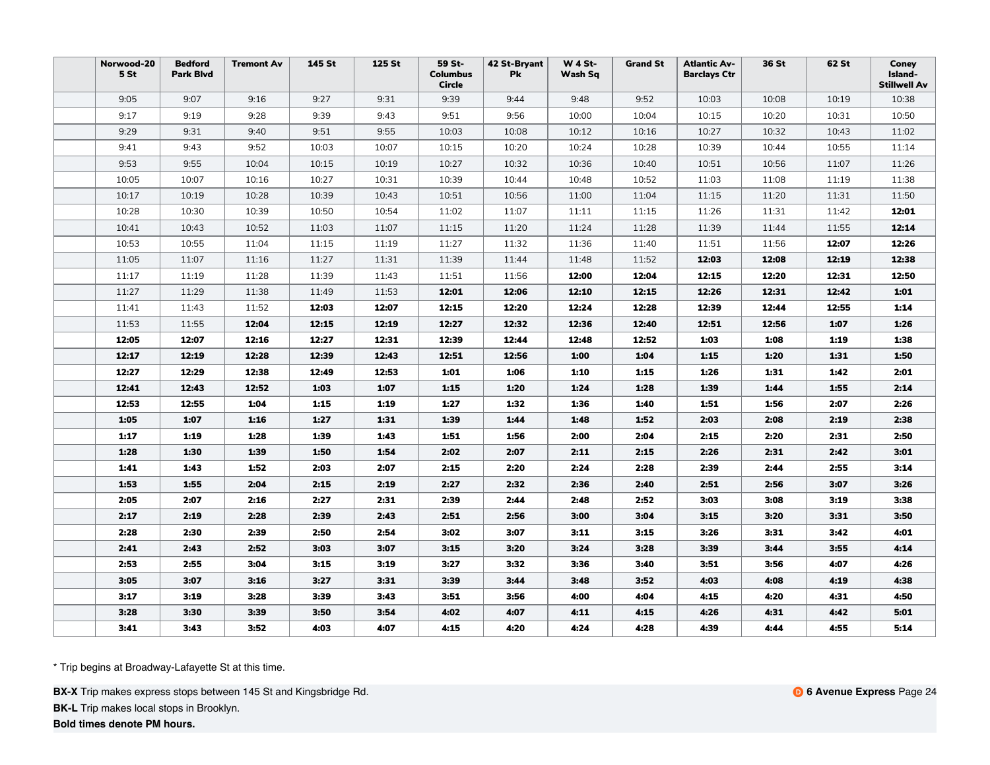| Norwood-20<br>5 St | <b>Bedford</b><br><b>Park Blvd</b> | <b>Tremont Av</b> | 145 St | 125 St | 59 St-<br><b>Columbus</b><br>Circle | 42 St-Bryant<br>Pk | <b>W 4 St-</b><br>Wash Sq | <b>Grand St</b> | <b>Atlantic Av-</b><br><b>Barclays Ctr</b> | 36 St | 62 St | Coney<br>Island-<br><b>Stillwell Av</b> |
|--------------------|------------------------------------|-------------------|--------|--------|-------------------------------------|--------------------|---------------------------|-----------------|--------------------------------------------|-------|-------|-----------------------------------------|
| 9:05               | 9:07                               | 9:16              | 9:27   | 9:31   | 9:39                                | 9:44               | 9:48                      | 9:52            | 10:03                                      | 10:08 | 10:19 | 10:38                                   |
| 9:17               | 9:19                               | 9:28              | 9:39   | 9:43   | 9:51                                | 9:56               | 10:00                     | 10:04           | 10:15                                      | 10:20 | 10:31 | 10:50                                   |
| 9:29               | 9:31                               | 9:40              | 9:51   | 9:55   | 10:03                               | 10:08              | 10:12                     | 10:16           | 10:27                                      | 10:32 | 10:43 | 11:02                                   |
| 9:41               | 9:43                               | 9:52              | 10:03  | 10:07  | 10:15                               | 10:20              | 10:24                     | 10:28           | 10:39                                      | 10:44 | 10:55 | 11:14                                   |
| 9:53               | 9:55                               | 10:04             | 10:15  | 10:19  | 10:27                               | 10:32              | 10:36                     | 10:40           | 10:51                                      | 10:56 | 11:07 | 11:26                                   |
| 10:05              | 10:07                              | 10:16             | 10:27  | 10:31  | 10:39                               | 10:44              | 10:48                     | 10:52           | 11:03                                      | 11:08 | 11:19 | 11:38                                   |
| 10:17              | 10:19                              | 10:28             | 10:39  | 10:43  | 10:51                               | 10:56              | 11:00                     | 11:04           | 11:15                                      | 11:20 | 11:31 | 11:50                                   |
| 10:28              | 10:30                              | 10:39             | 10:50  | 10:54  | 11:02                               | 11:07              | 11:11                     | 11:15           | 11:26                                      | 11:31 | 11:42 | 12:01                                   |
| 10:41              | 10:43                              | 10:52             | 11:03  | 11:07  | 11:15                               | 11:20              | 11:24                     | 11:28           | 11:39                                      | 11:44 | 11:55 | 12:14                                   |
| 10:53              | 10:55                              | 11:04             | 11:15  | 11:19  | 11:27                               | 11:32              | 11:36                     | 11:40           | 11:51                                      | 11:56 | 12:07 | 12:26                                   |
| 11:05              | 11:07                              | 11:16             | 11:27  | 11:31  | 11:39                               | 11:44              | 11:48                     | 11:52           | 12:03                                      | 12:08 | 12:19 | 12:38                                   |
| 11:17              | 11:19                              | 11:28             | 11:39  | 11:43  | 11:51                               | 11:56              | 12:00                     | 12:04           | 12:15                                      | 12:20 | 12:31 | 12:50                                   |
| 11:27              | 11:29                              | 11:38             | 11:49  | 11:53  | 12:01                               | 12:06              | 12:10                     | 12:15           | 12:26                                      | 12:31 | 12:42 | 1:01                                    |
| 11:41              | 11:43                              | 11:52             | 12:03  | 12:07  | 12:15                               | 12:20              | 12:24                     | 12:28           | 12:39                                      | 12:44 | 12:55 | 1:14                                    |
| 11:53              | 11:55                              | 12:04             | 12:15  | 12:19  | 12:27                               | 12:32              | 12:36                     | 12:40           | 12:51                                      | 12:56 | 1:07  | 1:26                                    |
| 12:05              | 12:07                              | 12:16             | 12:27  | 12:31  | 12:39                               | 12:44              | 12:48                     | 12:52           | 1:03                                       | 1:08  | 1:19  | 1:38                                    |
| 12:17              | 12:19                              | 12:28             | 12:39  | 12:43  | 12:51                               | 12:56              | 1:00                      | 1:04            | 1:15                                       | 1:20  | 1:31  | 1:50                                    |
| 12:27              | 12:29                              | 12:38             | 12:49  | 12:53  | 1:01                                | 1:06               | 1:10                      | 1:15            | 1:26                                       | 1:31  | 1:42  | 2:01                                    |
| 12:41              | 12:43                              | 12:52             | 1:03   | 1:07   | 1:15                                | 1:20               | 1:24                      | 1:28            | 1:39                                       | 1:44  | 1:55  | 2:14                                    |
| 12:53              | 12:55                              | 1:04              | 1:15   | 1:19   | 1:27                                | 1:32               | 1:36                      | 1:40            | 1:51                                       | 1:56  | 2:07  | 2:26                                    |
| 1:05               | 1:07                               | 1:16              | 1:27   | 1:31   | 1:39                                | 1:44               | 1:48                      | 1:52            | 2:03                                       | 2:08  | 2:19  | 2:38                                    |
| 1:17               | 1:19                               | 1:28              | 1:39   | 1:43   | 1:51                                | 1:56               | 2:00                      | 2:04            | 2:15                                       | 2:20  | 2:31  | 2:50                                    |
| 1:28               | 1:30                               | 1:39              | 1:50   | 1:54   | 2:02                                | 2:07               | 2:11                      | 2:15            | 2:26                                       | 2:31  | 2:42  | 3:01                                    |
| 1:41               | 1:43                               | 1:52              | 2:03   | 2:07   | 2:15                                | 2:20               | 2:24                      | 2:28            | 2:39                                       | 2:44  | 2:55  | 3:14                                    |
| 1:53               | 1:55                               | 2:04              | 2:15   | 2:19   | 2:27                                | 2:32               | 2:36                      | 2:40            | 2:51                                       | 2:56  | 3:07  | 3:26                                    |
| 2:05               | 2:07                               | 2:16              | 2:27   | 2:31   | 2:39                                | 2:44               | 2:48                      | 2:52            | 3:03                                       | 3:08  | 3:19  | 3:38                                    |
| 2:17               | 2:19                               | 2:28              | 2:39   | 2:43   | 2:51                                | 2:56               | 3:00                      | 3:04            | 3:15                                       | 3:20  | 3:31  | 3:50                                    |
| 2:28               | 2:30                               | 2:39              | 2:50   | 2:54   | 3:02                                | 3:07               | 3:11                      | 3:15            | 3:26                                       | 3:31  | 3:42  | 4:01                                    |
| 2:41               | 2:43                               | 2:52              | 3:03   | 3:07   | 3:15                                | 3:20               | 3:24                      | 3:28            | 3:39                                       | 3:44  | 3:55  | 4:14                                    |
| 2:53               | 2:55                               | 3:04              | 3:15   | 3:19   | 3:27                                | 3:32               | 3:36                      | 3:40            | 3:51                                       | 3:56  | 4:07  | 4:26                                    |
| 3:05               | 3:07                               | 3:16              | 3:27   | 3:31   | 3:39                                | 3:44               | 3:48                      | 3:52            | 4:03                                       | 4:08  | 4:19  | 4:38                                    |
| 3:17               | 3:19                               | 3:28              | 3:39   | 3:43   | 3:51                                | 3:56               | 4:00                      | 4:04            | 4:15                                       | 4:20  | 4:31  | 4:50                                    |
| 3:28               | 3:30                               | 3:39              | 3:50   | 3:54   | 4:02                                | 4:07               | 4:11                      | 4:15            | 4:26                                       | 4:31  | 4:42  | 5:01                                    |
| 3:41               | 3:43                               | 3:52              | 4:03   | 4:07   | 4:15                                | 4:20               | 4:24                      | 4:28            | 4:39                                       | 4:44  | 4:55  | 5:14                                    |

**BX-X** Trip makes express stops between 145 St and Kingsbridge Rd.

**BK-L** Trip makes local stops in Brooklyn.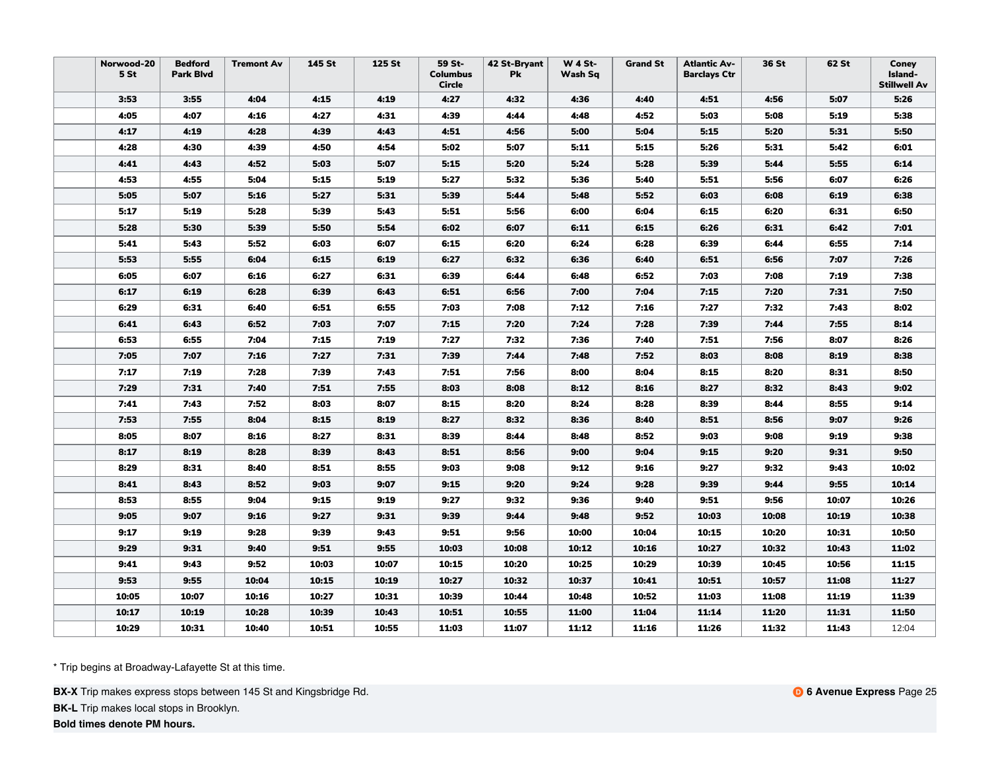| Norwood-20<br>5 <sub>st</sub> | <b>Bedford</b><br><b>Park Blvd</b> | <b>Tremont Av</b> | 145 St | 125 St | 59 St-<br><b>Columbus</b><br><b>Circle</b> | 42 St-Bryant<br>Pk | <b>W 4 St-</b><br>Wash Sq | <b>Grand St</b> | <b>Atlantic Av-</b><br><b>Barclays Ctr</b> | 36 St | 62 St | Coney<br>Island-<br><b>Stillwell Av</b> |
|-------------------------------|------------------------------------|-------------------|--------|--------|--------------------------------------------|--------------------|---------------------------|-----------------|--------------------------------------------|-------|-------|-----------------------------------------|
| 3:53                          | 3:55                               | 4:04              | 4:15   | 4:19   | 4:27                                       | 4:32               | 4:36                      | 4:40            | 4:51                                       | 4:56  | 5:07  | 5:26                                    |
| 4:05                          | 4:07                               | 4:16              | 4:27   | 4:31   | 4:39                                       | 4:44               | 4:48                      | 4:52            | 5:03                                       | 5:08  | 5:19  | 5:38                                    |
| 4:17                          | 4:19                               | 4:28              | 4:39   | 4:43   | 4:51                                       | 4:56               | 5:00                      | 5:04            | 5:15                                       | 5:20  | 5:31  | 5:50                                    |
| 4:28                          | 4:30                               | 4:39              | 4:50   | 4:54   | 5:02                                       | 5:07               | 5:11                      | 5:15            | 5:26                                       | 5:31  | 5:42  | 6:01                                    |
| 4:41                          | 4:43                               | 4:52              | 5:03   | 5:07   | 5:15                                       | 5:20               | 5:24                      | 5:28            | 5:39                                       | 5:44  | 5:55  | 6:14                                    |
| 4:53                          | 4:55                               | 5:04              | 5:15   | 5:19   | 5:27                                       | 5:32               | 5:36                      | 5:40            | 5:51                                       | 5:56  | 6:07  | 6:26                                    |
| 5:05                          | 5:07                               | 5:16              | 5:27   | 5:31   | 5:39                                       | 5:44               | 5:48                      | 5:52            | 6:03                                       | 6:08  | 6:19  | 6:38                                    |
| 5:17                          | 5:19                               | 5:28              | 5:39   | 5:43   | 5:51                                       | 5:56               | 6:00                      | 6:04            | 6:15                                       | 6:20  | 6:31  | 6:50                                    |
| 5:28                          | 5:30                               | 5:39              | 5:50   | 5:54   | 6:02                                       | 6:07               | 6:11                      | 6:15            | 6:26                                       | 6:31  | 6:42  | 7:01                                    |
| 5:41                          | 5:43                               | 5:52              | 6:03   | 6:07   | 6:15                                       | 6:20               | 6:24                      | 6:28            | 6:39                                       | 6:44  | 6:55  | 7:14                                    |
| 5:53                          | 5:55                               | 6:04              | 6:15   | 6:19   | 6:27                                       | 6:32               | 6:36                      | 6:40            | 6:51                                       | 6:56  | 7:07  | 7:26                                    |
| 6:05                          | 6:07                               | 6:16              | 6:27   | 6:31   | 6:39                                       | 6:44               | 6:48                      | 6:52            | 7:03                                       | 7:08  | 7:19  | 7:38                                    |
| 6:17                          | 6:19                               | 6:28              | 6:39   | 6:43   | 6:51                                       | 6:56               | 7:00                      | 7:04            | 7:15                                       | 7:20  | 7:31  | 7:50                                    |
| 6:29                          | 6:31                               | 6:40              | 6:51   | 6:55   | 7:03                                       | 7:08               | 7:12                      | 7:16            | 7:27                                       | 7:32  | 7:43  | 8:02                                    |
| 6:41                          | 6:43                               | 6:52              | 7:03   | 7:07   | 7:15                                       | 7:20               | 7:24                      | 7:28            | 7:39                                       | 7:44  | 7:55  | 8:14                                    |
| 6:53                          | 6:55                               | 7:04              | 7:15   | 7:19   | 7:27                                       | 7:32               | 7:36                      | 7:40            | 7:51                                       | 7:56  | 8:07  | 8:26                                    |
| 7:05                          | 7:07                               | 7:16              | 7:27   | 7:31   | 7:39                                       | 7:44               | 7:48                      | 7:52            | 8:03                                       | 8:08  | 8:19  | 8:38                                    |
| 7:17                          | 7:19                               | 7:28              | 7:39   | 7:43   | 7:51                                       | 7:56               | 8:00                      | 8:04            | 8:15                                       | 8:20  | 8:31  | 8:50                                    |
| 7:29                          | 7:31                               | 7:40              | 7:51   | 7:55   | 8:03                                       | 8:08               | 8:12                      | 8:16            | 8:27                                       | 8:32  | 8:43  | 9:02                                    |
| 7:41                          | 7:43                               | 7:52              | 8:03   | 8:07   | 8:15                                       | 8:20               | 8:24                      | 8:28            | 8:39                                       | 8:44  | 8:55  | 9:14                                    |
| 7:53                          | 7:55                               | 8:04              | 8:15   | 8:19   | 8:27                                       | 8:32               | 8:36                      | 8:40            | 8:51                                       | 8:56  | 9:07  | 9:26                                    |
| 8:05                          | 8:07                               | 8:16              | 8:27   | 8:31   | 8:39                                       | 8:44               | 8:48                      | 8:52            | 9:03                                       | 9:08  | 9:19  | 9:38                                    |
| 8:17                          | 8:19                               | 8:28              | 8:39   | 8:43   | 8:51                                       | 8:56               | 9:00                      | 9:04            | 9:15                                       | 9:20  | 9:31  | 9:50                                    |
| 8:29                          | 8:31                               | 8:40              | 8:51   | 8:55   | 9:03                                       | 9:08               | 9:12                      | 9:16            | 9:27                                       | 9:32  | 9:43  | 10:02                                   |
| 8:41                          | 8:43                               | 8:52              | 9:03   | 9:07   | 9:15                                       | 9:20               | 9:24                      | 9:28            | 9:39                                       | 9:44  | 9:55  | 10:14                                   |
| 8:53                          | 8:55                               | 9:04              | 9:15   | 9:19   | 9:27                                       | 9:32               | 9:36                      | 9:40            | 9:51                                       | 9:56  | 10:07 | 10:26                                   |
| 9:05                          | 9:07                               | 9:16              | 9:27   | 9:31   | 9:39                                       | 9:44               | 9:48                      | 9:52            | 10:03                                      | 10:08 | 10:19 | 10:38                                   |
| 9:17                          | 9:19                               | 9:28              | 9:39   | 9:43   | 9:51                                       | 9:56               | 10:00                     | 10:04           | 10:15                                      | 10:20 | 10:31 | 10:50                                   |
| 9:29                          | 9:31                               | 9:40              | 9:51   | 9:55   | 10:03                                      | 10:08              | 10:12                     | 10:16           | 10:27                                      | 10:32 | 10:43 | 11:02                                   |
| 9:41                          | 9:43                               | 9:52              | 10:03  | 10:07  | 10:15                                      | 10:20              | 10:25                     | 10:29           | 10:39                                      | 10:45 | 10:56 | 11:15                                   |
| 9:53                          | 9:55                               | 10:04             | 10:15  | 10:19  | 10:27                                      | 10:32              | 10:37                     | 10:41           | 10:51                                      | 10:57 | 11:08 | 11:27                                   |
| 10:05                         | 10:07                              | 10:16             | 10:27  | 10:31  | 10:39                                      | 10:44              | 10:48                     | 10:52           | 11:03                                      | 11:08 | 11:19 | 11:39                                   |
| 10:17                         | 10:19                              | 10:28             | 10:39  | 10:43  | 10:51                                      | 10:55              | 11:00                     | 11:04           | 11:14                                      | 11:20 | 11:31 | 11:50                                   |
| 10:29                         | 10:31                              | 10:40             | 10:51  | 10:55  | 11:03                                      | 11:07              | 11:12                     | 11:16           | 11:26                                      | 11:32 | 11:43 | 12:04                                   |

**BX-X** Trip makes express stops between 145 St and Kingsbridge Rd.

**BK-L** Trip makes local stops in Brooklyn.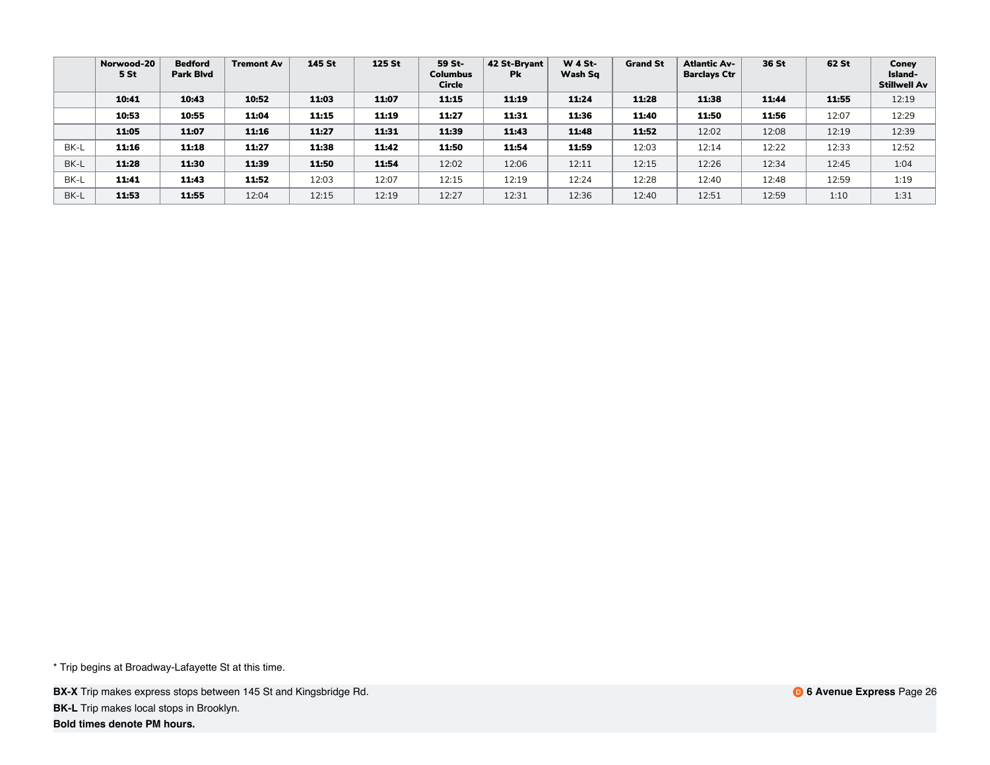|      | Norwood-20<br>5 St | <b>Bedford</b><br><b>Park Blyd</b> | <b>Tremont Av</b> | 145 St | <b>125 St</b> | 59 St-<br><b>Columbus</b><br>Circle | 42 St-Bryant<br><b>Pk</b> | <b>W 4 St-</b><br>Wash Sq | <b>Grand St</b> | <b>Atlantic Av-</b><br><b>Barclays Ctr</b> | 36 St | 62 St | Coney<br>Island-<br><b>Stillwell Av</b> |
|------|--------------------|------------------------------------|-------------------|--------|---------------|-------------------------------------|---------------------------|---------------------------|-----------------|--------------------------------------------|-------|-------|-----------------------------------------|
|      | 10:41              | 10:43                              | 10:52             | 11:03  | 11:07         | 11:15                               | 11:19                     | 11:24                     | 11:28           | 11:38                                      | 11:44 | 11:55 | 12:19                                   |
|      | 10:53              | 10:55                              | 11:04             | 11:15  | 11:19         | 11:27                               | 11:31                     | 11:36                     | 11:40           | 11:50                                      | 11:56 | 12:07 | 12:29                                   |
|      | 11:05              | 11:07                              | 11:16             | 11:27  | 11:31         | 11:39                               | 11:43                     | 11:48                     | 11:52           | 12:02                                      | 12:08 | 12:19 | 12:39                                   |
| BK-L | 11:16              | 11:18                              | 11:27             | 11:38  | 11:42         | 11:50                               | 11:54                     | 11:59                     | 12:03           | 12:14                                      | 12:22 | 12:33 | 12:52                                   |
| BK-L | 11:28              | 11:30                              | 11:39             | 11:50  | 11:54         | 12:02                               | 12:06                     | 12:11                     | 12:15           | 12:26                                      | 12:34 | 12:45 | 1:04                                    |
| BK-L | 11:41              | 11:43                              | 11:52             | 12:03  | 12:07         | 12:15                               | 12:19                     | 12:24                     | 12:28           | 12:40                                      | 12:48 | 12:59 | 1:19                                    |
| BK-L | 11:53              | 11:55                              | 12:04             | 12:15  | 12:19         | 12:27                               | 12:31                     | 12:36                     | 12:40           | 12:51                                      | 12:59 | 1:10  | 1:31                                    |

**BX-X** Trip makes express stops between 145 St and Kingsbridge Rd. **BK-L** Trip makes local stops in Brooklyn.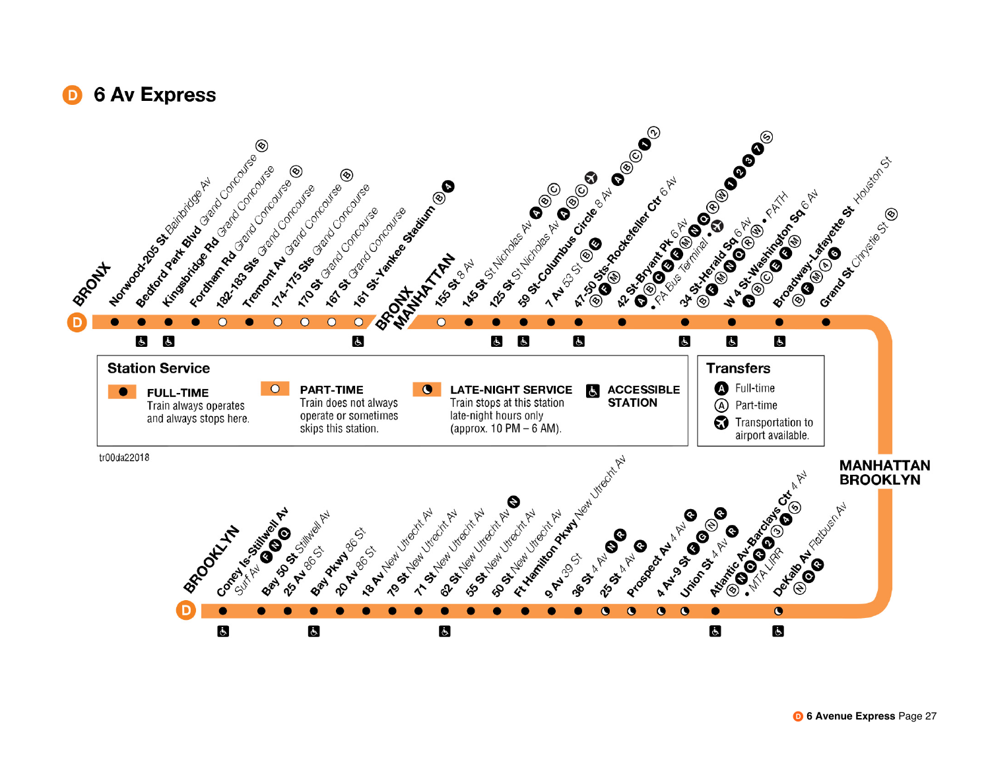## **6 Av Express**